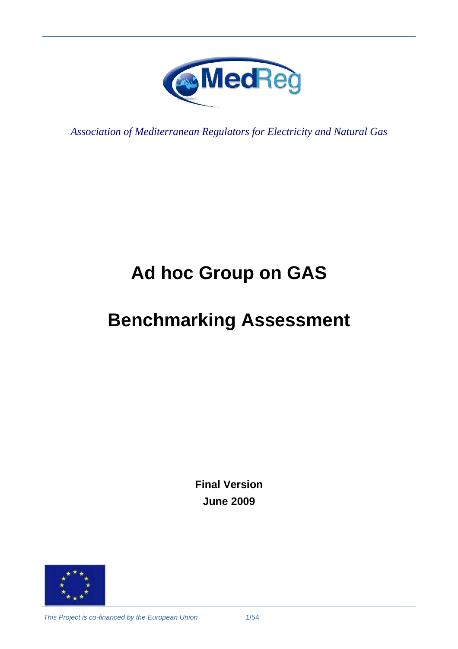

*Association of Mediterranean Regulators for Electricity and Natural Gas* 

# **Ad hoc Group on GAS**

# **Benchmarking Assessment**

**Final Version June 2009** 

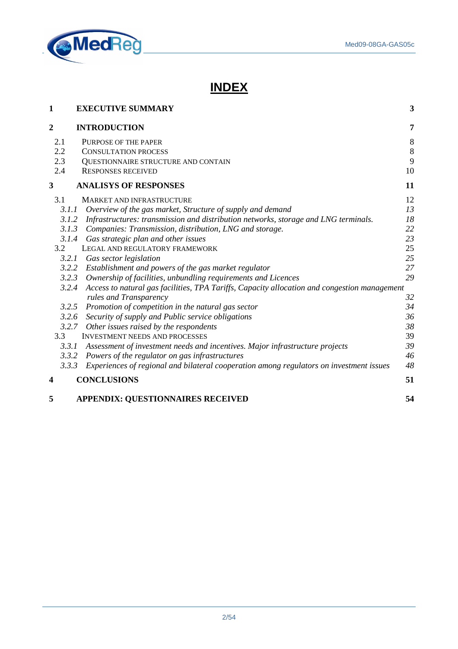

# **INDEX**

| 1              | <b>EXECUTIVE SUMMARY</b>                                                                           | 3       |
|----------------|----------------------------------------------------------------------------------------------------|---------|
| $\overline{c}$ | <b>INTRODUCTION</b>                                                                                | 7       |
| 2.1            | PURPOSE OF THE PAPER                                                                               | $\,8\,$ |
| 2.2            | <b>CONSULTATION PROCESS</b>                                                                        | $\,8\,$ |
| 2.3            | QUESTIONNAIRE STRUCTURE AND CONTAIN                                                                | 9       |
| 2.4            | <b>RESPONSES RECEIVED</b>                                                                          | 10      |
| 3              | <b>ANALISYS OF RESPONSES</b>                                                                       | 11      |
| 3.1            | <b>MARKET AND INFRASTRUCTURE</b>                                                                   | 12      |
|                | Overview of the gas market, Structure of supply and demand<br>3.1.1                                | 13      |
|                | 3.1.2 Infrastructures: transmission and distribution networks, storage and LNG terminals.          | 18      |
|                | 3.1.3 Companies: Transmission, distribution, LNG and storage.                                      | 22      |
|                | 3.1.4 Gas strategic plan and other issues                                                          | 23      |
| 3.2            | LEGAL AND REGULATORY FRAMEWORK                                                                     | 25      |
|                | 3.2.1<br>Gas sector legislation                                                                    | 25      |
|                | 3.2.2 Establishment and powers of the gas market regulator                                         | 27      |
|                | 3.2.3<br>Ownership of facilities, unbundling requirements and Licences                             | 29      |
|                | 3.2.4 Access to natural gas facilities, TPA Tariffs, Capacity allocation and congestion management |         |
|                | rules and Transparency                                                                             | 32      |
|                | 3.2.5 Promotion of competition in the natural gas sector                                           | 34      |
|                | 3.2.6 Security of supply and Public service obligations                                            | 36      |
|                | 3.2.7 Other issues raised by the respondents                                                       | 38      |
| 3.3            | <b>INVESTMENT NEEDS AND PROCESSES</b>                                                              | 39      |
|                | 3.3.1<br>Assessment of investment needs and incentives. Major infrastructure projects              | 39      |
|                | 3.3.2 Powers of the regulator on gas infrastructures                                               | 46      |
|                | 3.3.3<br>Experiences of regional and bilateral cooperation among regulators on investment issues   | 48      |
| 4              | <b>CONCLUSIONS</b>                                                                                 | 51      |
| 5              | <b>APPENDIX: QUESTIONNAIRES RECEIVED</b>                                                           | 54      |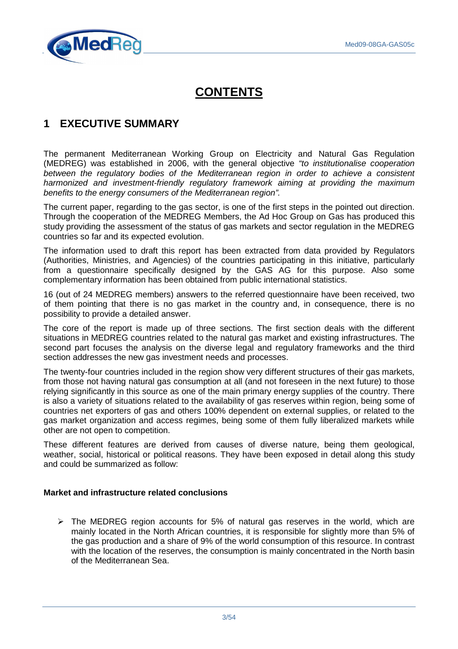

# **CONTENTS**

# **1 EXECUTIVE SUMMARY**

The permanent Mediterranean Working Group on Electricity and Natural Gas Regulation (MEDREG) was established in 2006, with the general objective "to institutionalise cooperation between the regulatory bodies of the Mediterranean region in order to achieve a consistent harmonized and investment-friendly regulatory framework aiming at providing the maximum benefits to the energy consumers of the Mediterranean region".

The current paper, regarding to the gas sector, is one of the first steps in the pointed out direction. Through the cooperation of the MEDREG Members, the Ad Hoc Group on Gas has produced this study providing the assessment of the status of gas markets and sector regulation in the MEDREG countries so far and its expected evolution.

The information used to draft this report has been extracted from data provided by Regulators (Authorities, Ministries, and Agencies) of the countries participating in this initiative, particularly from a questionnaire specifically designed by the GAS AG for this purpose. Also some complementary information has been obtained from public international statistics.

16 (out of 24 MEDREG members) answers to the referred questionnaire have been received, two of them pointing that there is no gas market in the country and, in consequence, there is no possibility to provide a detailed answer.

The core of the report is made up of three sections. The first section deals with the different situations in MEDREG countries related to the natural gas market and existing infrastructures. The second part focuses the analysis on the diverse legal and regulatory frameworks and the third section addresses the new gas investment needs and processes.

The twenty-four countries included in the region show very different structures of their gas markets, from those not having natural gas consumption at all (and not foreseen in the next future) to those relying significantly in this source as one of the main primary energy supplies of the country. There is also a variety of situations related to the availability of gas reserves within region, being some of countries net exporters of gas and others 100% dependent on external supplies, or related to the gas market organization and access regimes, being some of them fully liberalized markets while other are not open to competition.

These different features are derived from causes of diverse nature, being them geological, weather, social, historical or political reasons. They have been exposed in detail along this study and could be summarized as follow:

#### **Market and infrastructure related conclusions**

 $\triangleright$  The MEDREG region accounts for 5% of natural gas reserves in the world, which are mainly located in the North African countries, it is responsible for slightly more than 5% of the gas production and a share of 9% of the world consumption of this resource. In contrast with the location of the reserves, the consumption is mainly concentrated in the North basin of the Mediterranean Sea.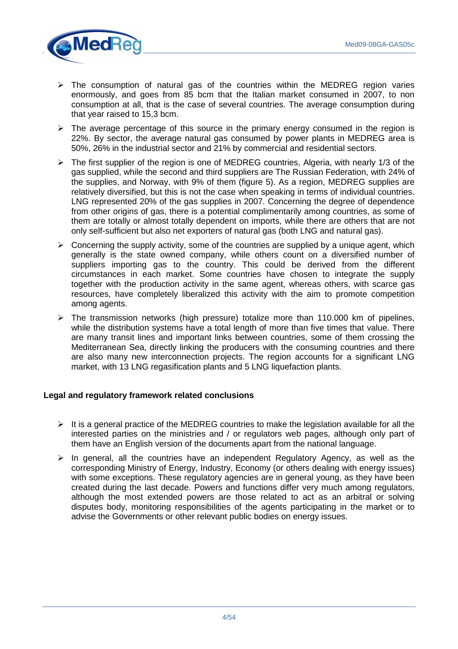

- $\triangleright$  The consumption of natural gas of the countries within the MEDREG region varies enormously, and goes from 85 bcm that the Italian market consumed in 2007, to non consumption at all, that is the case of several countries. The average consumption during that year raised to 15,3 bcm.
- $\triangleright$  The average percentage of this source in the primary energy consumed in the region is 22%. By sector, the average natural gas consumed by power plants in MEDREG area is 50%, 26% in the industrial sector and 21% by commercial and residential sectors.
- $\triangleright$  The first supplier of the region is one of MEDREG countries, Algeria, with nearly 1/3 of the gas supplied, while the second and third suppliers are The Russian Federation, with 24% of the supplies, and Norway, with 9% of them (figure 5). As a region, MEDREG supplies are relatively diversified, but this is not the case when speaking in terms of individual countries. LNG represented 20% of the gas supplies in 2007. Concerning the degree of dependence from other origins of gas, there is a potential complimentarily among countries, as some of them are totally or almost totally dependent on imports, while there are others that are not only self-sufficient but also net exporters of natural gas (both LNG and natural gas).
- $\triangleright$  Concerning the supply activity, some of the countries are supplied by a unique agent, which generally is the state owned company, while others count on a diversified number of suppliers importing gas to the country. This could be derived from the different circumstances in each market. Some countries have chosen to integrate the supply together with the production activity in the same agent, whereas others, with scarce gas resources, have completely liberalized this activity with the aim to promote competition among agents.
- $\triangleright$  The transmission networks (high pressure) totalize more than 110.000 km of pipelines, while the distribution systems have a total length of more than five times that value. There are many transit lines and important links between countries, some of them crossing the Mediterranean Sea, directly linking the producers with the consuming countries and there are also many new interconnection projects. The region accounts for a significant LNG market, with 13 LNG regasification plants and 5 LNG liquefaction plants.

#### **Legal and regulatory framework related conclusions**

- $\triangleright$  It is a general practice of the MEDREG countries to make the legislation available for all the interested parties on the ministries and / or regulators web pages, although only part of them have an English version of the documents apart from the national language.
- $\triangleright$  In general, all the countries have an independent Regulatory Agency, as well as the corresponding Ministry of Energy, Industry, Economy (or others dealing with energy issues) with some exceptions. These regulatory agencies are in general young, as they have been created during the last decade. Powers and functions differ very much among regulators, although the most extended powers are those related to act as an arbitral or solving disputes body, monitoring responsibilities of the agents participating in the market or to advise the Governments or other relevant public bodies on energy issues.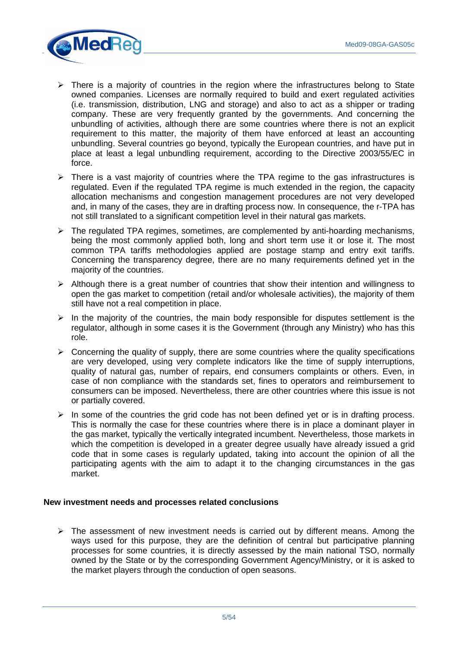

- $\triangleright$  There is a majority of countries in the region where the infrastructures belong to State owned companies. Licenses are normally required to build and exert regulated activities (i.e. transmission, distribution, LNG and storage) and also to act as a shipper or trading company. These are very frequently granted by the governments. And concerning the unbundling of activities, although there are some countries where there is not an explicit requirement to this matter, the majority of them have enforced at least an accounting unbundling. Several countries go beyond, typically the European countries, and have put in place at least a legal unbundling requirement, according to the Directive 2003/55/EC in force.
- $\triangleright$  There is a vast majority of countries where the TPA regime to the gas infrastructures is regulated. Even if the regulated TPA regime is much extended in the region, the capacity allocation mechanisms and congestion management procedures are not very developed and, in many of the cases, they are in drafting process now. In consequence, the r-TPA has not still translated to a significant competition level in their natural gas markets.
- $\triangleright$  The regulated TPA regimes, sometimes, are complemented by anti-hoarding mechanisms, being the most commonly applied both, long and short term use it or lose it. The most common TPA tariffs methodologies applied are postage stamp and entry exit tariffs. Concerning the transparency degree, there are no many requirements defined yet in the majority of the countries.
- $\triangleright$  Although there is a great number of countries that show their intention and willingness to open the gas market to competition (retail and/or wholesale activities), the majority of them still have not a real competition in place.
- $\triangleright$  In the majority of the countries, the main body responsible for disputes settlement is the regulator, although in some cases it is the Government (through any Ministry) who has this role.
- $\triangleright$  Concerning the quality of supply, there are some countries where the quality specifications are very developed, using very complete indicators like the time of supply interruptions, quality of natural gas, number of repairs, end consumers complaints or others. Even, in case of non compliance with the standards set, fines to operators and reimbursement to consumers can be imposed. Nevertheless, there are other countries where this issue is not or partially covered.
- $\triangleright$  In some of the countries the grid code has not been defined yet or is in drafting process. This is normally the case for these countries where there is in place a dominant player in the gas market, typically the vertically integrated incumbent. Nevertheless, those markets in which the competition is developed in a greater degree usually have already issued a grid code that in some cases is regularly updated, taking into account the opinion of all the participating agents with the aim to adapt it to the changing circumstances in the gas market.

#### **New investment needs and processes related conclusions**

 $\triangleright$  The assessment of new investment needs is carried out by different means. Among the ways used for this purpose, they are the definition of central but participative planning processes for some countries, it is directly assessed by the main national TSO, normally owned by the State or by the corresponding Government Agency/Ministry, or it is asked to the market players through the conduction of open seasons.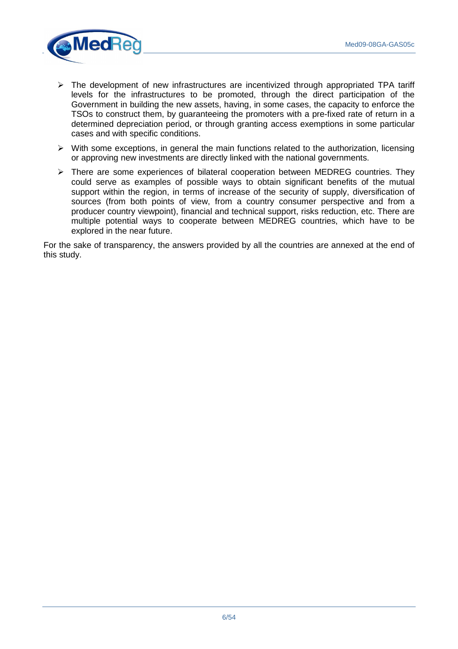

- $\triangleright$  The development of new infrastructures are incentivized through appropriated TPA tariff levels for the infrastructures to be promoted, through the direct participation of the Government in building the new assets, having, in some cases, the capacity to enforce the TSOs to construct them, by guaranteeing the promoters with a pre-fixed rate of return in a determined depreciation period, or through granting access exemptions in some particular cases and with specific conditions.
- $\triangleright$  With some exceptions, in general the main functions related to the authorization, licensing or approving new investments are directly linked with the national governments.
- $\triangleright$  There are some experiences of bilateral cooperation between MEDREG countries. They could serve as examples of possible ways to obtain significant benefits of the mutual support within the region, in terms of increase of the security of supply, diversification of sources (from both points of view, from a country consumer perspective and from a producer country viewpoint), financial and technical support, risks reduction, etc. There are multiple potential ways to cooperate between MEDREG countries, which have to be explored in the near future.

For the sake of transparency, the answers provided by all the countries are annexed at the end of this study.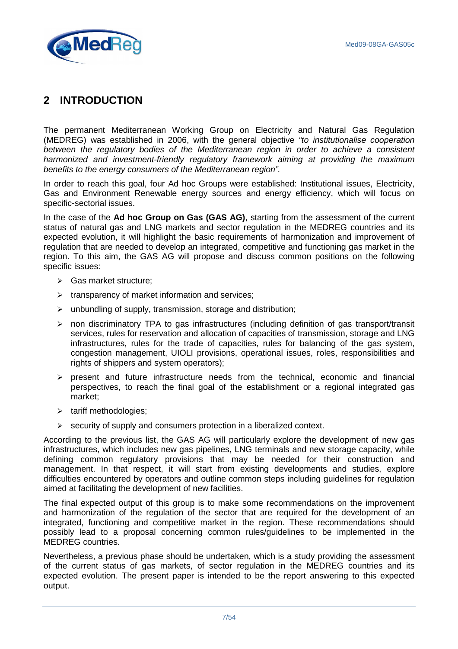

# **2 INTRODUCTION**

The permanent Mediterranean Working Group on Electricity and Natural Gas Regulation (MEDREG) was established in 2006, with the general objective "to institutionalise cooperation between the regulatory bodies of the Mediterranean region in order to achieve a consistent harmonized and investment-friendly regulatory framework aiming at providing the maximum benefits to the energy consumers of the Mediterranean region".

In order to reach this goal, four Ad hoc Groups were established: Institutional issues, Electricity, Gas and Environment Renewable energy sources and energy efficiency, which will focus on specific-sectorial issues.

In the case of the **Ad hoc Group on Gas (GAS AG)**, starting from the assessment of the current status of natural gas and LNG markets and sector regulation in the MEDREG countries and its expected evolution, it will highlight the basic requirements of harmonization and improvement of regulation that are needed to develop an integrated, competitive and functioning gas market in the region. To this aim, the GAS AG will propose and discuss common positions on the following specific issues:

- Gas market structure;
- $\triangleright$  transparency of market information and services;
- $\triangleright$  unbundling of supply, transmission, storage and distribution;
- $\ge$  non discriminatory TPA to gas infrastructures (including definition of gas transport/transit services, rules for reservation and allocation of capacities of transmission, storage and LNG infrastructures, rules for the trade of capacities, rules for balancing of the gas system, congestion management, UIOLI provisions, operational issues, roles, responsibilities and rights of shippers and system operators);
- $\triangleright$  present and future infrastructure needs from the technical, economic and financial perspectives, to reach the final goal of the establishment or a regional integrated gas market;
- $\triangleright$  tariff methodologies;
- $\triangleright$  security of supply and consumers protection in a liberalized context.

According to the previous list, the GAS AG will particularly explore the development of new gas infrastructures, which includes new gas pipelines, LNG terminals and new storage capacity, while defining common regulatory provisions that may be needed for their construction and management. In that respect, it will start from existing developments and studies, explore difficulties encountered by operators and outline common steps including guidelines for regulation aimed at facilitating the development of new facilities.

The final expected output of this group is to make some recommendations on the improvement and harmonization of the regulation of the sector that are required for the development of an integrated, functioning and competitive market in the region. These recommendations should possibly lead to a proposal concerning common rules/guidelines to be implemented in the MEDREG countries.

Nevertheless, a previous phase should be undertaken, which is a study providing the assessment of the current status of gas markets, of sector regulation in the MEDREG countries and its expected evolution. The present paper is intended to be the report answering to this expected output.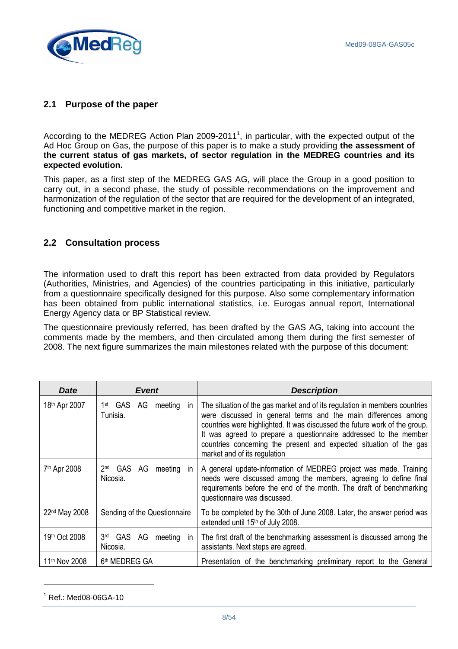

# **2.1 Purpose of the paper**

According to the MEDREG Action Plan 2009-2011<sup>1</sup>, in particular, with the expected output of the Ad Hoc Group on Gas, the purpose of this paper is to make a study providing **the assessment of the current status of gas markets, of sector regulation in the MEDREG countries and its expected evolution.**

This paper, as a first step of the MEDREG GAS AG, will place the Group in a good position to carry out, in a second phase, the study of possible recommendations on the improvement and harmonization of the regulation of the sector that are required for the development of an integrated, functioning and competitive market in the region.

# **2.2 Consultation process**

The information used to draft this report has been extracted from data provided by Regulators (Authorities, Ministries, and Agencies) of the countries participating in this initiative, particularly from a questionnaire specifically designed for this purpose. Also some complementary information has been obtained from public international statistics, i.e. Eurogas annual report, International Energy Agency data or BP Statistical review.

The questionnaire previously referred, has been drafted by the GAS AG, taking into account the comments made by the members, and then circulated among them during the first semester of 2008. The next figure summarizes the main milestones related with the purpose of this document:

| <b>Date</b>               | <b>Event</b>                                                      | <b>Description</b>                                                                                                                                                                                                                                                                                                                                                                                   |
|---------------------------|-------------------------------------------------------------------|------------------------------------------------------------------------------------------------------------------------------------------------------------------------------------------------------------------------------------------------------------------------------------------------------------------------------------------------------------------------------------------------------|
| 18 <sup>th</sup> Apr 2007 | 1 <sup>st</sup> GAS AG<br>meeting<br><sub>in</sub><br>Tunisia.    | The situation of the gas market and of its regulation in members countries<br>were discussed in general terms and the main differences among<br>countries were highlighted. It was discussed the future work of the group.<br>It was agreed to prepare a questionnaire addressed to the member<br>countries concerning the present and expected situation of the gas<br>market and of its regulation |
| 7 <sup>th</sup> Apr 2008  | 2 <sub>nd</sub><br>GAS AG meeting<br>ın<br>Nicosia.               | A general update-information of MEDREG project was made. Training<br>needs were discussed among the members, agreeing to define final<br>requirements before the end of the month. The draft of benchmarking<br>questionnaire was discussed.                                                                                                                                                         |
| 22 <sup>nd</sup> May 2008 | Sending of the Questionnaire                                      | To be completed by the 30th of June 2008. Later, the answer period was<br>extended until 15th of July 2008.                                                                                                                                                                                                                                                                                          |
| 19th Oct 2008             | 3 <sup>rd</sup><br>GAS AG<br>meeting<br><sub>in</sub><br>Nicosia. | The first draft of the benchmarking assessment is discussed among the<br>assistants. Next steps are agreed.                                                                                                                                                                                                                                                                                          |
| 11 <sup>th</sup> Nov 2008 | 6 <sup>th</sup> MEDREG GA                                         | Presentation of the benchmarking preliminary report to the General                                                                                                                                                                                                                                                                                                                                   |

<sup>1</sup> Ref.: Med08-06GA-10

 $\overline{a}$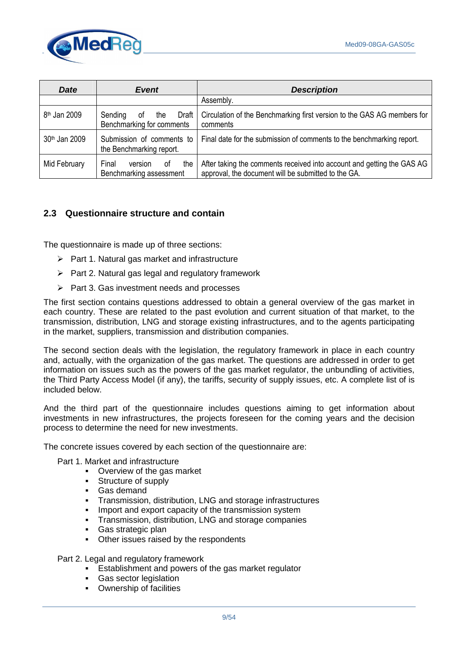

| <b>Date</b>              | <b>Event</b>                                               | <b>Description</b>                                                                                                            |
|--------------------------|------------------------------------------------------------|-------------------------------------------------------------------------------------------------------------------------------|
|                          |                                                            | Assembly.                                                                                                                     |
| 8 <sup>th</sup> Jan 2009 | Sending<br>Draft<br>0f<br>the<br>Benchmarking for comments | Circulation of the Benchmarking first version to the GAS AG members for<br>comments                                           |
| 30th Jan 2009            | Submission of comments to<br>the Benchmarking report.      | Final date for the submission of comments to the benchmarking report.                                                         |
| Mid February             | Final<br>the<br>version<br>0t<br>Benchmarking assessment   | After taking the comments received into account and getting the GAS AG<br>approval, the document will be submitted to the GA. |

# **2.3 Questionnaire structure and contain**

The questionnaire is made up of three sections:

- $\triangleright$  Part 1. Natural gas market and infrastructure
- $\triangleright$  Part 2. Natural gas legal and regulatory framework
- $\triangleright$  Part 3. Gas investment needs and processes

The first section contains questions addressed to obtain a general overview of the gas market in each country. These are related to the past evolution and current situation of that market, to the transmission, distribution, LNG and storage existing infrastructures, and to the agents participating in the market, suppliers, transmission and distribution companies.

The second section deals with the legislation, the regulatory framework in place in each country and, actually, with the organization of the gas market. The questions are addressed in order to get information on issues such as the powers of the gas market regulator, the unbundling of activities, the Third Party Access Model (if any), the tariffs, security of supply issues, etc. A complete list of is included below.

And the third part of the questionnaire includes questions aiming to get information about investments in new infrastructures, the projects foreseen for the coming years and the decision process to determine the need for new investments.

The concrete issues covered by each section of the questionnaire are:

- Part 1. Market and infrastructure
	- Overview of the gas market
	- Structure of supply
	- Gas demand
	- Transmission, distribution, LNG and storage infrastructures
	- **IMPORT And EXPORT CAPACITY OF the transmission system**
	- **Transmission, distribution, LNG and storage companies**
	- Gas strategic plan
	- Other issues raised by the respondents

Part 2. Legal and regulatory framework

- **Establishment and powers of the gas market regulator**
- **Gas sector legislation**
- **•** Ownership of facilities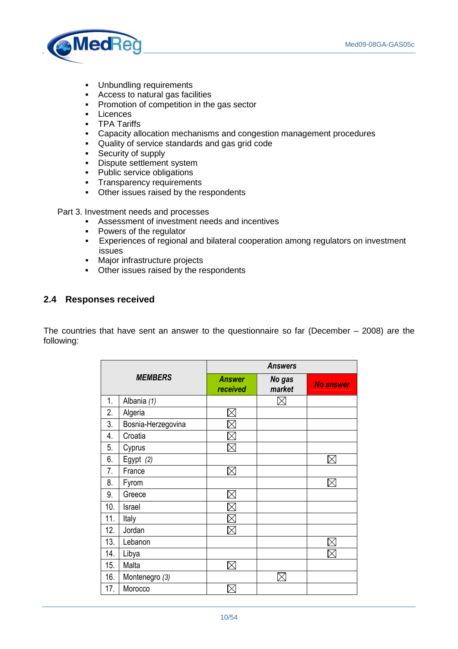

- **•** Unbundling requirements
- Access to natural gas facilities
- **•** Promotion of competition in the gas sector
- **Licences**
- **TPA Tariffs**
- Capacity allocation mechanisms and congestion management procedures
- Quality of service standards and gas grid code
- **Security of supply**
- **Dispute settlement system**
- Public service obligations
- **Transparency requirements**
- Other issues raised by the respondents

Part 3. Investment needs and processes

- Assessment of investment needs and incentives
- Powers of the regulator
- Experiences of regional and bilateral cooperation among regulators on investment issues
- **Major infrastructure projects**
- Other issues raised by the respondents

# **2.4 Responses received**

The countries that have sent an answer to the questionnaire so far (December – 2008) are the following:

|     |                    | <b>Answers</b>            |                  |                  |  |
|-----|--------------------|---------------------------|------------------|------------------|--|
|     | <b>MEMBERS</b>     | <b>Answer</b><br>received | No gas<br>market | <b>No answer</b> |  |
| 1.  | Albania (1)        |                           |                  |                  |  |
| 2.  | Algeria            |                           |                  |                  |  |
| 3.  | Bosnia-Herzegovina |                           |                  |                  |  |
| 4.  | Croatia            |                           |                  |                  |  |
| 5.  | Cyprus             |                           |                  |                  |  |
| 6.  | Egypt (2)          |                           |                  |                  |  |
| 7.  | France             |                           |                  |                  |  |
| 8.  | Fyrom              |                           |                  |                  |  |
| 9.  | Greece             |                           |                  |                  |  |
| 10. | Israel             |                           |                  |                  |  |
| 11. | Italy              |                           |                  |                  |  |
| 12. | Jordan             |                           |                  |                  |  |
| 13. | Lebanon            |                           |                  |                  |  |
| 14. | Libya              |                           |                  |                  |  |
| 15. | Malta              |                           |                  |                  |  |
| 16. | Montenegro (3)     |                           |                  |                  |  |
| 17. | Morocco            |                           |                  |                  |  |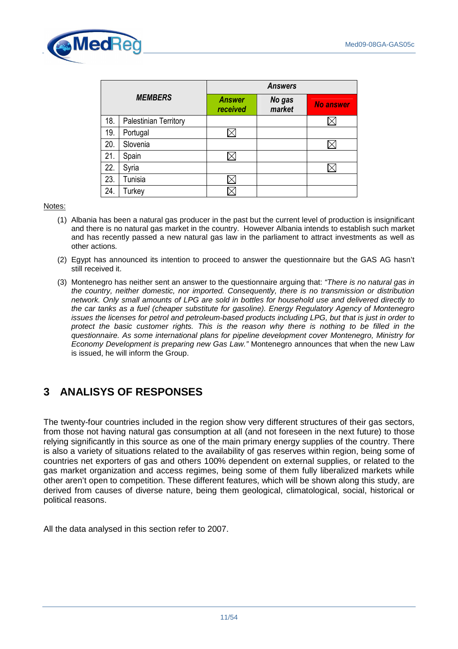

|                |                       | <b>Answers</b>            |                  |                  |
|----------------|-----------------------|---------------------------|------------------|------------------|
| <b>MEMBERS</b> |                       | <b>Answer</b><br>received | No gas<br>market | <b>No answer</b> |
| 18.            | Palestinian Territory |                           |                  |                  |
| 19.            | Portugal              |                           |                  |                  |
| 20.            | Slovenia              |                           |                  |                  |
| 21.            | Spain                 |                           |                  |                  |
| 22.            | Syria                 |                           |                  |                  |
| 23.            | Tunisia               |                           |                  |                  |
| 24.            | Turkey                |                           |                  |                  |

#### Notes:

- (1) Albania has been a natural gas producer in the past but the current level of production is insignificant and there is no natural gas market in the country. However Albania intends to establish such market and has recently passed a new natural gas law in the parliament to attract investments as well as other actions.
- (2) Egypt has announced its intention to proceed to answer the questionnaire but the GAS AG hasn't still received it.
- (3) Montenegro has neither sent an answer to the questionnaire arguing that: "There is no natural gas in the country, neither domestic, nor imported. Consequently, there is no transmission or distribution network. Only small amounts of LPG are sold in bottles for household use and delivered directly to the car tanks as a fuel (cheaper substitute for gasoline). Energy Regulatory Agency of Montenegro issues the licenses for petrol and petroleum-based products including LPG, but that is just in order to protect the basic customer rights. This is the reason why there is nothing to be filled in the questionnaire. As some international plans for pipeline development cover Montenegro, Ministry for Economy Development is preparing new Gas Law." Montenegro announces that when the new Law is issued, he will inform the Group.

# **3 ANALISYS OF RESPONSES**

The twenty-four countries included in the region show very different structures of their gas sectors, from those not having natural gas consumption at all (and not foreseen in the next future) to those relying significantly in this source as one of the main primary energy supplies of the country. There is also a variety of situations related to the availability of gas reserves within region, being some of countries net exporters of gas and others 100% dependent on external supplies, or related to the gas market organization and access regimes, being some of them fully liberalized markets while other aren't open to competition. These different features, which will be shown along this study, are derived from causes of diverse nature, being them geological, climatological, social, historical or political reasons.

All the data analysed in this section refer to 2007.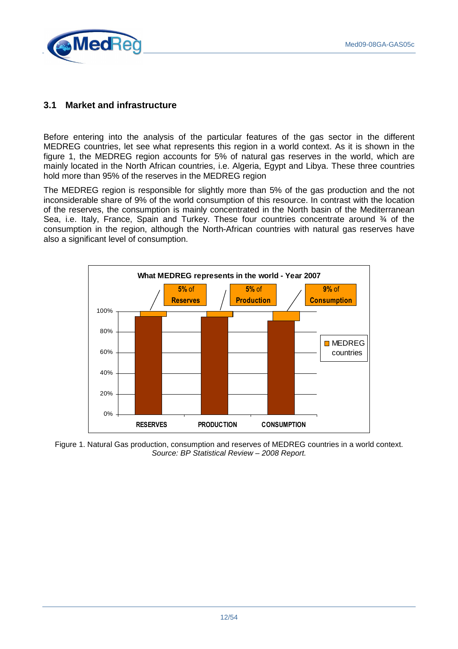

# **3.1 Market and infrastructure**

Before entering into the analysis of the particular features of the gas sector in the different MEDREG countries, let see what represents this region in a world context. As it is shown in the figure 1, the MEDREG region accounts for 5% of natural gas reserves in the world, which are mainly located in the North African countries, i.e. Algeria, Egypt and Libya. These three countries hold more than 95% of the reserves in the MEDREG region

The MEDREG region is responsible for slightly more than 5% of the gas production and the not inconsiderable share of 9% of the world consumption of this resource. In contrast with the location of the reserves, the consumption is mainly concentrated in the North basin of the Mediterranean Sea, i.e. Italy, France, Spain and Turkey. These four countries concentrate around 34 of the consumption in the region, although the North-African countries with natural gas reserves have also a significant level of consumption.



Figure 1. Natural Gas production, consumption and reserves of MEDREG countries in a world context. Source: BP Statistical Review – 2008 Report.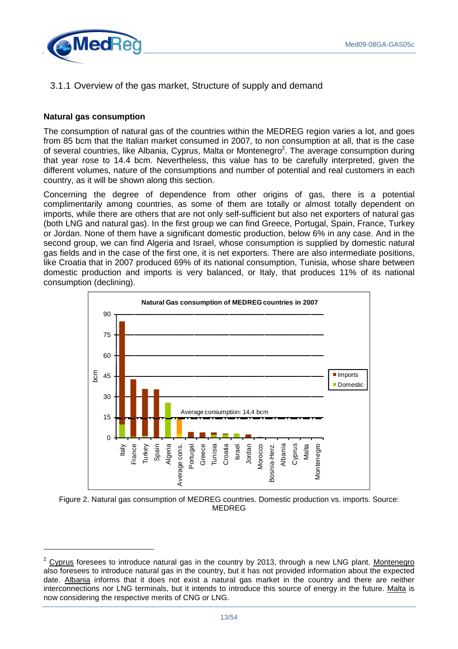

3.1.1 Overview of the gas market, Structure of supply and demand

#### **Natural gas consumption**

 $\overline{a}$ 

The consumption of natural gas of the countries within the MEDREG region varies a lot, and goes from 85 bcm that the Italian market consumed in 2007, to non consumption at all, that is the case of several countries, like Albania, Cyprus, Malta or Montenegro<sup>2</sup>. The average consumption during that year rose to 14.4 bcm. Nevertheless, this value has to be carefully interpreted, given the different volumes, nature of the consumptions and number of potential and real customers in each country, as it will be shown along this section.

Concerning the degree of dependence from other origins of gas, there is a potential complimentarily among countries, as some of them are totally or almost totally dependent on imports, while there are others that are not only self-sufficient but also net exporters of natural gas (both LNG and natural gas). In the first group we can find Greece, Portugal, Spain, France, Turkey or Jordan. None of them have a significant domestic production, below 6% in any case. And in the second group, we can find Algeria and Israel, whose consumption is supplied by domestic natural gas fields and in the case of the first one, it is net exporters. There are also intermediate positions, like Croatia that in 2007 produced 69% of its national consumption, Tunisia, whose share between domestic production and imports is very balanced, or Italy, that produces 11% of its national consumption (declining).



Figure 2. Natural gas consumption of MEDREG countries. Domestic production vs. imports. Source: MEDREG

 $2$  Cyprus foresees to introduce natural gas in the country by 2013, through a new LNG plant. Montenegro also foresees to introduce natural gas in the country, but it has not provided information about the expected date. Albania informs that it does not exist a natural gas market in the country and there are neither interconnections nor LNG terminals, but it intends to introduce this source of energy in the future. Malta is now considering the respective merits of CNG or LNG.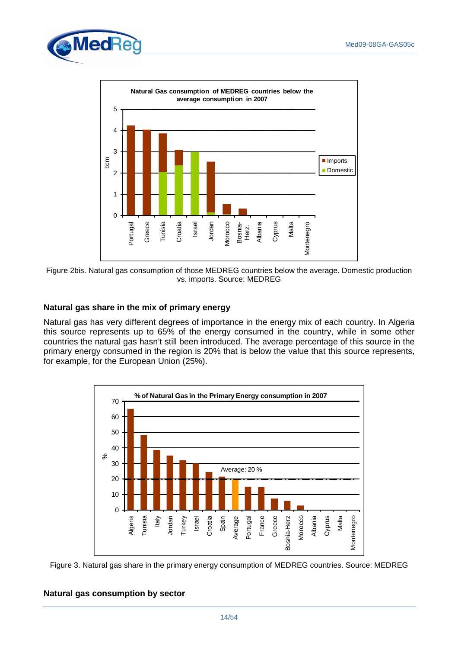



Figure 2bis. Natural gas consumption of those MEDREG countries below the average. Domestic production vs. imports. Source: MEDREG

# **Natural gas share in the mix of primary energy**

Natural gas has very different degrees of importance in the energy mix of each country. In Algeria this source represents up to 65% of the energy consumed in the country, while in some other countries the natural gas hasn't still been introduced. The average percentage of this source in the primary energy consumed in the region is 20% that is below the value that this source represents, for example, for the European Union (25%).





# **Natural gas consumption by sector**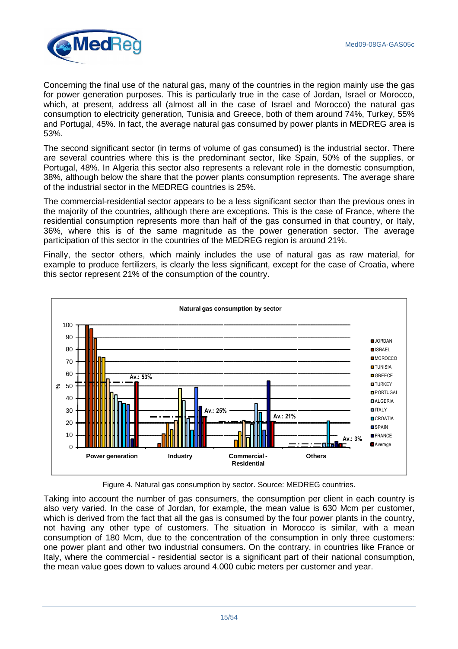

Concerning the final use of the natural gas, many of the countries in the region mainly use the gas for power generation purposes. This is particularly true in the case of Jordan, Israel or Morocco, which, at present, address all (almost all in the case of Israel and Morocco) the natural gas consumption to electricity generation, Tunisia and Greece, both of them around 74%, Turkey, 55% and Portugal, 45%. In fact, the average natural gas consumed by power plants in MEDREG area is 53%.

The second significant sector (in terms of volume of gas consumed) is the industrial sector. There are several countries where this is the predominant sector, like Spain, 50% of the supplies, or Portugal, 48%. In Algeria this sector also represents a relevant role in the domestic consumption, 38%, although below the share that the power plants consumption represents. The average share of the industrial sector in the MEDREG countries is 25%.

The commercial-residential sector appears to be a less significant sector than the previous ones in the majority of the countries, although there are exceptions. This is the case of France, where the residential consumption represents more than half of the gas consumed in that country, or Italy, 36%, where this is of the same magnitude as the power generation sector. The average participation of this sector in the countries of the MEDREG region is around 21%.

Finally, the sector others, which mainly includes the use of natural gas as raw material, for example to produce fertilizers, is clearly the less significant, except for the case of Croatia, where this sector represent 21% of the consumption of the country.



Figure 4. Natural gas consumption by sector. Source: MEDREG countries.

Taking into account the number of gas consumers, the consumption per client in each country is also very varied. In the case of Jordan, for example, the mean value is 630 Mcm per customer, which is derived from the fact that all the gas is consumed by the four power plants in the country, not having any other type of customers. The situation in Morocco is similar, with a mean consumption of 180 Mcm, due to the concentration of the consumption in only three customers: one power plant and other two industrial consumers. On the contrary, in countries like France or Italy, where the commercial - residential sector is a significant part of their national consumption, the mean value goes down to values around 4.000 cubic meters per customer and year.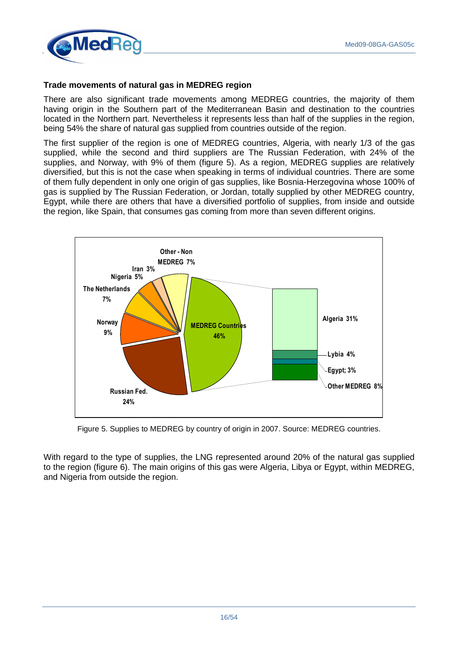

#### **Trade movements of natural gas in MEDREG region**

There are also significant trade movements among MEDREG countries, the majority of them having origin in the Southern part of the Mediterranean Basin and destination to the countries located in the Northern part. Nevertheless it represents less than half of the supplies in the region, being 54% the share of natural gas supplied from countries outside of the region.

The first supplier of the region is one of MEDREG countries, Algeria, with nearly 1/3 of the gas supplied, while the second and third suppliers are The Russian Federation, with 24% of the supplies, and Norway, with 9% of them (figure 5). As a region, MEDREG supplies are relatively diversified, but this is not the case when speaking in terms of individual countries. There are some of them fully dependent in only one origin of gas supplies, like Bosnia-Herzegovina whose 100% of gas is supplied by The Russian Federation, or Jordan, totally supplied by other MEDREG country, Egypt, while there are others that have a diversified portfolio of supplies, from inside and outside the region, like Spain, that consumes gas coming from more than seven different origins.



Figure 5. Supplies to MEDREG by country of origin in 2007. Source: MEDREG countries.

With regard to the type of supplies, the LNG represented around 20% of the natural gas supplied to the region (figure 6). The main origins of this gas were Algeria, Libya or Egypt, within MEDREG, and Nigeria from outside the region.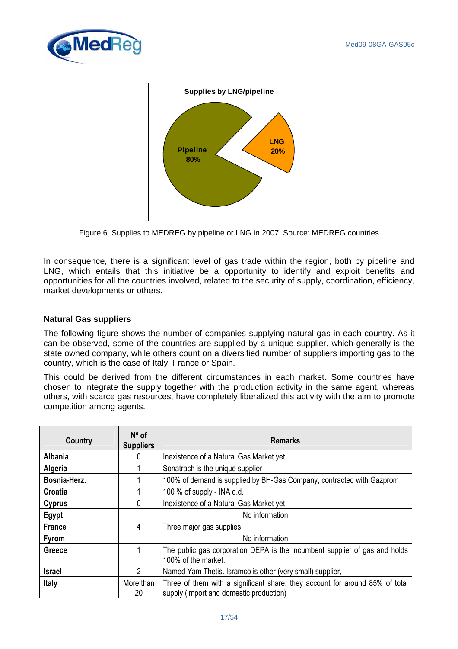



Figure 6. Supplies to MEDREG by pipeline or LNG in 2007. Source: MEDREG countries

In consequence, there is a significant level of gas trade within the region, both by pipeline and LNG, which entails that this initiative be a opportunity to identify and exploit benefits and opportunities for all the countries involved, related to the security of supply, coordination, efficiency, market developments or others.

#### **Natural Gas suppliers**

The following figure shows the number of companies supplying natural gas in each country. As it can be observed, some of the countries are supplied by a unique supplier, which generally is the state owned company, while others count on a diversified number of suppliers importing gas to the country, which is the case of Italy, France or Spain.

This could be derived from the different circumstances in each market. Some countries have chosen to integrate the supply together with the production activity in the same agent, whereas others, with scarce gas resources, have completely liberalized this activity with the aim to promote competition among agents.

| Country        | $N^{\circ}$ of<br><b>Suppliers</b> | <b>Remarks</b>                                                                                                          |  |  |
|----------------|------------------------------------|-------------------------------------------------------------------------------------------------------------------------|--|--|
| <b>Albania</b> |                                    | Inexistence of a Natural Gas Market yet                                                                                 |  |  |
| <b>Algeria</b> |                                    | Sonatrach is the unique supplier                                                                                        |  |  |
| Bosnia-Herz.   |                                    | 100% of demand is supplied by BH-Gas Company, contracted with Gazprom                                                   |  |  |
| Croatia        |                                    | 100 $%$ of supply - INA d.d.                                                                                            |  |  |
| <b>Cyprus</b>  | 0                                  | Inexistence of a Natural Gas Market yet                                                                                 |  |  |
| Egypt          | No information                     |                                                                                                                         |  |  |
| <b>France</b>  | 4                                  | Three major gas supplies                                                                                                |  |  |
| <b>Fyrom</b>   | No information                     |                                                                                                                         |  |  |
| Greece         |                                    | The public gas corporation DEPA is the incumbent supplier of gas and holds<br>100% of the market.                       |  |  |
| <b>Israel</b>  | $\mathcal{P}$                      | Named Yam Thetis. Isramco is other (very small) supplier,                                                               |  |  |
| <b>Italy</b>   | More than<br>20                    | Three of them with a significant share: they account for around 85% of total<br>supply (import and domestic production) |  |  |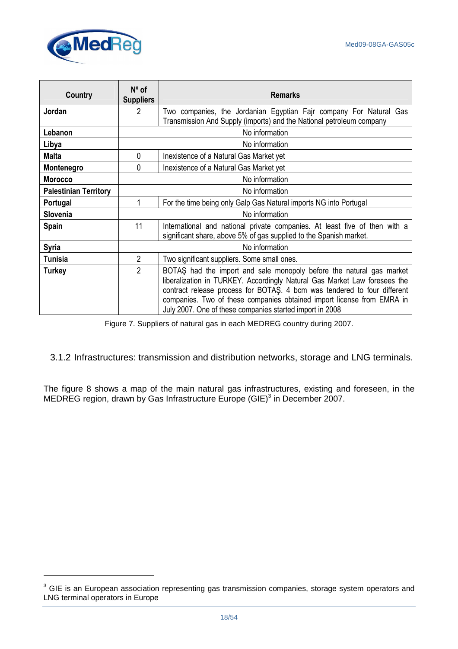

 $\overline{a}$ 

| Country                      | $N^{\circ}$ of<br><b>Suppliers</b>                                | <b>Remarks</b>                                                                                                                                                                                                                                                                                                                                                      |  |  |
|------------------------------|-------------------------------------------------------------------|---------------------------------------------------------------------------------------------------------------------------------------------------------------------------------------------------------------------------------------------------------------------------------------------------------------------------------------------------------------------|--|--|
| Jordan                       | 2                                                                 | Two companies, the Jordanian Egyptian Fajr company For Natural Gas<br>Transmission And Supply (imports) and the National petroleum company                                                                                                                                                                                                                          |  |  |
| Lebanon                      |                                                                   | No information                                                                                                                                                                                                                                                                                                                                                      |  |  |
| Libya                        |                                                                   | No information                                                                                                                                                                                                                                                                                                                                                      |  |  |
| <b>Malta</b>                 | 0                                                                 | Inexistence of a Natural Gas Market yet                                                                                                                                                                                                                                                                                                                             |  |  |
| Montenegro                   | 0                                                                 | Inexistence of a Natural Gas Market yet                                                                                                                                                                                                                                                                                                                             |  |  |
| <b>Morocco</b>               |                                                                   | No information                                                                                                                                                                                                                                                                                                                                                      |  |  |
| <b>Palestinian Territory</b> |                                                                   | No information                                                                                                                                                                                                                                                                                                                                                      |  |  |
| Portugal                     | For the time being only Galp Gas Natural imports NG into Portugal |                                                                                                                                                                                                                                                                                                                                                                     |  |  |
| <b>Slovenia</b>              | No information                                                    |                                                                                                                                                                                                                                                                                                                                                                     |  |  |
| Spain                        | 11                                                                | International and national private companies. At least five of then with a<br>significant share, above 5% of gas supplied to the Spanish market.                                                                                                                                                                                                                    |  |  |
| <b>Syria</b>                 |                                                                   | No information                                                                                                                                                                                                                                                                                                                                                      |  |  |
| <b>Tunisia</b>               | $\overline{2}$<br>Two significant suppliers. Some small ones.     |                                                                                                                                                                                                                                                                                                                                                                     |  |  |
| <b>Turkey</b>                | $\overline{2}$                                                    | BOTAS had the import and sale monopoly before the natural gas market<br>liberalization in TURKEY. Accordingly Natural Gas Market Law foresees the<br>contract release process for BOTAŞ. 4 bcm was tendered to four different<br>companies. Two of these companies obtained import license from EMRA in<br>July 2007. One of these companies started import in 2008 |  |  |

Figure 7. Suppliers of natural gas in each MEDREG country during 2007.

# 3.1.2 Infrastructures: transmission and distribution networks, storage and LNG terminals.

The figure 8 shows a map of the main natural gas infrastructures, existing and foreseen, in the MEDREG region, drawn by Gas Infrastructure Europe (GIE) $^3$  in December 2007.

 $3$  GIE is an European association representing gas transmission companies, storage system operators and LNG terminal operators in Europe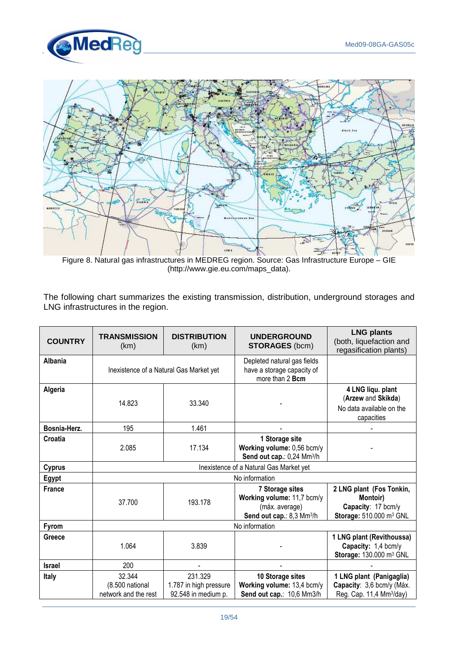



Figure 8. Natural gas infrastructures in MEDREG region. Source: Gas Infrastructure Europe – GIE (http://www.gie.eu.com/maps\_data).

The following chart summarizes the existing transmission, distribution, underground storages and LNG infrastructures in the region.

| <b>COUNTRY</b> | <b>TRANSMISSION</b><br>(km)                       | <b>DISTRIBUTION</b><br>(km)                              | <b>UNDERGROUND</b><br><b>STORAGES (bcm)</b>                                                              | <b>LNG plants</b><br>(both, liquefaction and<br>regasification plants)                            |  |
|----------------|---------------------------------------------------|----------------------------------------------------------|----------------------------------------------------------------------------------------------------------|---------------------------------------------------------------------------------------------------|--|
| <b>Albania</b> |                                                   | Inexistence of a Natural Gas Market yet                  | Depleted natural gas fields<br>have a storage capacity of<br>more than 2 Bcm                             |                                                                                                   |  |
| Algeria        | 14.823                                            | 33.340                                                   |                                                                                                          | 4 LNG liqu. plant<br>(Arzew and Skikda)<br>No data available on the<br>capacities                 |  |
| Bosnia-Herz.   | 195                                               | 1.461                                                    |                                                                                                          |                                                                                                   |  |
| Croatia        | 2.085                                             | 17.134                                                   | 1 Storage site<br>Working volume: 0,56 bcm/y<br>Send out cap.: 0,24 Mm <sup>3</sup> /h                   |                                                                                                   |  |
| <b>Cyprus</b>  | Inexistence of a Natural Gas Market yet           |                                                          |                                                                                                          |                                                                                                   |  |
| Egypt          | No information                                    |                                                          |                                                                                                          |                                                                                                   |  |
| <b>France</b>  | 37.700                                            | 193.178                                                  | 7 Storage sites<br>Working volume: 11,7 bcm/y<br>(máx. average)<br>Send out cap.: 8,3 Mm <sup>3</sup> /h | 2 LNG plant (Fos Tonkin,<br>Montoir)<br>Capacity: 17 bcm/y<br>Storage: 510.000 m <sup>3</sup> GNL |  |
| <b>Fyrom</b>   | No information                                    |                                                          |                                                                                                          |                                                                                                   |  |
| Greece         | 1.064                                             | 3.839                                                    |                                                                                                          | 1 LNG plant (Revithoussa)<br>Capacity: 1,4 bcm/y<br>Storage: 130.000 m <sup>3</sup> GNL           |  |
| <b>Israel</b>  | 200                                               |                                                          |                                                                                                          |                                                                                                   |  |
| Italy          | 32.344<br>(8.500 national<br>network and the rest | 231.329<br>1.787 in high pressure<br>92.548 in medium p. | 10 Storage sites<br>Working volume: 13,4 bcm/y<br>Send out cap.: 10,6 Mm3/h                              | 1 LNG plant (Panigaglia)<br>Capacity: 3,6 bcm/y (Máx.<br>Reg. Cap. 11,4 Mm <sup>3</sup> /day)     |  |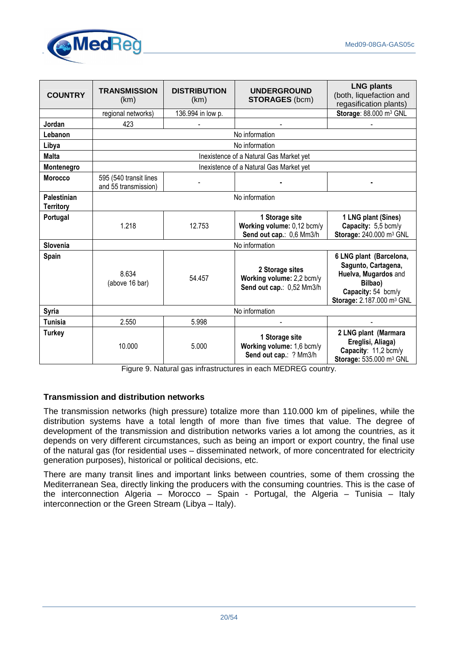

| <b>COUNTRY</b>                  | <b>TRANSMISSION</b><br>(km)                    | <b>DISTRIBUTION</b><br>(km) | <b>UNDERGROUND</b><br><b>STORAGES (bcm)</b>                               | <b>LNG plants</b><br>(both, liquefaction and<br>regasification plants)                                                                           |
|---------------------------------|------------------------------------------------|-----------------------------|---------------------------------------------------------------------------|--------------------------------------------------------------------------------------------------------------------------------------------------|
|                                 | regional networks)                             | 136.994 in low p.           |                                                                           | Storage: 88.000 m <sup>3</sup> GNL                                                                                                               |
| Jordan                          | 423                                            |                             |                                                                           |                                                                                                                                                  |
| Lebanon                         |                                                |                             | No information                                                            |                                                                                                                                                  |
| Libya                           |                                                |                             | No information                                                            |                                                                                                                                                  |
| <b>Malta</b>                    |                                                |                             | Inexistence of a Natural Gas Market yet                                   |                                                                                                                                                  |
| Montenegro                      |                                                |                             | Inexistence of a Natural Gas Market yet                                   |                                                                                                                                                  |
| <b>Morocco</b>                  | 595 (540 transit lines<br>and 55 transmission) |                             |                                                                           |                                                                                                                                                  |
| Palestinian<br><b>Territory</b> | No information                                 |                             |                                                                           |                                                                                                                                                  |
| Portugal                        | 1.218                                          | 12.753                      | 1 Storage site<br>Working volume: 0,12 bcm/y<br>Send out cap.: 0,6 Mm3/h  | 1 LNG plant (Sines)<br>Capacity: 5,5 bcm/y<br>Storage: 240.000 m <sup>3</sup> GNL                                                                |
| Slovenia                        | No information                                 |                             |                                                                           |                                                                                                                                                  |
| Spain                           | 8.634<br>(above 16 bar)                        | 54.457                      | 2 Storage sites<br>Working volume: 2,2 bcm/y<br>Send out cap.: 0,52 Mm3/h | 6 LNG plant (Barcelona,<br>Sagunto, Cartagena,<br>Huelva, Mugardos and<br>Bilbao)<br>Capacity: 54 bcm/y<br>Storage: 2.187.000 m <sup>3</sup> GNL |
| Syria                           | No information                                 |                             |                                                                           |                                                                                                                                                  |
| Tunisia                         | 2.550                                          | 5.998                       |                                                                           |                                                                                                                                                  |
| <b>Turkey</b>                   | 10.000                                         | 5.000                       | 1 Storage site<br>Working volume: 1,6 bcm/y<br>Send out cap.: ? Mm3/h     | 2 LNG plant (Marmara<br>Ereglisi, Aliaga)<br>Capacity: 11,2 bcm/y<br>Storage: 535.000 m <sup>3</sup> GNL                                         |

Figure 9. Natural gas infrastructures in each MEDREG country.

#### **Transmission and distribution networks**

The transmission networks (high pressure) totalize more than 110.000 km of pipelines, while the distribution systems have a total length of more than five times that value. The degree of development of the transmission and distribution networks varies a lot among the countries, as it depends on very different circumstances, such as being an import or export country, the final use of the natural gas (for residential uses – disseminated network, of more concentrated for electricity generation purposes), historical or political decisions, etc.

There are many transit lines and important links between countries, some of them crossing the Mediterranean Sea, directly linking the producers with the consuming countries. This is the case of the interconnection Algeria – Morocco – Spain - Portugal, the Algeria – Tunisia – Italy interconnection or the Green Stream (Libya – Italy).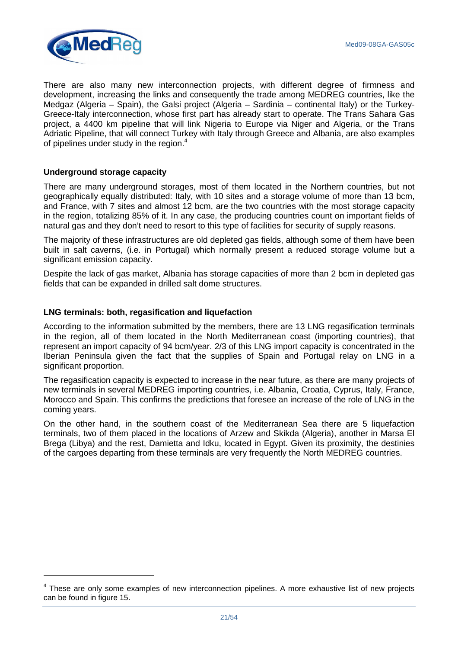

There are also many new interconnection projects, with different degree of firmness and development, increasing the links and consequently the trade among MEDREG countries, like the Medgaz (Algeria – Spain), the Galsi project (Algeria – Sardinia – continental Italy) or the Turkey-Greece-Italy interconnection, whose first part has already start to operate. The Trans Sahara Gas project, a 4400 km pipeline that will link Nigeria to Europe via Niger and Algeria, or the Trans Adriatic Pipeline, that will connect Turkey with Italy through Greece and Albania, are also examples of pipelines under study in the region. $4$ 

#### **Underground storage capacity**

 $\overline{a}$ 

There are many underground storages, most of them located in the Northern countries, but not geographically equally distributed: Italy, with 10 sites and a storage volume of more than 13 bcm, and France, with 7 sites and almost 12 bcm, are the two countries with the most storage capacity in the region, totalizing 85% of it. In any case, the producing countries count on important fields of natural gas and they don't need to resort to this type of facilities for security of supply reasons.

The majority of these infrastructures are old depleted gas fields, although some of them have been built in salt caverns, (i.e. in Portugal) which normally present a reduced storage volume but a significant emission capacity.

Despite the lack of gas market, Albania has storage capacities of more than 2 bcm in depleted gas fields that can be expanded in drilled salt dome structures.

#### **LNG terminals: both, regasification and liquefaction**

According to the information submitted by the members, there are 13 LNG regasification terminals in the region, all of them located in the North Mediterranean coast (importing countries), that represent an import capacity of 94 bcm/year. 2/3 of this LNG import capacity is concentrated in the Iberian Peninsula given the fact that the supplies of Spain and Portugal relay on LNG in a significant proportion.

The regasification capacity is expected to increase in the near future, as there are many projects of new terminals in several MEDREG importing countries, i.e. Albania, Croatia, Cyprus, Italy, France, Morocco and Spain. This confirms the predictions that foresee an increase of the role of LNG in the coming years.

On the other hand, in the southern coast of the Mediterranean Sea there are 5 liquefaction terminals, two of them placed in the locations of Arzew and Skikda (Algeria), another in Marsa El Brega (Libya) and the rest, Damietta and Idku, located in Egypt. Given its proximity, the destinies of the cargoes departing from these terminals are very frequently the North MEDREG countries.

<sup>&</sup>lt;sup>4</sup> These are only some examples of new interconnection pipelines. A more exhaustive list of new projects can be found in figure 15.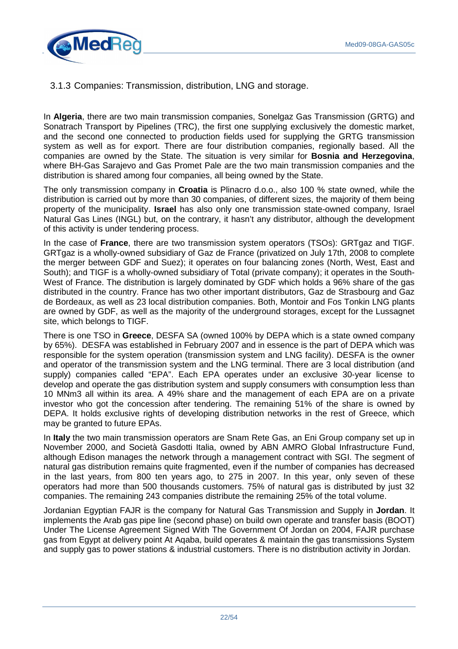

3.1.3 Companies: Transmission, distribution, LNG and storage.

In **Algeria**, there are two main transmission companies, Sonelgaz Gas Transmission (GRTG) and Sonatrach Transport by Pipelines (TRC), the first one supplying exclusively the domestic market, and the second one connected to production fields used for supplying the GRTG transmission system as well as for export. There are four distribution companies, regionally based. All the companies are owned by the State. The situation is very similar for **Bosnia and Herzegovina**, where BH-Gas Sarajevo and Gas Promet Pale are the two main transmission companies and the distribution is shared among four companies, all being owned by the State.

The only transmission company in **Croatia** is Plinacro d.o.o., also 100 % state owned, while the distribution is carried out by more than 30 companies, of different sizes, the majority of them being property of the municipality. **Israel** has also only one transmission state-owned company, Israel Natural Gas Lines (INGL) but, on the contrary, it hasn't any distributor, although the development of this activity is under tendering process.

In the case of **France**, there are two transmission system operators (TSOs): GRTgaz and TIGF. GRTgaz is a wholly-owned subsidiary of Gaz de France (privatized on July 17th, 2008 to complete the merger between GDF and Suez); it operates on four balancing zones (North, West, East and South); and TIGF is a wholly-owned subsidiary of Total (private company); it operates in the South-West of France. The distribution is largely dominated by GDF which holds a 96% share of the gas distributed in the country. France has two other important distributors, Gaz de Strasbourg and Gaz de Bordeaux, as well as 23 local distribution companies. Both, Montoir and Fos Tonkin LNG plants are owned by GDF, as well as the majority of the underground storages, except for the Lussagnet site, which belongs to TIGF.

There is one TSO in **Greece**, DESFA SA (owned 100% by DEPA which is a state owned company by 65%). DESFA was established in February 2007 and in essence is the part of DEPA which was responsible for the system operation (transmission system and LNG facility). DESFA is the owner and operator of the transmission system and the LNG terminal. There are 3 local distribution (and supply) companies called "EPA". Each EPA operates under an exclusive 30-year license to develop and operate the gas distribution system and supply consumers with consumption less than 10 MNm3 all within its area. A 49% share and the management of each EPA are on a private investor who got the concession after tendering. The remaining 51% of the share is owned by DEPA. It holds exclusive rights of developing distribution networks in the rest of Greece, which may be granted to future EPAs.

In **Italy** the two main transmission operators are Snam Rete Gas, an Eni Group company set up in November 2000, and Società Gasdotti Italia, owned by ABN AMRO Global Infrastructure Fund, although Edison manages the network through a management contract with SGI. The segment of natural gas distribution remains quite fragmented, even if the number of companies has decreased in the last years, from 800 ten years ago, to 275 in 2007. In this year, only seven of these operators had more than 500 thousands customers. 75% of natural gas is distributed by just 32 companies. The remaining 243 companies distribute the remaining 25% of the total volume.

Jordanian Egyptian FAJR is the company for Natural Gas Transmission and Supply in **Jordan**. It implements the Arab gas pipe line (second phase) on build own operate and transfer basis (BOOT) Under The License Agreement Signed With The Government Of Jordan on 2004, FAJR purchase gas from Egypt at delivery point At Aqaba, build operates & maintain the gas transmissions System and supply gas to power stations & industrial customers. There is no distribution activity in Jordan.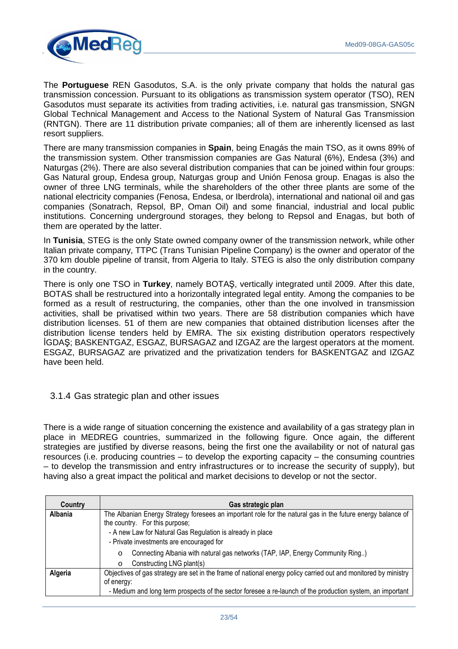

The **Portuguese** REN Gasodutos, S.A. is the only private company that holds the natural gas transmission concession. Pursuant to its obligations as transmission system operator (TSO), REN Gasodutos must separate its activities from trading activities, i.e. natural gas transmission, SNGN Global Technical Management and Access to the National System of Natural Gas Transmission (RNTGN). There are 11 distribution private companies; all of them are inherently licensed as last resort suppliers.

There are many transmission companies in **Spain**, being Enagás the main TSO, as it owns 89% of the transmission system. Other transmission companies are Gas Natural (6%), Endesa (3%) and Naturgas (2%). There are also several distribution companies that can be joined within four groups: Gas Natural group, Endesa group, Naturgas group and Unión Fenosa group. Enagas is also the owner of three LNG terminals, while the shareholders of the other three plants are some of the national electricity companies (Fenosa, Endesa, or Iberdrola), international and national oil and gas companies (Sonatrach, Repsol, BP, Oman Oil) and some financial, industrial and local public institutions. Concerning underground storages, they belong to Repsol and Enagas, but both of them are operated by the latter.

In **Tunisia**, STEG is the only State owned company owner of the transmission network, while other Italian private company, TTPC (Trans Tunisian Pipeline Company) is the owner and operator of the 370 km double pipeline of transit, from Algeria to Italy. STEG is also the only distribution company in the country.

There is only one TSO in **Turkey**, namely BOTAŞ, vertically integrated until 2009. After this date, BOTAS shall be restructured into a horizontally integrated legal entity. Among the companies to be formed as a result of restructuring, the companies, other than the one involved in transmission activities, shall be privatised within two years. There are 58 distribution companies which have distribution licenses. 51 of them are new companies that obtained distribution licenses after the distribution license tenders held by EMRA. The six existing distribution operators respectively IGDAS; BASKENTGAZ, ESGAZ, BURSAGAZ and IZGAZ are the largest operators at the moment. ESGAZ, BURSAGAZ are privatized and the privatization tenders for BASKENTGAZ and IZGAZ have been held.

# 3.1.4 Gas strategic plan and other issues

There is a wide range of situation concerning the existence and availability of a gas strategy plan in place in MEDREG countries, summarized in the following figure. Once again, the different strategies are justified by diverse reasons, being the first one the availability or not of natural gas resources (i.e. producing countries – to develop the exporting capacity – the consuming countries – to develop the transmission and entry infrastructures or to increase the security of supply), but having also a great impact the political and market decisions to develop or not the sector.

| Country | Gas strategic plan                                                                                                                            |  |  |  |
|---------|-----------------------------------------------------------------------------------------------------------------------------------------------|--|--|--|
| Albania | The Albanian Energy Strategy foresees an important role for the natural gas in the future energy balance of<br>the country. For this purpose; |  |  |  |
|         | - A new Law for Natural Gas Regulation is already in place                                                                                    |  |  |  |
|         | - Private investments are encouraged for                                                                                                      |  |  |  |
|         | Connecting Albania with natural gas networks (TAP, IAP, Energy Community Ring)<br>$\circ$                                                     |  |  |  |
|         | Constructing LNG plant(s)<br>∩                                                                                                                |  |  |  |
| Algeria | Objectives of gas strategy are set in the frame of national energy policy carried out and monitored by ministry                               |  |  |  |
|         | of energy:                                                                                                                                    |  |  |  |
|         | - Medium and long term prospects of the sector foresee a re-launch of the production system, an important                                     |  |  |  |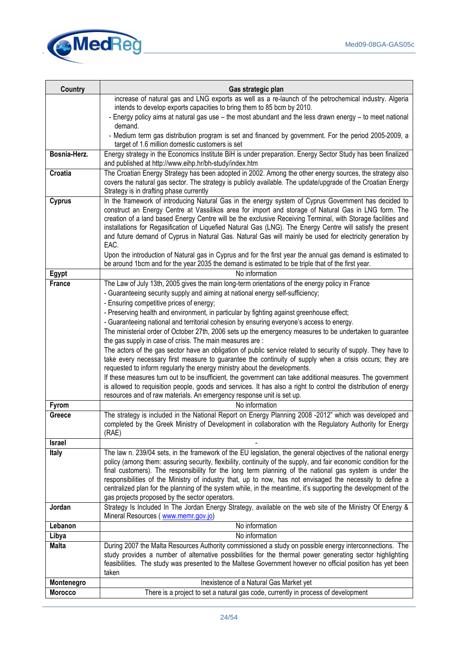

| <b>Country</b> | Gas strategic plan                                                                                                                                                                                                                                                                                                                                                                                                                                                                                                                                                                                                                                                              |
|----------------|---------------------------------------------------------------------------------------------------------------------------------------------------------------------------------------------------------------------------------------------------------------------------------------------------------------------------------------------------------------------------------------------------------------------------------------------------------------------------------------------------------------------------------------------------------------------------------------------------------------------------------------------------------------------------------|
|                | increase of natural gas and LNG exports as well as a re-launch of the petrochemical industry. Algeria                                                                                                                                                                                                                                                                                                                                                                                                                                                                                                                                                                           |
|                | intends to develop exports capacities to bring them to 85 bcm by 2010.                                                                                                                                                                                                                                                                                                                                                                                                                                                                                                                                                                                                          |
|                | - Energy policy aims at natural gas use - the most abundant and the less drawn energy - to meet national<br>demand.                                                                                                                                                                                                                                                                                                                                                                                                                                                                                                                                                             |
|                | - Medium term gas distribution program is set and financed by government. For the period 2005-2009, a<br>target of 1.6 million domestic customers is set                                                                                                                                                                                                                                                                                                                                                                                                                                                                                                                        |
| Bosnia-Herz.   | Energy strategy in the Economics Institute BiH is under preparation. Energy Sector Study has been finalized<br>and published at http://www.eihp.hr/bh-study/index.htm                                                                                                                                                                                                                                                                                                                                                                                                                                                                                                           |
| Croatia        | The Croatian Energy Strategy has been adopted in 2002. Among the other energy sources, the strategy also<br>covers the natural gas sector. The strategy is publicly available. The update/upgrade of the Croatian Energy<br>Strategy is in drafting phase currently                                                                                                                                                                                                                                                                                                                                                                                                             |
| <b>Cyprus</b>  | In the framework of introducing Natural Gas in the energy system of Cyprus Government has decided to<br>construct an Energy Centre at Vassilikos area for import and storage of Natural Gas in LNG form. The<br>creation of a land based Energy Centre will be the exclusive Receiving Terminal, with Storage facilities and<br>installations for Regasification of Liquefied Natural Gas (LNG). The Energy Centre will satisfy the present<br>and future demand of Cyprus in Natural Gas. Natural Gas will mainly be used for electricity generation by<br>EAC.<br>Upon the introduction of Natural gas in Cyprus and for the first year the annual gas demand is estimated to |
|                | be around 1bcm and for the year 2035 the demand is estimated to be triple that of the first year.                                                                                                                                                                                                                                                                                                                                                                                                                                                                                                                                                                               |
| Egypt          | No information                                                                                                                                                                                                                                                                                                                                                                                                                                                                                                                                                                                                                                                                  |
| <b>France</b>  | The Law of July 13th, 2005 gives the main long-term orientations of the energy policy in France<br>- Guaranteeing security supply and aiming at national energy self-sufficiency;<br>- Ensuring competitive prices of energy;                                                                                                                                                                                                                                                                                                                                                                                                                                                   |
|                | - Preserving health and environment, in particular by fighting against greenhouse effect;                                                                                                                                                                                                                                                                                                                                                                                                                                                                                                                                                                                       |
|                | - Guaranteeing national and territorial cohesion by ensuring everyone's access to energy.<br>The ministerial order of October 27th, 2006 sets up the emergency measures to be undertaken to guarantee                                                                                                                                                                                                                                                                                                                                                                                                                                                                           |
|                | the gas supply in case of crisis. The main measures are :                                                                                                                                                                                                                                                                                                                                                                                                                                                                                                                                                                                                                       |
|                | The actors of the gas sector have an obligation of public service related to security of supply. They have to<br>take every necessary first measure to guarantee the continuity of supply when a crisis occurs; they are<br>requested to inform regularly the energy ministry about the developments.<br>If these measures turn out to be insufficient, the government can take additional measures. The government<br>is allowed to requisition people, goods and services. It has also a right to control the distribution of energy                                                                                                                                          |
|                | resources and of raw materials. An emergency response unit is set up.                                                                                                                                                                                                                                                                                                                                                                                                                                                                                                                                                                                                           |
| <b>Fyrom</b>   | No information                                                                                                                                                                                                                                                                                                                                                                                                                                                                                                                                                                                                                                                                  |
| Greece         | The strategy is included in the National Report on Energy Planning 2008 -2012" which was developed and<br>completed by the Greek Ministry of Development in collaboration with the Regulatory Authority for Energy<br>(RAE)                                                                                                                                                                                                                                                                                                                                                                                                                                                     |
| <b>Israel</b>  |                                                                                                                                                                                                                                                                                                                                                                                                                                                                                                                                                                                                                                                                                 |
| <b>Italy</b>   | The law n. 239/04 sets, in the framework of the EU legislation, the general objectives of the national energy<br>policy (among them: assuring security, flexibility, continuity of the supply, and fair economic condition for the<br>final customers). The responsibility for the long term planning of the national gas system is under the<br>responsibilities of the Ministry of industry that, up to now, has not envisaged the necessity to define a<br>centralized plan for the planning of the system while, in the meantime, it's supporting the development of the<br>gas projects proposed by the sector operators.                                                  |
| Jordan         | Strategy Is Included In The Jordan Energy Strategy, available on the web site of the Ministry Of Energy &<br>Mineral Resources (www.memr.gov.jo)                                                                                                                                                                                                                                                                                                                                                                                                                                                                                                                                |
| Lebanon        | No information                                                                                                                                                                                                                                                                                                                                                                                                                                                                                                                                                                                                                                                                  |
| Libya          | No information                                                                                                                                                                                                                                                                                                                                                                                                                                                                                                                                                                                                                                                                  |
| <b>Malta</b>   | During 2007 the Malta Resources Authority commissioned a study on possible energy interconnections. The<br>study provides a number of alternative possibilities for the thermal power generating sector highlighting<br>feasibilities. The study was presented to the Maltese Government however no official position has yet been<br>taken                                                                                                                                                                                                                                                                                                                                     |
| Montenegro     | Inexistence of a Natural Gas Market yet                                                                                                                                                                                                                                                                                                                                                                                                                                                                                                                                                                                                                                         |
| <b>Morocco</b> | There is a project to set a natural gas code, currently in process of development                                                                                                                                                                                                                                                                                                                                                                                                                                                                                                                                                                                               |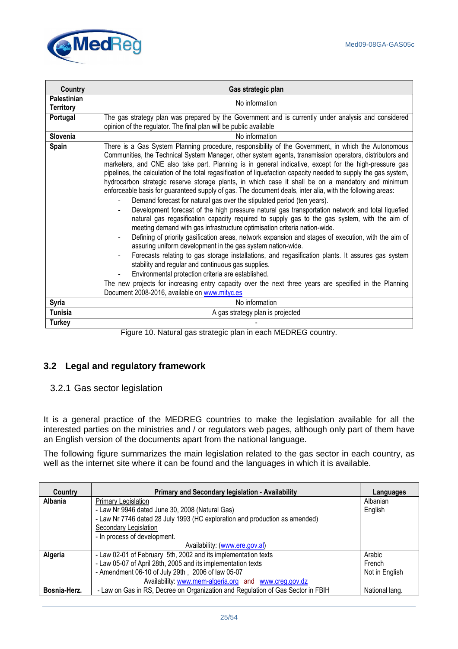

| Country                  | Gas strategic plan                                                                                                                                                                                                                                                                                                                                                                                                                                                                                                                                                                                                                                                                                                                                                                                                                                                                                                                                                                                                                                                                                                                                                                                                                                                                                                                                                                                                                                                                                                                                                              |  |  |  |  |
|--------------------------|---------------------------------------------------------------------------------------------------------------------------------------------------------------------------------------------------------------------------------------------------------------------------------------------------------------------------------------------------------------------------------------------------------------------------------------------------------------------------------------------------------------------------------------------------------------------------------------------------------------------------------------------------------------------------------------------------------------------------------------------------------------------------------------------------------------------------------------------------------------------------------------------------------------------------------------------------------------------------------------------------------------------------------------------------------------------------------------------------------------------------------------------------------------------------------------------------------------------------------------------------------------------------------------------------------------------------------------------------------------------------------------------------------------------------------------------------------------------------------------------------------------------------------------------------------------------------------|--|--|--|--|
| Palestinian<br>Territory | No information                                                                                                                                                                                                                                                                                                                                                                                                                                                                                                                                                                                                                                                                                                                                                                                                                                                                                                                                                                                                                                                                                                                                                                                                                                                                                                                                                                                                                                                                                                                                                                  |  |  |  |  |
| Portugal                 | The gas strategy plan was prepared by the Government and is currently under analysis and considered<br>opinion of the regulator. The final plan will be public available                                                                                                                                                                                                                                                                                                                                                                                                                                                                                                                                                                                                                                                                                                                                                                                                                                                                                                                                                                                                                                                                                                                                                                                                                                                                                                                                                                                                        |  |  |  |  |
| Slovenia                 | No information                                                                                                                                                                                                                                                                                                                                                                                                                                                                                                                                                                                                                                                                                                                                                                                                                                                                                                                                                                                                                                                                                                                                                                                                                                                                                                                                                                                                                                                                                                                                                                  |  |  |  |  |
| <b>Spain</b>             | There is a Gas System Planning procedure, responsibility of the Government, in which the Autonomous<br>Communities, the Technical System Manager, other system agents, transmission operators, distributors and<br>marketers, and CNE also take part. Planning is in general indicative, except for the high-pressure gas<br>pipelines, the calculation of the total regasification of liquefaction capacity needed to supply the gas system,<br>hydrocarbon strategic reserve storage plants, in which case it shall be on a mandatory and minimum<br>enforceable basis for guaranteed supply of gas. The document deals, inter alia, with the following areas:<br>Demand forecast for natural gas over the stipulated period (ten years).<br>Development forecast of the high pressure natural gas transportation network and total liquefied<br>natural gas regasification capacity required to supply gas to the gas system, with the aim of<br>meeting demand with gas infrastructure optimisation criteria nation-wide.<br>Defining of priority gasification areas, network expansion and stages of execution, with the aim of<br>assuring uniform development in the gas system nation-wide.<br>Forecasts relating to gas storage installations, and regasification plants. It assures gas system<br>stability and regular and continuous gas supplies.<br>Environmental protection criteria are established.<br>The new projects for increasing entry capacity over the next three years are specified in the Planning<br>Document 2008-2016, available on www.mityc.es |  |  |  |  |
| <b>Syria</b>             | No information                                                                                                                                                                                                                                                                                                                                                                                                                                                                                                                                                                                                                                                                                                                                                                                                                                                                                                                                                                                                                                                                                                                                                                                                                                                                                                                                                                                                                                                                                                                                                                  |  |  |  |  |
| <b>Tunisia</b>           | A gas strategy plan is projected                                                                                                                                                                                                                                                                                                                                                                                                                                                                                                                                                                                                                                                                                                                                                                                                                                                                                                                                                                                                                                                                                                                                                                                                                                                                                                                                                                                                                                                                                                                                                |  |  |  |  |
| <b>Turkey</b>            |                                                                                                                                                                                                                                                                                                                                                                                                                                                                                                                                                                                                                                                                                                                                                                                                                                                                                                                                                                                                                                                                                                                                                                                                                                                                                                                                                                                                                                                                                                                                                                                 |  |  |  |  |

Figure 10. Natural gas strategic plan in each MEDREG country.

# **3.2 Legal and regulatory framework**

#### 3.2.1 Gas sector legislation

It is a general practice of the MEDREG countries to make the legislation available for all the interested parties on the ministries and / or regulators web pages, although only part of them have an English version of the documents apart from the national language.

The following figure summarizes the main legislation related to the gas sector in each country, as well as the internet site where it can be found and the languages in which it is available.

| Country      | <b>Primary and Secondary legislation - Availability</b>                         | Languages      |
|--------------|---------------------------------------------------------------------------------|----------------|
| Albania      | Primary Legislation                                                             | Albanian       |
|              | - Law Nr 9946 dated June 30, 2008 (Natural Gas)                                 | English        |
|              | - Law Nr 7746 dated 28 July 1993 (HC exploration and production as amended)     |                |
|              | Secondary Legislation                                                           |                |
|              | - In process of development.                                                    |                |
|              | Availability: (www.ere.gov.al)                                                  |                |
| Algeria      | - Law 02-01 of February 5th, 2002 and its implementation texts                  | Arabic         |
|              | - Law 05-07 of April 28th, 2005 and its implementation texts                    | French         |
|              | - Amendment 06-10 of July 29th, 2006 of law 05-07                               | Not in English |
|              | Availability: www.mem-algeria.org and www.creg.gov.dz                           |                |
| Bosnia-Herz. | - Law on Gas in RS, Decree on Organization and Regulation of Gas Sector in FBIH | National lang. |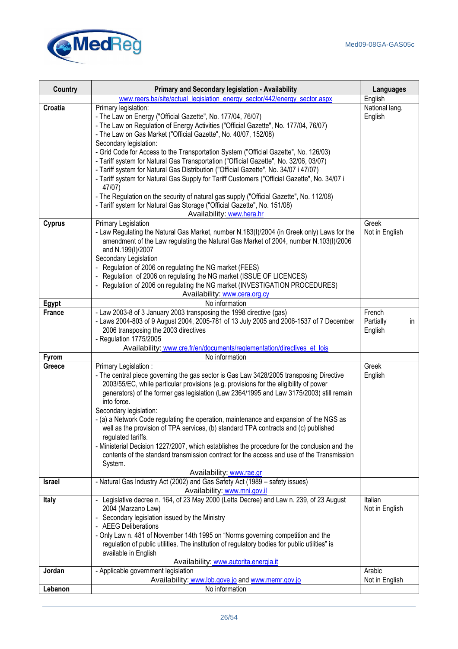

| <b>Country</b> | Primary and Secondary legislation - Availability                                                                                                                              | <b>Languages</b> |
|----------------|-------------------------------------------------------------------------------------------------------------------------------------------------------------------------------|------------------|
|                | www.reers.ba/site/actual_legislation_energy_sector/442/energy_sector.aspx                                                                                                     | English          |
| Croatia        | Primary legislation:                                                                                                                                                          | National lang.   |
|                | - The Law on Energy ("Official Gazette", No. 177/04, 76/07)                                                                                                                   | English          |
|                | - The Law on Regulation of Energy Activities ("Official Gazette", No. 177/04, 76/07)                                                                                          |                  |
|                | - The Law on Gas Market ("Official Gazette", No. 40/07, 152/08)                                                                                                               |                  |
|                | Secondary legislation:                                                                                                                                                        |                  |
|                | - Grid Code for Access to the Transportation System ("Official Gazette", No. 126/03)                                                                                          |                  |
|                | - Tariff system for Natural Gas Transportation ("Official Gazette", No. 32/06, 03/07)<br>- Tariff system for Natural Gas Distribution ("Official Gazette", No. 34/07 i 47/07) |                  |
|                | - Tariff system for Natural Gas Supply for Tariff Customers ("Official Gazette", No. 34/07 i                                                                                  |                  |
|                | 47/07)                                                                                                                                                                        |                  |
|                | - The Regulation on the security of natural gas supply ("Official Gazette", No. 112/08)                                                                                       |                  |
|                | - Tariff system for Natural Gas Storage ("Official Gazette", No. 151/08)                                                                                                      |                  |
|                | Availability: www.hera.hr                                                                                                                                                     |                  |
| <b>Cyprus</b>  | Primary Legislation                                                                                                                                                           | Greek            |
|                | - Law Regulating the Natural Gas Market, number N.183(I)/2004 (in Greek only) Laws for the                                                                                    | Not in English   |
|                | amendment of the Law regulating the Natural Gas Market of 2004, number N.103(I)/2006                                                                                          |                  |
|                | and N.199(I)/2007                                                                                                                                                             |                  |
|                | Secondary Legislation                                                                                                                                                         |                  |
|                | - Regulation of 2006 on regulating the NG market (FEES)                                                                                                                       |                  |
|                | - Regulation of 2006 on regulating the NG market (ISSUE OF LICENCES)<br>- Regulation of 2006 on regulating the NG market (INVESTIGATION PROCEDURES)                           |                  |
|                | Availability: www.cera.org.cy                                                                                                                                                 |                  |
| Egypt          | No information                                                                                                                                                                |                  |
| <b>France</b>  | - Law 2003-8 of 3 January 2003 transposing the 1998 directive (gas)                                                                                                           | French           |
|                | - Laws 2004-803 of 9 August 2004, 2005-781 of 13 July 2005 and 2006-1537 of 7 December                                                                                        | Partially<br>in  |
|                | 2006 transposing the 2003 directives                                                                                                                                          | English          |
|                | - Regulation 1775/2005                                                                                                                                                        |                  |
|                | Availability: www.cre.fr/en/documents/reglementation/directives_et_lois                                                                                                       |                  |
| <b>Fyrom</b>   | No information                                                                                                                                                                |                  |
| Greece         | Primary Legislation:                                                                                                                                                          | Greek            |
|                | - The central piece governing the gas sector is Gas Law 3428/2005 transposing Directive                                                                                       | English          |
|                | 2003/55/EC, while particular provisions (e.g. provisions for the eligibility of power                                                                                         |                  |
|                | generators) of the former gas legislation (Law 2364/1995 and Law 3175/2003) still remain<br>into force.                                                                       |                  |
|                | Secondary legislation:                                                                                                                                                        |                  |
|                | - (a) a Network Code regulating the operation, maintenance and expansion of the NGS as                                                                                        |                  |
|                | well as the provision of TPA services, (b) standard TPA contracts and (c) published                                                                                           |                  |
|                | regulated tariffs.                                                                                                                                                            |                  |
|                | - Ministerial Decision 1227/2007, which establishes the procedure for the conclusion and the                                                                                  |                  |
|                | contents of the standard transmission contract for the access and use of the Transmission                                                                                     |                  |
|                | System.                                                                                                                                                                       |                  |
|                | Availability: www.rae.gr                                                                                                                                                      |                  |
| <b>Israel</b>  | - Natural Gas Industry Act (2002) and Gas Safety Act (1989 - safety issues)                                                                                                   |                  |
| <b>Italy</b>   | Availability: www.mni.gov.il<br>- Legislative decree n. 164, of 23 May 2000 (Letta Decree) and Law n. 239, of 23 August                                                       | Italian          |
|                | 2004 (Marzano Law)                                                                                                                                                            | Not in English   |
|                | - Secondary legislation issued by the Ministry                                                                                                                                |                  |
|                | - AEEG Deliberations                                                                                                                                                          |                  |
|                | - Only Law n. 481 of November 14th 1995 on "Norms governing competition and the                                                                                               |                  |
|                | regulation of public utilities. The institution of regulatory bodies for public utilities" is                                                                                 |                  |
|                | available in English                                                                                                                                                          |                  |
| Jordan         | Availability: www.autorita.energia.it                                                                                                                                         | Arabic           |
|                | - Applicable government legislation<br>Availability: www.lob.gove.jo and www.memr.gov.jo                                                                                      | Not in English   |
| Lebanon        | No information                                                                                                                                                                |                  |
|                |                                                                                                                                                                               |                  |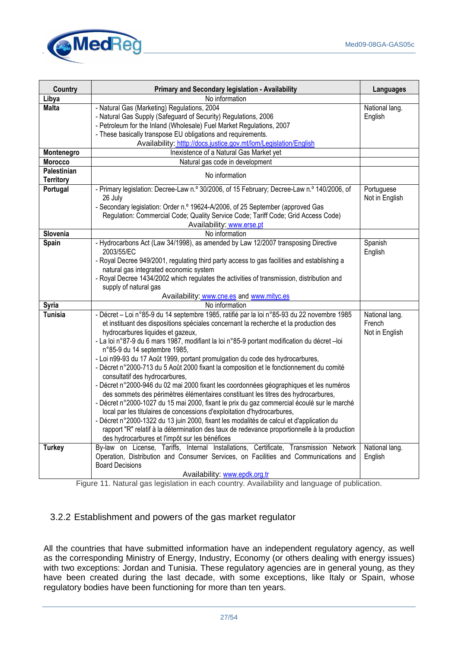

| <b>Country</b>                  | Primary and Secondary legislation - Availability                                                                                                                                                                                                                                                                                                                                                                                                                                                                                                                                                                                                                                                                                                                                                                                                                                                                                                                                                                                                                                                                                                                           | <b>Languages</b>                           |
|---------------------------------|----------------------------------------------------------------------------------------------------------------------------------------------------------------------------------------------------------------------------------------------------------------------------------------------------------------------------------------------------------------------------------------------------------------------------------------------------------------------------------------------------------------------------------------------------------------------------------------------------------------------------------------------------------------------------------------------------------------------------------------------------------------------------------------------------------------------------------------------------------------------------------------------------------------------------------------------------------------------------------------------------------------------------------------------------------------------------------------------------------------------------------------------------------------------------|--------------------------------------------|
| Libya                           | No information                                                                                                                                                                                                                                                                                                                                                                                                                                                                                                                                                                                                                                                                                                                                                                                                                                                                                                                                                                                                                                                                                                                                                             |                                            |
| Malta                           | - Natural Gas (Marketing) Regulations, 2004<br>- Natural Gas Supply (Safeguard of Security) Regulations, 2006<br>- Petroleum for the Inland (Wholesale) Fuel Market Regulations, 2007                                                                                                                                                                                                                                                                                                                                                                                                                                                                                                                                                                                                                                                                                                                                                                                                                                                                                                                                                                                      | National lang.<br>English                  |
|                                 | - These basically transpose EU obligations and requirements.                                                                                                                                                                                                                                                                                                                                                                                                                                                                                                                                                                                                                                                                                                                                                                                                                                                                                                                                                                                                                                                                                                               |                                            |
|                                 | Availability: htttp://docs.justice.gov.mt/lom/Legislation/English                                                                                                                                                                                                                                                                                                                                                                                                                                                                                                                                                                                                                                                                                                                                                                                                                                                                                                                                                                                                                                                                                                          |                                            |
| Montenegro                      | Inexistence of a Natural Gas Market yet                                                                                                                                                                                                                                                                                                                                                                                                                                                                                                                                                                                                                                                                                                                                                                                                                                                                                                                                                                                                                                                                                                                                    |                                            |
| Morocco                         | Natural gas code in development                                                                                                                                                                                                                                                                                                                                                                                                                                                                                                                                                                                                                                                                                                                                                                                                                                                                                                                                                                                                                                                                                                                                            |                                            |
| Palestinian<br><b>Territory</b> | No information                                                                                                                                                                                                                                                                                                                                                                                                                                                                                                                                                                                                                                                                                                                                                                                                                                                                                                                                                                                                                                                                                                                                                             |                                            |
| Portugal                        | - Primary legislation: Decree-Law n.º 30/2006, of 15 February; Decree-Law n.º 140/2006, of<br>26 July<br>- Secondary legislation: Order n.º 19624-A/2006, of 25 September (approved Gas<br>Regulation: Commercial Code; Quality Service Code; Tariff Code; Grid Access Code)                                                                                                                                                                                                                                                                                                                                                                                                                                                                                                                                                                                                                                                                                                                                                                                                                                                                                               | Portuguese<br>Not in English               |
|                                 | Availability: www.erse.pt                                                                                                                                                                                                                                                                                                                                                                                                                                                                                                                                                                                                                                                                                                                                                                                                                                                                                                                                                                                                                                                                                                                                                  |                                            |
| Slovenia<br>Spain               | No information<br>- Hydrocarbons Act (Law 34/1998), as amended by Law 12/2007 transposing Directive                                                                                                                                                                                                                                                                                                                                                                                                                                                                                                                                                                                                                                                                                                                                                                                                                                                                                                                                                                                                                                                                        | Spanish                                    |
|                                 | 2003/55/EC<br>- Royal Decree 949/2001, regulating third party access to gas facilities and establishing a<br>natural gas integrated economic system<br>- Royal Decree 1434/2002 which regulates the activities of transmission, distribution and                                                                                                                                                                                                                                                                                                                                                                                                                                                                                                                                                                                                                                                                                                                                                                                                                                                                                                                           | English                                    |
|                                 | supply of natural gas                                                                                                                                                                                                                                                                                                                                                                                                                                                                                                                                                                                                                                                                                                                                                                                                                                                                                                                                                                                                                                                                                                                                                      |                                            |
|                                 | Availability: www.cne.es and www.mityc.es                                                                                                                                                                                                                                                                                                                                                                                                                                                                                                                                                                                                                                                                                                                                                                                                                                                                                                                                                                                                                                                                                                                                  |                                            |
| <b>Syria</b>                    | No information                                                                                                                                                                                                                                                                                                                                                                                                                                                                                                                                                                                                                                                                                                                                                                                                                                                                                                                                                                                                                                                                                                                                                             |                                            |
| <b>Tunisia</b>                  | - Décret - Loi n°85-9 du 14 septembre 1985, ratifié par la loi n°85-93 du 22 novembre 1985<br>et instituant des dispositions spéciales concernant la recherche et la production des<br>hydrocarbures liquides et gazeux,<br>- La loi n°87-9 du 6 mars 1987, modifiant la loi n°85-9 portant modification du décret-loi<br>n°85-9 du 14 septembre 1985,<br>- Loi n99-93 du 17 Août 1999, portant promulgation du code des hydrocarbures,<br>- Décret n°2000-713 du 5 Août 2000 fixant la composition et le fonctionnement du comité<br>consultatif des hydrocarbures,<br>- Décret n°2000-946 du 02 mai 2000 fixant les coordonnées géographiques et les numéros<br>des sommets des périmètres élémentaires constituant les titres des hydrocarbures,<br>- Décret n°2000-1027 du 15 mai 2000, fixant le prix du gaz commercial écoulé sur le marché<br>local par les titulaires de concessions d'exploitation d'hydrocarbures,<br>- Décret n°2000-1322 du 13 juin 2000, fixant les modalités de calcul et d'application du<br>rapport "R" relatif à la détermination des taux de redevance proportionnelle à la production<br>des hydrocarbures et l'impôt sur les bénéfices | National lang.<br>French<br>Not in English |
| <b>Turkey</b>                   | By-law on License, Tariffs, Internal Installations, Certificate, Transmission Network<br>Operation, Distribution and Consumer Services, on Facilities and Communications and<br><b>Board Decisions</b><br>Availability: www.epdk.org.tr                                                                                                                                                                                                                                                                                                                                                                                                                                                                                                                                                                                                                                                                                                                                                                                                                                                                                                                                    | National lang.<br>English                  |

Figure 11. Natural gas legislation in each country. Availability and language of publication.

# 3.2.2 Establishment and powers of the gas market regulator

All the countries that have submitted information have an independent regulatory agency, as well as the corresponding Ministry of Energy, Industry, Economy (or others dealing with energy issues) with two exceptions: Jordan and Tunisia. These regulatory agencies are in general young, as they have been created during the last decade, with some exceptions, like Italy or Spain, whose regulatory bodies have been functioning for more than ten years.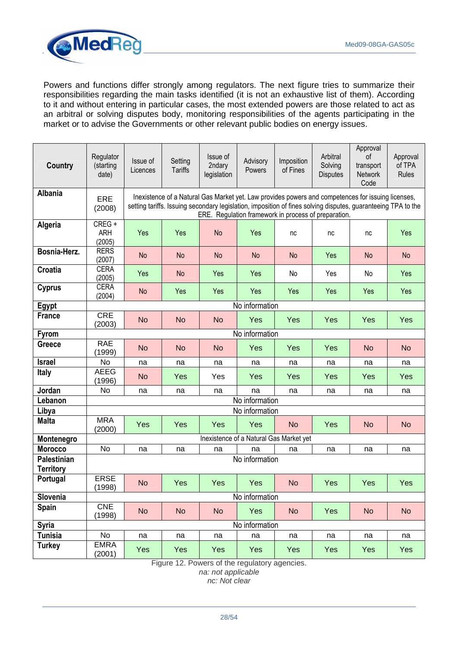

Powers and functions differ strongly among regulators. The next figure tries to summarize their responsibilities regarding the main tasks identified (it is not an exhaustive list of them). According to it and without entering in particular cases, the most extended powers are those related to act as an arbitral or solving disputes body, monitoring responsibilities of the agents participating in the market or to advise the Governments or other relevant public bodies on energy issues.

| <b>Country</b>     | Regulator<br>(starting<br>date) | Issue of<br>Licences | Setting<br><b>Tariffs</b> | Issue of<br>2ndary<br>legislation | Advisory<br>Powers                                                                                                                                                                                                                                                          | Imposition<br>of Fines | Arbitral<br>Solving<br><b>Disputes</b> | Approval<br>οf<br>transport<br>Network<br>Code | Approval<br>of TPA<br>Rules |
|--------------------|---------------------------------|----------------------|---------------------------|-----------------------------------|-----------------------------------------------------------------------------------------------------------------------------------------------------------------------------------------------------------------------------------------------------------------------------|------------------------|----------------------------------------|------------------------------------------------|-----------------------------|
| Albania            | ERE<br>(2008)                   |                      |                           |                                   | Inexistence of a Natural Gas Market yet. Law provides powers and competences for issuing licenses,<br>setting tariffs. Issuing secondary legislation, imposition of fines solving disputes, guaranteeing TPA to the<br>ERE. Regulation framework in process of preparation. |                        |                                        |                                                |                             |
| Algeria            | CREG +<br><b>ARH</b><br>(2005)  | Yes                  | Yes                       | <b>No</b>                         | Yes                                                                                                                                                                                                                                                                         | nc                     | nc                                     | nc                                             | Yes                         |
| Bosnia-Herz.       | <b>RERS</b><br>(2007)           | No                   | No                        | <b>No</b>                         | <b>No</b>                                                                                                                                                                                                                                                                   | No                     | Yes                                    | No                                             | <b>No</b>                   |
| Croatia            | <b>CERA</b><br>(2005)           | Yes                  | <b>No</b>                 | Yes                               | Yes                                                                                                                                                                                                                                                                         | No                     | Yes                                    | No                                             | Yes                         |
| <b>Cyprus</b>      | <b>CERA</b><br>(2004)           | <b>No</b>            | Yes                       | Yes                               | Yes                                                                                                                                                                                                                                                                         | Yes                    | Yes                                    | Yes                                            | Yes                         |
| Egypt              |                                 |                      |                           |                                   | No information                                                                                                                                                                                                                                                              |                        |                                        |                                                |                             |
| <b>France</b>      | <b>CRE</b><br>(2003)            | <b>No</b>            | <b>No</b>                 | <b>No</b>                         | Yes                                                                                                                                                                                                                                                                         | Yes                    | Yes                                    | Yes                                            | Yes                         |
| <b>Fyrom</b>       | No information                  |                      |                           |                                   |                                                                                                                                                                                                                                                                             |                        |                                        |                                                |                             |
| <b>Greece</b>      | <b>RAE</b><br>(1999)            | <b>No</b>            | <b>No</b>                 | <b>No</b>                         | Yes                                                                                                                                                                                                                                                                         | Yes                    | Yes                                    | <b>No</b>                                      | <b>No</b>                   |
| <b>Israel</b>      | No                              | na                   | na                        | na                                | na                                                                                                                                                                                                                                                                          | na                     | na                                     | na                                             | na                          |
| <b>Italy</b>       | <b>AEEG</b><br>(1996)           | <b>No</b>            | Yes                       | Yes                               | Yes                                                                                                                                                                                                                                                                         | Yes                    | Yes                                    | Yes                                            | Yes                         |
| Jordan             | No                              | na                   | na                        | na                                | na                                                                                                                                                                                                                                                                          | na                     | na                                     | na                                             | na                          |
| Lebanon            |                                 |                      |                           |                                   | No information                                                                                                                                                                                                                                                              |                        |                                        |                                                |                             |
| Libya              |                                 |                      |                           |                                   | No information                                                                                                                                                                                                                                                              |                        |                                        |                                                |                             |
| <b>Malta</b>       | <b>MRA</b><br>(2000)            | Yes                  | Yes                       | Yes                               | Yes                                                                                                                                                                                                                                                                         | <b>No</b>              | Yes                                    | <b>No</b>                                      | <b>No</b>                   |
| Montenegro         |                                 |                      |                           |                                   | Inexistence of a Natural Gas Market yet                                                                                                                                                                                                                                     |                        |                                        |                                                |                             |
| <b>Morocco</b>     | <b>No</b>                       | na                   | na                        | na                                | na                                                                                                                                                                                                                                                                          | na                     | na                                     | na                                             | na                          |
| <b>Palestinian</b> |                                 |                      |                           |                                   | No information                                                                                                                                                                                                                                                              |                        |                                        |                                                |                             |
| <b>Territory</b>   |                                 |                      |                           |                                   |                                                                                                                                                                                                                                                                             |                        |                                        |                                                |                             |
| Portugal           | <b>ERSE</b><br>(1998)           | <b>No</b>            | Yes                       | Yes                               | Yes                                                                                                                                                                                                                                                                         | <b>No</b>              | Yes                                    | Yes                                            | Yes                         |
| Slovenia           |                                 |                      |                           |                                   | No information                                                                                                                                                                                                                                                              |                        |                                        |                                                |                             |
| Spain              | <b>CNE</b><br>(1998)            | <b>No</b>            | <b>No</b>                 | <b>No</b>                         | Yes                                                                                                                                                                                                                                                                         | <b>No</b>              | Yes                                    | <b>No</b>                                      | <b>No</b>                   |
| <b>Syria</b>       |                                 |                      |                           |                                   | No information                                                                                                                                                                                                                                                              |                        |                                        |                                                |                             |
| <b>Tunisia</b>     | No                              | na                   | na                        | na                                | na                                                                                                                                                                                                                                                                          | na                     | na                                     | na                                             | na                          |
| <b>Turkey</b>      | <b>EMRA</b><br>(2001)           | Yes                  | Yes                       | Yes                               | Yes                                                                                                                                                                                                                                                                         | Yes                    | Yes                                    | Yes                                            | Yes                         |

Figure 12. Powers of the regulatory agencies.

na: not applicable nc: Not clear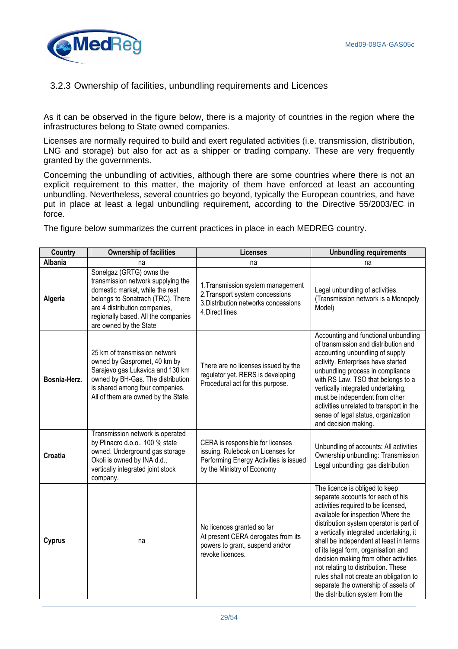

# 3.2.3 Ownership of facilities, unbundling requirements and Licences

As it can be observed in the figure below, there is a majority of countries in the region where the infrastructures belong to State owned companies.

Licenses are normally required to build and exert regulated activities (i.e. transmission, distribution, LNG and storage) but also for act as a shipper or trading company. These are very frequently granted by the governments.

Concerning the unbundling of activities, although there are some countries where there is not an explicit requirement to this matter, the majority of them have enforced at least an accounting unbundling. Nevertheless, several countries go beyond, typically the European countries, and have put in place at least a legal unbundling requirement, according to the Directive 55/2003/EC in force.

The figure below summarizes the current practices in place in each MEDREG country.

| <b>Country</b> | <b>Ownership of facilities</b>                                                                                                                                                                                                           | Licenses                                                                                                                                      | <b>Unbundling requirements</b>                                                                                                                                                                                                                                                                                                                                                                                                                                                                                                |
|----------------|------------------------------------------------------------------------------------------------------------------------------------------------------------------------------------------------------------------------------------------|-----------------------------------------------------------------------------------------------------------------------------------------------|-------------------------------------------------------------------------------------------------------------------------------------------------------------------------------------------------------------------------------------------------------------------------------------------------------------------------------------------------------------------------------------------------------------------------------------------------------------------------------------------------------------------------------|
| <b>Albania</b> | na                                                                                                                                                                                                                                       | na                                                                                                                                            | na                                                                                                                                                                                                                                                                                                                                                                                                                                                                                                                            |
| Algeria        | Sonelgaz (GRTG) owns the<br>transmission network supplying the<br>domestic market, while the rest<br>belongs to Sonatrach (TRC). There<br>are 4 distribution companies,<br>regionally based. All the companies<br>are owned by the State | 1. Transmission system management<br>2. Transport system concessions<br>3. Distribution networks concessions<br>4.Direct lines                | Legal unbundling of activities.<br>(Transmission network is a Monopoly<br>Model)                                                                                                                                                                                                                                                                                                                                                                                                                                              |
| Bosnia-Herz.   | 25 km of transmission network<br>owned by Gaspromet, 40 km by<br>Sarajevo gas Lukavica and 130 km<br>owned by BH-Gas. The distribution<br>is shared among four companies.<br>All of them are owned by the State.                         | There are no licenses issued by the<br>regulator yet. RERS is developing<br>Procedural act for this purpose.                                  | Accounting and functional unbundling<br>of transmission and distribution and<br>accounting unbundling of supply<br>activity. Enterprises have started<br>unbundling process in compliance<br>with RS Law. TSO that belongs to a<br>vertically integrated undertaking,<br>must be independent from other<br>activities unrelated to transport in the<br>sense of legal status, organization<br>and decision making.                                                                                                            |
| Croatia        | Transmission network is operated<br>by Plinacro d.o.o., 100 % state<br>owned. Underground gas storage<br>Okoli is owned by INA d.d.,<br>vertically integrated joint stock<br>company.                                                    | CERA is responsible for licenses<br>issuing. Rulebook on Licenses for<br>Performing Energy Activities is issued<br>by the Ministry of Economy | Unbundling of accounts: All activities<br>Ownership unbundling: Transmission<br>Legal unbundling: gas distribution                                                                                                                                                                                                                                                                                                                                                                                                            |
| <b>Cyprus</b>  | na                                                                                                                                                                                                                                       | No licences granted so far<br>At present CERA derogates from its<br>powers to grant, suspend and/or<br>revoke licences.                       | The licence is obliged to keep<br>separate accounts for each of his<br>activities required to be licensed,<br>available for inspection Where the<br>distribution system operator is part of<br>a vertically integrated undertaking, it<br>shall be independent at least in terms<br>of its legal form, organisation and<br>decision making from other activities<br>not relating to distribution. These<br>rules shall not create an obligation to<br>separate the ownership of assets of<br>the distribution system from the |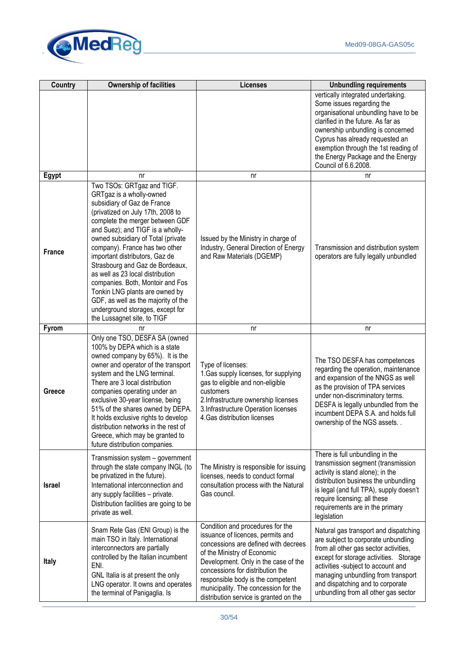

| <b>Country</b> | <b>Ownership of facilities</b>                                                                                                                                                                                                                                                                                                                                                                                                                                                                                                                                     | <b>Licenses</b>                                                                                                                                                                                                                                                                                                                                 | <b>Unbundling requirements</b>                                                                                                                                                                                                                                                                                             |
|----------------|--------------------------------------------------------------------------------------------------------------------------------------------------------------------------------------------------------------------------------------------------------------------------------------------------------------------------------------------------------------------------------------------------------------------------------------------------------------------------------------------------------------------------------------------------------------------|-------------------------------------------------------------------------------------------------------------------------------------------------------------------------------------------------------------------------------------------------------------------------------------------------------------------------------------------------|----------------------------------------------------------------------------------------------------------------------------------------------------------------------------------------------------------------------------------------------------------------------------------------------------------------------------|
|                |                                                                                                                                                                                                                                                                                                                                                                                                                                                                                                                                                                    |                                                                                                                                                                                                                                                                                                                                                 | vertically integrated undertaking.<br>Some issues regarding the<br>organisational unbundling have to be<br>clarified in the future. As far as<br>ownership unbundling is concerned<br>Cyprus has already requested an<br>exemption through the 1st reading of<br>the Energy Package and the Energy<br>Council of 6.6.2008. |
| Egypt          | nr                                                                                                                                                                                                                                                                                                                                                                                                                                                                                                                                                                 | nr                                                                                                                                                                                                                                                                                                                                              | nr                                                                                                                                                                                                                                                                                                                         |
| <b>France</b>  | Two TSOs: GRTgaz and TIGF.<br>GRTgaz is a wholly-owned<br>subsidiary of Gaz de France<br>(privatized on July 17th, 2008 to<br>complete the merger between GDF<br>and Suez); and TIGF is a wholly-<br>owned subsidiary of Total (private<br>company). France has two other<br>important distributors, Gaz de<br>Strasbourg and Gaz de Bordeaux,<br>as well as 23 local distribution<br>companies. Both, Montoir and Fos<br>Tonkin LNG plants are owned by<br>GDF, as well as the majority of the<br>underground storages, except for<br>the Lussagnet site, to TIGF | Issued by the Ministry in charge of<br>Industry, General Direction of Energy<br>and Raw Materials (DGEMP)                                                                                                                                                                                                                                       | Transmission and distribution system<br>operators are fully legally unbundled                                                                                                                                                                                                                                              |
| <b>Fyrom</b>   | nr                                                                                                                                                                                                                                                                                                                                                                                                                                                                                                                                                                 | nr                                                                                                                                                                                                                                                                                                                                              | nr                                                                                                                                                                                                                                                                                                                         |
| Greece         | Only one TSO, DESFA SA (owned<br>100% by DEPA which is a state<br>owned company by 65%). It is the<br>owner and operator of the transport<br>system and the LNG terminal.<br>There are 3 local distribution<br>companies operating under an<br>exclusive 30-year license, being<br>51% of the shares owned by DEPA.<br>It holds exclusive rights to develop<br>distribution networks in the rest of<br>Greece, which may be granted to<br>future distribution companies.                                                                                           | Type of licenses:<br>1. Gas supply licenses, for supplying<br>gas to eligible and non-eligible<br>customers<br>2.Infrastructure ownership licenses<br>3. Infrastructure Operation licenses<br>4. Gas distribution licenses                                                                                                                      | The TSO DESFA has competences<br>regarding the operation, maintenance<br>and expansion of the NNGS as well<br>as the provision of TPA services<br>under non-discriminatory terms.<br>DESFA is legally unbundled from the<br>incumbent DEPA S.A. and holds full<br>ownership of the NGS assets                              |
| <b>Israel</b>  | Transmission system - government<br>through the state company INGL (to<br>be privatized in the future).<br>International interconnection and<br>any supply facilities - private.<br>Distribution facilities are going to be<br>private as well.                                                                                                                                                                                                                                                                                                                    | The Ministry is responsible for issuing<br>licenses, needs to conduct formal<br>consultation process with the Natural<br>Gas council.                                                                                                                                                                                                           | There is full unbundling in the<br>transmission segment (transmission<br>activity is stand alone); in the<br>distribution business the unbundling<br>is legal (and full TPA), supply doesn't<br>require licensing; all these<br>requirements are in the primary<br>legislation                                             |
| <b>Italy</b>   | Snam Rete Gas (ENI Group) is the<br>main TSO in Italy. International<br>interconnectors are partially<br>controlled by the Italian incumbent<br>ENI.<br>GNL Italia is at present the only<br>LNG operator. It owns and operates<br>the terminal of Panigaglia. Is                                                                                                                                                                                                                                                                                                  | Condition and procedures for the<br>issuance of licences, permits and<br>concessions are defined with decrees<br>of the Ministry of Economic<br>Development. Only in the case of the<br>concessions for distribution the<br>responsible body is the competent<br>municipality. The concession for the<br>distribution service is granted on the | Natural gas transport and dispatching<br>are subject to corporate unbundling<br>from all other gas sector activities,<br>except for storage activities. Storage<br>activities -subject to account and<br>managing unbundling from transport<br>and dispatching and to corporate<br>unbundling from all other gas sector    |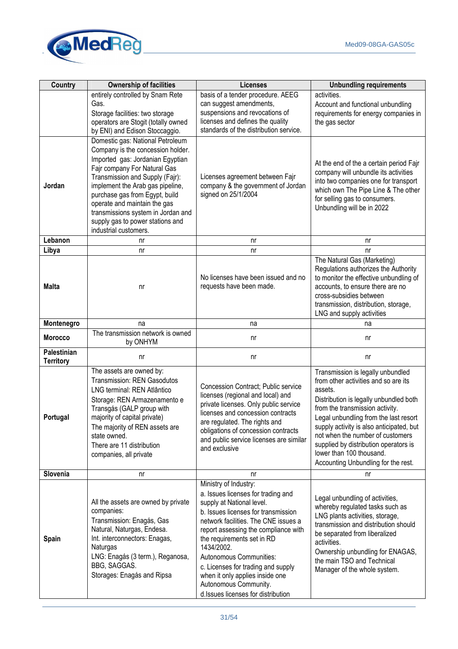

| Country                         | <b>Ownership of facilities</b>                                                                                                                                                                                                                                                                                                                                                        | <b>Licenses</b>                                                                                                                                                                                                                                                                                                                                                                                                                | <b>Unbundling requirements</b>                                                                                                                                                                                                                                                                                                                                                                         |
|---------------------------------|---------------------------------------------------------------------------------------------------------------------------------------------------------------------------------------------------------------------------------------------------------------------------------------------------------------------------------------------------------------------------------------|--------------------------------------------------------------------------------------------------------------------------------------------------------------------------------------------------------------------------------------------------------------------------------------------------------------------------------------------------------------------------------------------------------------------------------|--------------------------------------------------------------------------------------------------------------------------------------------------------------------------------------------------------------------------------------------------------------------------------------------------------------------------------------------------------------------------------------------------------|
|                                 | entirely controlled by Snam Rete<br>Gas.                                                                                                                                                                                                                                                                                                                                              | basis of a tender procedure. AEEG                                                                                                                                                                                                                                                                                                                                                                                              | activities.                                                                                                                                                                                                                                                                                                                                                                                            |
|                                 | Storage facilities: two storage<br>operators are Stogit (totally owned<br>by ENI) and Edison Stoccaggio.                                                                                                                                                                                                                                                                              | can suggest amendments,<br>suspensions and revocations of<br>licenses and defines the quality<br>standards of the distribution service.                                                                                                                                                                                                                                                                                        | Account and functional unbundling<br>requirements for energy companies in<br>the gas sector                                                                                                                                                                                                                                                                                                            |
| Jordan                          | Domestic gas: National Petroleum<br>Company is the concession holder.<br>Imported gas: Jordanian Egyptian<br>Fajr company For Natural Gas<br>Transmission and Supply (Fajr):<br>implement the Arab gas pipeline,<br>purchase gas from Egypt, build<br>operate and maintain the gas<br>transmissions system in Jordan and<br>supply gas to power stations and<br>industrial customers. | Licenses agreement between Fajr<br>company & the government of Jordan<br>signed on 25/1/2004                                                                                                                                                                                                                                                                                                                                   | At the end of the a certain period Fajr<br>company will unbundle its activities<br>into two companies one for transport<br>which own The Pipe Line & The other<br>for selling gas to consumers.<br>Unbundling will be in 2022                                                                                                                                                                          |
| Lebanon                         | nr                                                                                                                                                                                                                                                                                                                                                                                    | nr                                                                                                                                                                                                                                                                                                                                                                                                                             | n <sub>r</sub>                                                                                                                                                                                                                                                                                                                                                                                         |
| Libya                           | nr                                                                                                                                                                                                                                                                                                                                                                                    | nr                                                                                                                                                                                                                                                                                                                                                                                                                             | nr                                                                                                                                                                                                                                                                                                                                                                                                     |
| <b>Malta</b>                    | nr                                                                                                                                                                                                                                                                                                                                                                                    | No licenses have been issued and no<br>requests have been made.                                                                                                                                                                                                                                                                                                                                                                | The Natural Gas (Marketing)<br>Regulations authorizes the Authority<br>to monitor the effective unbundling of<br>accounts, to ensure there are no<br>cross-subsidies between<br>transmission, distribution, storage,<br>LNG and supply activities                                                                                                                                                      |
| Montenegro                      | na                                                                                                                                                                                                                                                                                                                                                                                    | na                                                                                                                                                                                                                                                                                                                                                                                                                             | na                                                                                                                                                                                                                                                                                                                                                                                                     |
| <b>Morocco</b>                  | The transmission network is owned<br>by ONHYM                                                                                                                                                                                                                                                                                                                                         | nr                                                                                                                                                                                                                                                                                                                                                                                                                             | nr                                                                                                                                                                                                                                                                                                                                                                                                     |
| Palestinian<br><b>Territory</b> | nr                                                                                                                                                                                                                                                                                                                                                                                    | nr                                                                                                                                                                                                                                                                                                                                                                                                                             | nr                                                                                                                                                                                                                                                                                                                                                                                                     |
| Portugal                        | The assets are owned by:<br><b>Transmission: REN Gasodutos</b><br>LNG terminal: REN Atlântico<br>Storage: REN Armazenamento e<br>Transgás (GALP group with<br>majority of capital private)<br>The majority of REN assets are<br>state owned.<br>There are 11 distribution<br>companies, all private                                                                                   | <b>Concession Contract; Public service</b><br>licenses (regional and local) and<br>private licenses. Only public service<br>licenses and concession contracts<br>are regulated. The rights and<br>obligations of concession contracts<br>and public service licenses are similar<br>and exclusive                                                                                                                              | Transmission is legally unbundled<br>from other activities and so are its<br>assets.<br>Distribution is legally unbundled both<br>from the transmission activity.<br>Legal unbundling from the last resort<br>supply activity is also anticipated, but<br>not when the number of customers<br>supplied by distribution operators is<br>lower than 100 thousand.<br>Accounting Unbundling for the rest. |
| Slovenia                        | nr                                                                                                                                                                                                                                                                                                                                                                                    | nr                                                                                                                                                                                                                                                                                                                                                                                                                             | nr                                                                                                                                                                                                                                                                                                                                                                                                     |
| Spain                           | All the assets are owned by private<br>companies:<br>Transmission: Enagás, Gas<br>Natural, Naturgas, Endesa.<br>Int. interconnectors: Enagas,<br>Naturgas<br>LNG: Enagás (3 term.), Reganosa,<br>BBG, SAGGAS.<br>Storages: Enagás and Ripsa                                                                                                                                           | Ministry of Industry:<br>a. Issues licenses for trading and<br>supply at National level.<br>b. Issues licenses for transmission<br>network facilities. The CNE issues a<br>report assessing the compliance with<br>the requirements set in RD<br>1434/2002.<br>Autonomous Communities:<br>c. Licenses for trading and supply<br>when it only applies inside one<br>Autonomous Community.<br>d.Issues licenses for distribution | Legal unbundling of activities,<br>whereby regulated tasks such as<br>LNG plants activities, storage,<br>transmission and distribution should<br>be separated from liberalized<br>activities.<br>Ownership unbundling for ENAGAS,<br>the main TSO and Technical<br>Manager of the whole system.                                                                                                        |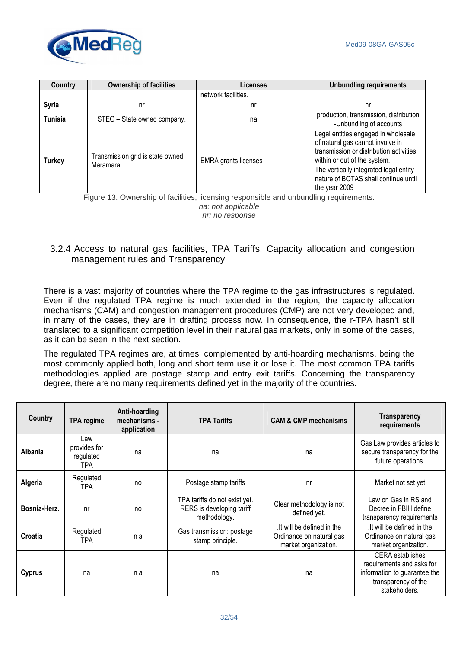

| Country        | <b>Ownership of facilities</b>                | <b>Licenses</b>             | <b>Unbundling requirements</b>                                                                                                                                                                                                                        |
|----------------|-----------------------------------------------|-----------------------------|-------------------------------------------------------------------------------------------------------------------------------------------------------------------------------------------------------------------------------------------------------|
|                |                                               | network facilities.         |                                                                                                                                                                                                                                                       |
| <b>Syria</b>   | nr                                            | nr                          | nr                                                                                                                                                                                                                                                    |
| <b>Tunisia</b> | STEG - State owned company.                   | na                          | production, transmission, distribution<br>-Unbundling of accounts                                                                                                                                                                                     |
| <b>Turkey</b>  | Transmission grid is state owned,<br>Maramara | <b>EMRA</b> grants licenses | Legal entities engaged in wholesale<br>of natural gas cannot involve in<br>transmission or distribution activities<br>within or out of the system.<br>The vertically integrated legal entity<br>nature of BOTAS shall continue until<br>the year 2009 |

Figure 13. Ownership of facilities, licensing responsible and unbundling requirements. na: not applicable nr: no response

# 3.2.4 Access to natural gas facilities, TPA Tariffs, Capacity allocation and congestion management rules and Transparency

There is a vast majority of countries where the TPA regime to the gas infrastructures is regulated. Even if the regulated TPA regime is much extended in the region, the capacity allocation mechanisms (CAM) and congestion management procedures (CMP) are not very developed and, in many of the cases, they are in drafting process now. In consequence, the r-TPA hasn't still translated to a significant competition level in their natural gas markets, only in some of the cases, as it can be seen in the next section.

The regulated TPA regimes are, at times, complemented by anti-hoarding mechanisms, being the most commonly applied both, long and short term use it or lose it. The most common TPA tariffs methodologies applied are postage stamp and entry exit tariffs. Concerning the transparency degree, there are no many requirements defined yet in the majority of the countries.

| Country       | <b>TPA regime</b>                       | Anti-hoarding<br>mechanisms -<br>application | <b>TPA Tariffs</b>                                                         | <b>CAM &amp; CMP mechanisms</b>                                               | <b>Transparency</b><br>requirements                                                                                          |
|---------------|-----------------------------------------|----------------------------------------------|----------------------------------------------------------------------------|-------------------------------------------------------------------------------|------------------------------------------------------------------------------------------------------------------------------|
| Albania       | Law<br>provides for<br>regulated<br>TPA | na                                           | na                                                                         | na                                                                            | Gas Law provides articles to<br>secure transparency for the<br>future operations.                                            |
| Algeria       | Regulated<br>TPA.                       | no                                           | Postage stamp tariffs                                                      | nr                                                                            | Market not set yet                                                                                                           |
| Bosnia-Herz.  | nr                                      | no                                           | TPA tariffs do not exist yet.<br>RERS is developing tariff<br>methodology. | Clear methodology is not<br>defined yet.                                      | Law on Gas in RS and<br>Decree in FBIH define<br>transparency requirements                                                   |
| Croatia       | Regulated<br>TPA.                       | n a                                          | Gas transmission: postage<br>stamp principle.                              | It will be defined in the<br>Ordinance on natural gas<br>market organization. | It will be defined in the<br>Ordinance on natural gas<br>market organization.                                                |
| <b>Cyprus</b> | na                                      | n a                                          | na                                                                         | na                                                                            | <b>CERA</b> establishes<br>requirements and asks for<br>information to guarantee the<br>transparency of the<br>stakeholders. |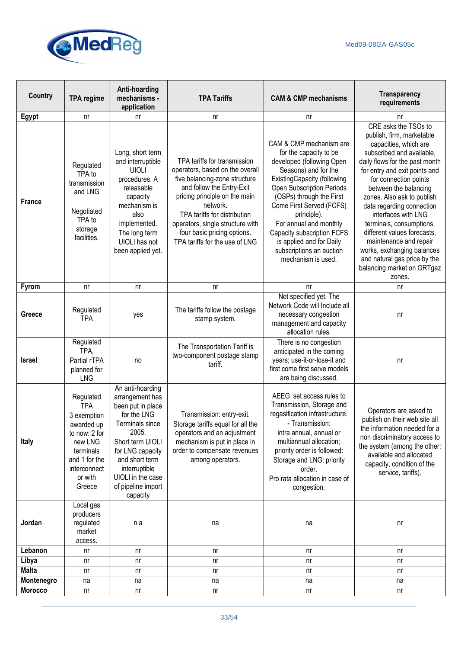

| <b>Country</b> | <b>TPA regime</b>                                                                                                                                   | Anti-hoarding<br>mechanisms -<br>application                                                                                                                                                                                          | <b>TPA Tariffs</b>                                                                                                                                                                                                                                                                                              | <b>CAM &amp; CMP mechanisms</b>                                                                                                                                                                                                                                                                                                                                                               | <b>Transparency</b><br>requirements                                                                                                                                                                                                                                                                                                                                                                                                                                                                       |
|----------------|-----------------------------------------------------------------------------------------------------------------------------------------------------|---------------------------------------------------------------------------------------------------------------------------------------------------------------------------------------------------------------------------------------|-----------------------------------------------------------------------------------------------------------------------------------------------------------------------------------------------------------------------------------------------------------------------------------------------------------------|-----------------------------------------------------------------------------------------------------------------------------------------------------------------------------------------------------------------------------------------------------------------------------------------------------------------------------------------------------------------------------------------------|-----------------------------------------------------------------------------------------------------------------------------------------------------------------------------------------------------------------------------------------------------------------------------------------------------------------------------------------------------------------------------------------------------------------------------------------------------------------------------------------------------------|
| <b>Egypt</b>   | nr                                                                                                                                                  | nr                                                                                                                                                                                                                                    | nr                                                                                                                                                                                                                                                                                                              | nr                                                                                                                                                                                                                                                                                                                                                                                            | nr                                                                                                                                                                                                                                                                                                                                                                                                                                                                                                        |
| <b>France</b>  | Regulated<br>TPA to<br>transmission<br>and LNG<br>Negotiated<br>TPA to<br>storage<br>facilities.                                                    | Long, short term<br>and interruptible<br><b>UIOLI</b><br>procedures. A<br>releasable<br>capacity<br>mechanism is<br>also<br>implemented.<br>The long term<br>UIOLI has not<br>been applied yet.                                       | TPA tariffs for transmission<br>operators, based on the overall<br>five balancing-zone structure<br>and follow the Entry-Exit<br>pricing principle on the main<br>network.<br>TPA tariffs for distribution<br>operators, single structure with<br>four basic pricing options.<br>TPA tariffs for the use of LNG | CAM & CMP mechanism are<br>for the capacity to be<br>developed (following Open<br>Seasons) and for the<br><b>ExistingCapacity (following</b><br><b>Open Subscription Periods</b><br>(OSPs) through the First<br>Come First Served (FCFS)<br>principle).<br>For annual and monthly<br>Capacity subscription FCFS<br>is applied and for Daily<br>subscriptions an auction<br>mechanism is used. | CRE asks the TSOs to<br>publish, firm, marketable<br>capacities, which are<br>subscribed and available,<br>daily flows for the past month<br>for entry and exit points and<br>for connection points<br>between the balancing<br>zones. Also ask to publish<br>data regarding connection<br>interfaces with LNG<br>terminals, consumptions,<br>different values forecasts,<br>maintenance and repair<br>works, exchanging balances<br>and natural gas price by the<br>balancing market on GRTgaz<br>zones. |
| <b>Fyrom</b>   | nr                                                                                                                                                  | nr                                                                                                                                                                                                                                    | nr                                                                                                                                                                                                                                                                                                              | nr                                                                                                                                                                                                                                                                                                                                                                                            | nr                                                                                                                                                                                                                                                                                                                                                                                                                                                                                                        |
| Greece         | Regulated<br><b>TPA</b>                                                                                                                             | yes                                                                                                                                                                                                                                   | The tariffs follow the postage<br>stamp system.                                                                                                                                                                                                                                                                 | Not specified yet. The<br>Network Code will Include all<br>necessary congestion<br>management and capacity<br>allocation rules.                                                                                                                                                                                                                                                               | nr                                                                                                                                                                                                                                                                                                                                                                                                                                                                                                        |
| <b>Israel</b>  | Regulated<br>TPA,<br>Partial rTPA<br>planned for<br><b>LNG</b>                                                                                      | no                                                                                                                                                                                                                                    | The Transportation Tariff is<br>two-component postage stamp<br>tariff.                                                                                                                                                                                                                                          | There is no congestion<br>anticipated in the coming<br>years; use-it-or-lose-it and<br>first come first serve models<br>are being discussed.                                                                                                                                                                                                                                                  | nr                                                                                                                                                                                                                                                                                                                                                                                                                                                                                                        |
| <b>Italy</b>   | Regulated<br><b>TPA</b><br>3 exemption<br>awarded up<br>to now: 2 for<br>new LNG<br>terminals<br>and 1 for the<br>interconnect<br>or with<br>Greece | An anti-hoarding<br>arrangement has<br>been put in place<br>for the LNG<br>Terminals since<br>2005.<br>Short term UIOLI<br>for LNG capacity<br>and short term<br>interruptible<br>UIOLI in the case<br>of pipeline import<br>capacity | Transmission: entry-exit.<br>Storage tariffs equal for all the<br>operators and an adjustment<br>mechanism is put in place in<br>order to compensate revenues<br>among operators.                                                                                                                               | AEEG set access rules to<br>Transmission, Storage and<br>regasification infrastructure.<br>- Transmission:<br>intra annual, annual or<br>multiannual allocation;<br>priority order is followed:<br>Storage and LNG: priority<br>order.<br>Pro rata allocation in case of<br>congestion.                                                                                                       | Operators are asked to<br>publish on their web site all<br>the information needed for a<br>non discriminatory access to<br>the system (among the other:<br>available and allocated<br>capacity, condition of the<br>service, tariffs).                                                                                                                                                                                                                                                                    |
| Jordan         | Local gas<br>producers<br>regulated<br>market<br>access.                                                                                            | n a                                                                                                                                                                                                                                   | na                                                                                                                                                                                                                                                                                                              | na                                                                                                                                                                                                                                                                                                                                                                                            | nr                                                                                                                                                                                                                                                                                                                                                                                                                                                                                                        |
| Lebanon        | nr                                                                                                                                                  | nr                                                                                                                                                                                                                                    | nr                                                                                                                                                                                                                                                                                                              | n <sub>r</sub>                                                                                                                                                                                                                                                                                                                                                                                | nr                                                                                                                                                                                                                                                                                                                                                                                                                                                                                                        |
| Libya          | nr                                                                                                                                                  | nr                                                                                                                                                                                                                                    | nr                                                                                                                                                                                                                                                                                                              | nr                                                                                                                                                                                                                                                                                                                                                                                            | nr                                                                                                                                                                                                                                                                                                                                                                                                                                                                                                        |
| <b>Malta</b>   | nr                                                                                                                                                  | nr                                                                                                                                                                                                                                    | nr                                                                                                                                                                                                                                                                                                              | nr                                                                                                                                                                                                                                                                                                                                                                                            | nr                                                                                                                                                                                                                                                                                                                                                                                                                                                                                                        |
| Montenegro     | na                                                                                                                                                  | na                                                                                                                                                                                                                                    | na                                                                                                                                                                                                                                                                                                              | na                                                                                                                                                                                                                                                                                                                                                                                            | na                                                                                                                                                                                                                                                                                                                                                                                                                                                                                                        |
| <b>Morocco</b> | nr                                                                                                                                                  | nr                                                                                                                                                                                                                                    | nr                                                                                                                                                                                                                                                                                                              | nr                                                                                                                                                                                                                                                                                                                                                                                            | nr                                                                                                                                                                                                                                                                                                                                                                                                                                                                                                        |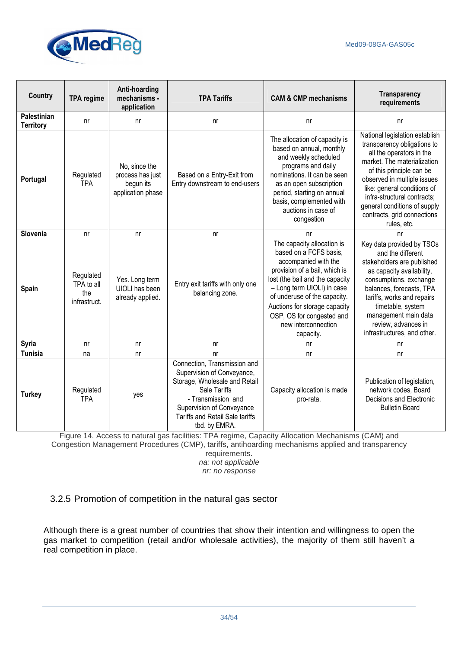

| <b>Country</b>                  | <b>TPA regime</b>                              | Anti-hoarding<br>mechanisms -<br>application                        | <b>TPA Tariffs</b>                                                                                                                                                                                                 | <b>CAM &amp; CMP mechanisms</b>                                                                                                                                                                                                                                                                                  | <b>Transparency</b><br>requirements                                                                                                                                                                                                                                                                                             |
|---------------------------------|------------------------------------------------|---------------------------------------------------------------------|--------------------------------------------------------------------------------------------------------------------------------------------------------------------------------------------------------------------|------------------------------------------------------------------------------------------------------------------------------------------------------------------------------------------------------------------------------------------------------------------------------------------------------------------|---------------------------------------------------------------------------------------------------------------------------------------------------------------------------------------------------------------------------------------------------------------------------------------------------------------------------------|
| Palestinian<br><b>Territory</b> | n <sub>r</sub>                                 | nr                                                                  | nr                                                                                                                                                                                                                 | nr                                                                                                                                                                                                                                                                                                               | n <sub>r</sub>                                                                                                                                                                                                                                                                                                                  |
| Portugal                        | Regulated<br><b>TPA</b>                        | No, since the<br>process has just<br>begun its<br>application phase | Based on a Entry-Exit from<br>Entry downstream to end-users                                                                                                                                                        | The allocation of capacity is<br>based on annual, monthly<br>and weekly scheduled<br>programs and daily<br>nominations. It can be seen<br>as an open subscription<br>period, starting on annual<br>basis, complemented with<br>auctions in case of<br>congestion                                                 | National legislation establish<br>transparency obligations to<br>all the operators in the<br>market. The materialization<br>of this principle can be<br>observed in multiple issues<br>like: general conditions of<br>infra-structural contracts;<br>general conditions of supply<br>contracts, grid connections<br>rules, etc. |
| Slovenia                        | n <sub>r</sub>                                 | nr                                                                  | nr                                                                                                                                                                                                                 | nr                                                                                                                                                                                                                                                                                                               | nr                                                                                                                                                                                                                                                                                                                              |
| Spain                           | Regulated<br>TPA to all<br>the<br>infrastruct. | Yes. Long term<br>UIOLI has been<br>already applied.                | Entry exit tariffs with only one<br>balancing zone.                                                                                                                                                                | The capacity allocation is<br>based on a FCFS basis,<br>accompanied with the<br>provision of a bail, which is<br>lost (the bail and the capacity<br>- Long term UIOLI) in case<br>of underuse of the capacity.<br>Auctions for storage capacity<br>OSP, OS for congested and<br>new interconnection<br>capacity. | Key data provided by TSOs<br>and the different<br>stakeholders are published<br>as capacity availability,<br>consumptions, exchange<br>balances, forecasts, TPA<br>tariffs, works and repairs<br>timetable, system<br>management main data<br>review, advances in<br>infrastructures, and other.                                |
| Syria                           | n <sub>r</sub>                                 | nr                                                                  | nr                                                                                                                                                                                                                 | n <sub>r</sub>                                                                                                                                                                                                                                                                                                   | nr                                                                                                                                                                                                                                                                                                                              |
| <b>Tunisia</b>                  | na                                             | nr                                                                  | nr                                                                                                                                                                                                                 | n <sub>r</sub>                                                                                                                                                                                                                                                                                                   | n <sub>r</sub>                                                                                                                                                                                                                                                                                                                  |
| <b>Turkey</b>                   | Regulated<br><b>TPA</b>                        | yes                                                                 | Connection, Transmission and<br>Supervision of Conveyance,<br>Storage, Wholesale and Retail<br>Sale Tariffs<br>- Transmission and<br>Supervision of Conveyance<br>Tariffs and Retail Sale tariffs<br>tbd. by EMRA. | Capacity allocation is made<br>pro-rata.                                                                                                                                                                                                                                                                         | Publication of legislation,<br>network codes, Board<br>Decisions and Electronic<br><b>Bulletin Board</b>                                                                                                                                                                                                                        |

Figure 14. Access to natural gas facilities: TPA regime, Capacity Allocation Mechanisms (CAM) and Congestion Management Procedures (CMP), tariffs, antihoarding mechanisms applied and transparency

requirements. na: not applicable

nr: no response

3.2.5 Promotion of competition in the natural gas sector

Although there is a great number of countries that show their intention and willingness to open the gas market to competition (retail and/or wholesale activities), the majority of them still haven't a real competition in place.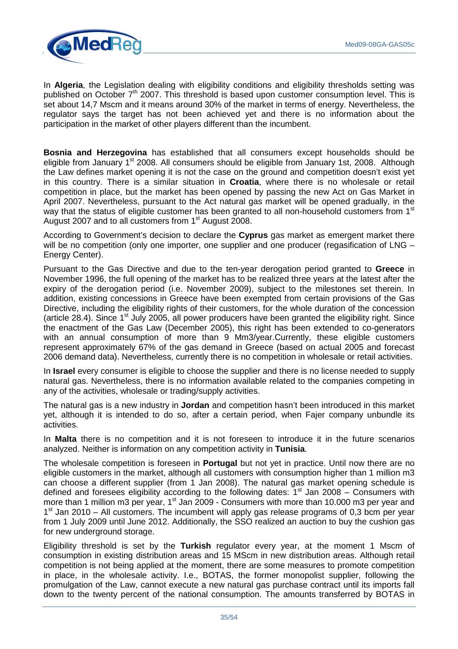

In **Algeria**, the Legislation dealing with eligibility conditions and eligibility thresholds setting was published on October  $7<sup>th</sup>$  2007. This threshold is based upon customer consumption level. This is set about 14,7 Mscm and it means around 30% of the market in terms of energy. Nevertheless, the regulator says the target has not been achieved yet and there is no information about the participation in the market of other players different than the incumbent.

**Bosnia and Herzegovina** has established that all consumers except households should be eligible from January 1<sup>st</sup> 2008. All consumers should be eligible from January 1st, 2008. Although the Law defines market opening it is not the case on the ground and competition doesn't exist yet in this country. There is a similar situation in **Croatia**, where there is no wholesale or retail competition in place, but the market has been opened by passing the new Act on Gas Market in April 2007. Nevertheless, pursuant to the Act natural gas market will be opened gradually, in the way that the status of eligible customer has been granted to all non-household customers from 1<sup>st</sup> August 2007 and to all customers from 1<sup>st</sup> August 2008.

According to Government's decision to declare the **Cyprus** gas market as emergent market there will be no competition (only one importer, one supplier and one producer (regasification of LNG – Energy Center).

Pursuant to the Gas Directive and due to the ten-year derogation period granted to **Greece** in November 1996, the full opening of the market has to be realized three years at the latest after the expiry of the derogation period (i.e. November 2009), subject to the milestones set therein. In addition, existing concessions in Greece have been exempted from certain provisions of the Gas Directive, including the eligibility rights of their customers, for the whole duration of the concession (article 28.4). Since  $1<sup>st</sup>$  July 2005, all power producers have been granted the eligibility right. Since the enactment of the Gas Law (December 2005), this right has been extended to co-generators with an annual consumption of more than 9 Mm3/year.Currently, these eligible customers represent approximately 67% of the gas demand in Greece (based on actual 2005 and forecast 2006 demand data). Nevertheless, currently there is no competition in wholesale or retail activities.

In **Israel** every consumer is eligible to choose the supplier and there is no license needed to supply natural gas. Nevertheless, there is no information available related to the companies competing in any of the activities, wholesale or trading/supply activities.

The natural gas is a new industry in **Jordan** and competition hasn't been introduced in this market yet, although it is intended to do so, after a certain period, when Fajer company unbundle its activities.

In **Malta** there is no competition and it is not foreseen to introduce it in the future scenarios analyzed. Neither is information on any competition activity in **Tunisia**.

The wholesale competition is foreseen in **Portugal** but not yet in practice. Until now there are no eligible customers in the market, although all customers with consumption higher than 1 million m3 can choose a different supplier (from 1 Jan 2008). The natural gas market opening schedule is defined and foresees eligibility according to the following dates:  $1<sup>st</sup>$  Jan 2008 – Consumers with more than 1 million m3 per year, 1<sup>st</sup> Jan 2009 - Consumers with more than 10.000 m3 per year and 1<sup>st</sup> Jan 2010 – All customers. The incumbent will apply gas release programs of 0,3 bcm per year from 1 July 2009 until June 2012. Additionally, the SSO realized an auction to buy the cushion gas for new underground storage.

Eligibility threshold is set by the **Turkish** regulator every year, at the moment 1 Mscm of consumption in existing distribution areas and 15 MScm in new distribution areas. Although retail competition is not being applied at the moment, there are some measures to promote competition in place, in the wholesale activity. I.e., BOTAS, the former monopolist supplier, following the promulgation of the Law, cannot execute a new natural gas purchase contract until its imports fall down to the twenty percent of the national consumption. The amounts transferred by BOTAS in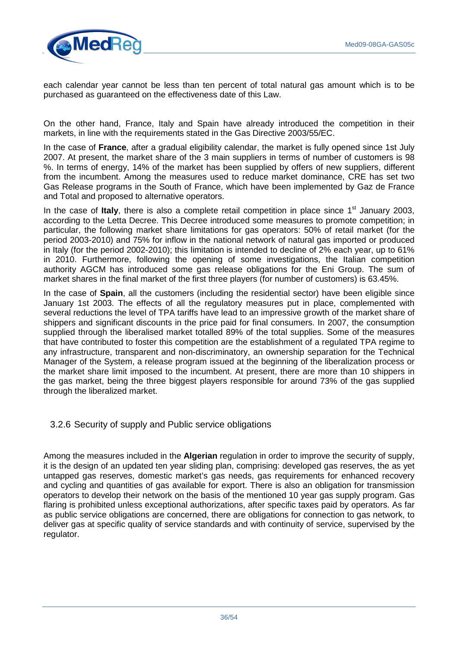

each calendar year cannot be less than ten percent of total natural gas amount which is to be purchased as guaranteed on the effectiveness date of this Law.

On the other hand, France, Italy and Spain have already introduced the competition in their markets, in line with the requirements stated in the Gas Directive 2003/55/EC.

In the case of **France**, after a gradual eligibility calendar, the market is fully opened since 1st July 2007. At present, the market share of the 3 main suppliers in terms of number of customers is 98 %. In terms of energy, 14% of the market has been supplied by offers of new suppliers, different from the incumbent. Among the measures used to reduce market dominance, CRE has set two Gas Release programs in the South of France, which have been implemented by Gaz de France and Total and proposed to alternative operators.

In the case of **Italy**, there is also a complete retail competition in place since 1<sup>st</sup> January 2003, according to the Letta Decree. This Decree introduced some measures to promote competition; in particular, the following market share limitations for gas operators: 50% of retail market (for the period 2003-2010) and 75% for inflow in the national network of natural gas imported or produced in Italy (for the period 2002-2010); this limitation is intended to decline of 2% each year, up to 61% in 2010. Furthermore, following the opening of some investigations, the Italian competition authority AGCM has introduced some gas release obligations for the Eni Group. The sum of market shares in the final market of the first three players (for number of customers) is 63.45%.

In the case of **Spain**, all the customers (including the residential sector) have been eligible since January 1st 2003. The effects of all the regulatory measures put in place, complemented with several reductions the level of TPA tariffs have lead to an impressive growth of the market share of shippers and significant discounts in the price paid for final consumers. In 2007, the consumption supplied through the liberalised market totalled 89% of the total supplies. Some of the measures that have contributed to foster this competition are the establishment of a regulated TPA regime to any infrastructure, transparent and non-discriminatory, an ownership separation for the Technical Manager of the System, a release program issued at the beginning of the liberalization process or the market share limit imposed to the incumbent. At present, there are more than 10 shippers in the gas market, being the three biggest players responsible for around 73% of the gas supplied through the liberalized market.

#### 3.2.6 Security of supply and Public service obligations

Among the measures included in the **Algerian** regulation in order to improve the security of supply, it is the design of an updated ten year sliding plan, comprising: developed gas reserves, the as yet untapped gas reserves, domestic market's gas needs, gas requirements for enhanced recovery and cycling and quantities of gas available for export. There is also an obligation for transmission operators to develop their network on the basis of the mentioned 10 year gas supply program. Gas flaring is prohibited unless exceptional authorizations, after specific taxes paid by operators. As far as public service obligations are concerned, there are obligations for connection to gas network, to deliver gas at specific quality of service standards and with continuity of service, supervised by the regulator.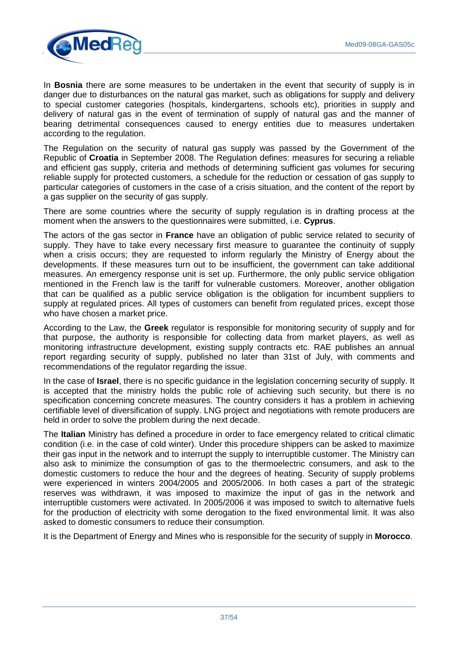

In **Bosnia** there are some measures to be undertaken in the event that security of supply is in danger due to disturbances on the natural gas market, such as obligations for supply and delivery to special customer categories (hospitals, kindergartens, schools etc), priorities in supply and delivery of natural gas in the event of termination of supply of natural gas and the manner of bearing detrimental consequences caused to energy entities due to measures undertaken according to the regulation.

The Regulation on the security of natural gas supply was passed by the Government of the Republic of **Croatia** in September 2008. The Regulation defines: measures for securing a reliable and efficient gas supply, criteria and methods of determining sufficient gas volumes for securing reliable supply for protected customers, a schedule for the reduction or cessation of gas supply to particular categories of customers in the case of a crisis situation, and the content of the report by a gas supplier on the security of gas supply.

There are some countries where the security of supply regulation is in drafting process at the moment when the answers to the questionnaires were submitted, i.e. **Cyprus**.

The actors of the gas sector in **France** have an obligation of public service related to security of supply. They have to take every necessary first measure to guarantee the continuity of supply when a crisis occurs; they are requested to inform regularly the Ministry of Energy about the developments. If these measures turn out to be insufficient, the government can take additional measures. An emergency response unit is set up. Furthermore, the only public service obligation mentioned in the French law is the tariff for vulnerable customers. Moreover, another obligation that can be qualified as a public service obligation is the obligation for incumbent suppliers to supply at regulated prices. All types of customers can benefit from regulated prices, except those who have chosen a market price.

According to the Law, the **Greek** regulator is responsible for monitoring security of supply and for that purpose, the authority is responsible for collecting data from market players, as well as monitoring infrastructure development, existing supply contracts etc. RAE publishes an annual report regarding security of supply, published no later than 31st of July, with comments and recommendations of the regulator regarding the issue.

In the case of **Israel**, there is no specific guidance in the legislation concerning security of supply. It is accepted that the ministry holds the public role of achieving such security, but there is no specification concerning concrete measures. The country considers it has a problem in achieving certifiable level of diversification of supply. LNG project and negotiations with remote producers are held in order to solve the problem during the next decade.

The **Italian** Ministry has defined a procedure in order to face emergency related to critical climatic condition (i.e. in the case of cold winter). Under this procedure shippers can be asked to maximize their gas input in the network and to interrupt the supply to interruptible customer. The Ministry can also ask to minimize the consumption of gas to the thermoelectric consumers, and ask to the domestic customers to reduce the hour and the degrees of heating. Security of supply problems were experienced in winters 2004/2005 and 2005/2006. In both cases a part of the strategic reserves was withdrawn, it was imposed to maximize the input of gas in the network and interruptible customers were activated. In 2005/2006 it was imposed to switch to alternative fuels for the production of electricity with some derogation to the fixed environmental limit. It was also asked to domestic consumers to reduce their consumption.

It is the Department of Energy and Mines who is responsible for the security of supply in **Morocco**.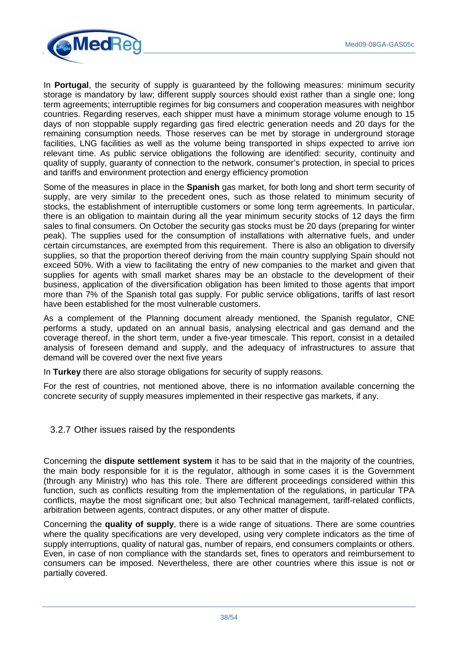

In **Portugal**, the security of supply is guaranteed by the following measures: minimum security storage is mandatory by law; different supply sources should exist rather than a single one; long term agreements; interruptible regimes for big consumers and cooperation measures with neighbor countries. Regarding reserves, each shipper must have a minimum storage volume enough to 15 days of non stoppable supply regarding gas fired electric generation needs and 20 days for the remaining consumption needs. Those reserves can be met by storage in underground storage facilities, LNG facilities as well as the volume being transported in ships expected to arrive ion relevant time. As public service obligations the following are identified: security, continuity and quality of supply, guaranty of connection to the network, consumer's protection, in special to prices and tariffs and environment protection and energy efficiency promotion

Some of the measures in place in the **Spanish** gas market, for both long and short term security of supply, are very similar to the precedent ones, such as those related to minimum security of stocks, the establishment of interruptible customers or some long term agreements. In particular, there is an obligation to maintain during all the year minimum security stocks of 12 days the firm sales to final consumers. On October the security gas stocks must be 20 days (preparing for winter peak). The supplies used for the consumption of installations with alternative fuels, and under certain circumstances, are exempted from this requirement. There is also an obligation to diversify supplies, so that the proportion thereof deriving from the main country supplying Spain should not exceed 50%. With a view to facilitating the entry of new companies to the market and given that supplies for agents with small market shares may be an obstacle to the development of their business, application of the diversification obligation has been limited to those agents that import more than 7% of the Spanish total gas supply. For public service obligations, tariffs of last resort have been established for the most vulnerable customers.

As a complement of the Planning document already mentioned, the Spanish regulator, CNE performs a study, updated on an annual basis, analysing electrical and gas demand and the coverage thereof, in the short term, under a five-year timescale. This report, consist in a detailed analysis of foreseen demand and supply, and the adequacy of infrastructures to assure that demand will be covered over the next five years

In **Turkey** there are also storage obligations for security of supply reasons.

For the rest of countries, not mentioned above, there is no information available concerning the concrete security of supply measures implemented in their respective gas markets, if any.

3.2.7 Other issues raised by the respondents

Concerning the **dispute settlement system** it has to be said that in the majority of the countries, the main body responsible for it is the regulator, although in some cases it is the Government (through any Ministry) who has this role. There are different proceedings considered within this function, such as conflicts resulting from the implementation of the regulations, in particular TPA conflicts, maybe the most significant one; but also Technical management, tariff-related conflicts, arbitration between agents, contract disputes, or any other matter of dispute.

Concerning the **quality of supply**, there is a wide range of situations. There are some countries where the quality specifications are very developed, using very complete indicators as the time of supply interruptions, quality of natural gas, number of repairs, end consumers complaints or others. Even, in case of non compliance with the standards set, fines to operators and reimbursement to consumers can be imposed. Nevertheless, there are other countries where this issue is not or partially covered.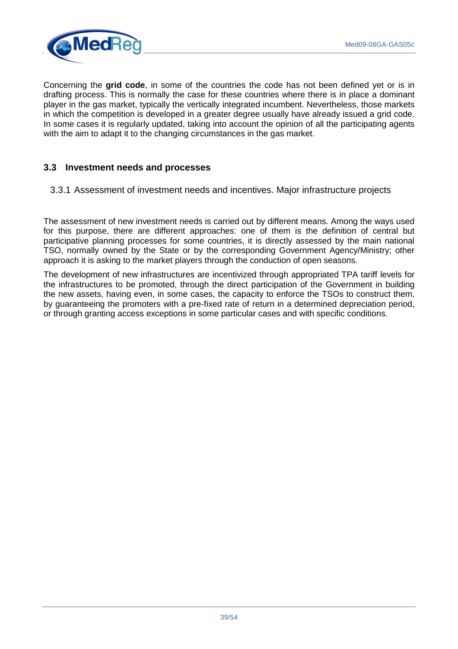

Concerning the **grid code**, in some of the countries the code has not been defined yet or is in drafting process. This is normally the case for these countries where there is in place a dominant player in the gas market, typically the vertically integrated incumbent. Nevertheless, those markets in which the competition is developed in a greater degree usually have already issued a grid code. In some cases it is regularly updated, taking into account the opinion of all the participating agents with the aim to adapt it to the changing circumstances in the gas market.

# **3.3 Investment needs and processes**

3.3.1 Assessment of investment needs and incentives. Major infrastructure projects

The assessment of new investment needs is carried out by different means. Among the ways used for this purpose, there are different approaches: one of them is the definition of central but participative planning processes for some countries, it is directly assessed by the main national TSO, normally owned by the State or by the corresponding Government Agency/Ministry; other approach it is asking to the market players through the conduction of open seasons.

The development of new infrastructures are incentivized through appropriated TPA tariff levels for the infrastructures to be promoted, through the direct participation of the Government in building the new assets, having even, in some cases, the capacity to enforce the TSOs to construct them, by guaranteeing the promoters with a pre-fixed rate of return in a determined depreciation period, or through granting access exceptions in some particular cases and with specific conditions.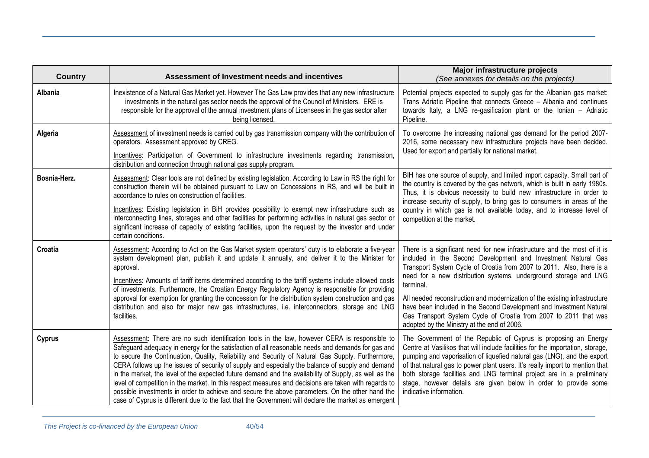| <b>Country</b> | Assessment of Investment needs and incentives                                                                                                                                                                                                                                                                                                                                                                                                                                                                                                                                                                                                                                                                                                                                                                                          | Major infrastructure projects<br>(See annexes for details on the projects)                                                                                                                                                                                                                                                                                                                                                                                                                                                                                                  |
|----------------|----------------------------------------------------------------------------------------------------------------------------------------------------------------------------------------------------------------------------------------------------------------------------------------------------------------------------------------------------------------------------------------------------------------------------------------------------------------------------------------------------------------------------------------------------------------------------------------------------------------------------------------------------------------------------------------------------------------------------------------------------------------------------------------------------------------------------------------|-----------------------------------------------------------------------------------------------------------------------------------------------------------------------------------------------------------------------------------------------------------------------------------------------------------------------------------------------------------------------------------------------------------------------------------------------------------------------------------------------------------------------------------------------------------------------------|
| Albania        | Inexistence of a Natural Gas Market yet. However The Gas Law provides that any new infrastructure<br>investments in the natural gas sector needs the approval of the Council of Ministers. ERE is<br>responsible for the approval of the annual investment plans of Licensees in the gas sector after<br>being licensed.                                                                                                                                                                                                                                                                                                                                                                                                                                                                                                               | Potential projects expected to supply gas for the Albanian gas market:<br>Trans Adriatic Pipeline that connects Greece - Albania and continues<br>towards Italy, a LNG re-gasification plant or the Ionian - Adriatic<br>Pipeline.                                                                                                                                                                                                                                                                                                                                          |
| Algeria        | Assessment of investment needs is carried out by gas transmission company with the contribution of<br>operators. Assessment approved by CREG.<br>Incentives: Participation of Government to infrastructure investments regarding transmission,<br>distribution and connection through national gas supply program.                                                                                                                                                                                                                                                                                                                                                                                                                                                                                                                     | To overcome the increasing national gas demand for the period 2007-<br>2016, some necessary new infrastructure projects have been decided.<br>Used for export and partially for national market.                                                                                                                                                                                                                                                                                                                                                                            |
| Bosnia-Herz.   | Assessment: Clear tools are not defined by existing legislation. According to Law in RS the right for<br>construction therein will be obtained pursuant to Law on Concessions in RS, and will be built in<br>accordance to rules on construction of facilities.<br>Incentives: Existing legislation in BiH provides possibility to exempt new infrastructure such as<br>interconnecting lines, storages and other facilities for performing activities in natural gas sector or<br>significant increase of capacity of existing facilities, upon the request by the investor and under<br>certain conditions.                                                                                                                                                                                                                          | BIH has one source of supply, and limited import capacity. Small part of<br>the country is covered by the gas network, which is built in early 1980s.<br>Thus, it is obvious necessity to build new infrastructure in order to<br>increase security of supply, to bring gas to consumers in areas of the<br>country in which gas is not available today, and to increase level of<br>competition at the market.                                                                                                                                                             |
| Croatia        | Assessment: According to Act on the Gas Market system operators' duty is to elaborate a five-year<br>system development plan, publish it and update it annually, and deliver it to the Minister for<br>approval.<br>Incentives: Amounts of tariff items determined according to the tariff systems include allowed costs<br>of investments. Furthermore, the Croatian Energy Regulatory Agency is responsible for providing<br>approval for exemption for granting the concession for the distribution system construction and gas<br>distribution and also for major new gas infrastructures, i.e. interconnectors, storage and LNG<br>facilities.                                                                                                                                                                                    | There is a significant need for new infrastructure and the most of it is<br>included in the Second Development and Investment Natural Gas<br>Transport System Cycle of Croatia from 2007 to 2011. Also, there is a<br>need for a new distribution systems, underground storage and LNG<br>terminal.<br>All needed reconstruction and modernization of the existing infrastructure<br>have been included in the Second Development and Investment Natural<br>Gas Transport System Cycle of Croatia from 2007 to 2011 that was<br>adopted by the Ministry at the end of 2006. |
| <b>Cyprus</b>  | Assessment: There are no such identification tools in the law, however CERA is responsible to<br>Safeguard adequacy in energy for the satisfaction of all reasonable needs and demands for gas and<br>to secure the Continuation, Quality, Reliability and Security of Natural Gas Supply. Furthermore,<br>CERA follows up the issues of security of supply and especially the balance of supply and demand<br>in the market, the level of the expected future demand and the availability of Supply, as well as the<br>level of competition in the market. In this respect measures and decisions are taken with regards to<br>possible investments in order to achieve and secure the above parameters. On the other hand the<br>case of Cyprus is different due to the fact that the Government will declare the market as emergent | The Government of the Republic of Cyprus is proposing an Energy<br>Centre at Vasilikos that will include facilities for the importation, storage,<br>pumping and vaporisation of liquefied natural gas (LNG), and the export<br>of that natural gas to power plant users. It's really import to mention that<br>both storage facilities and LNG terminal project are in a preliminary<br>stage, however details are given below in order to provide some<br>indicative information.                                                                                         |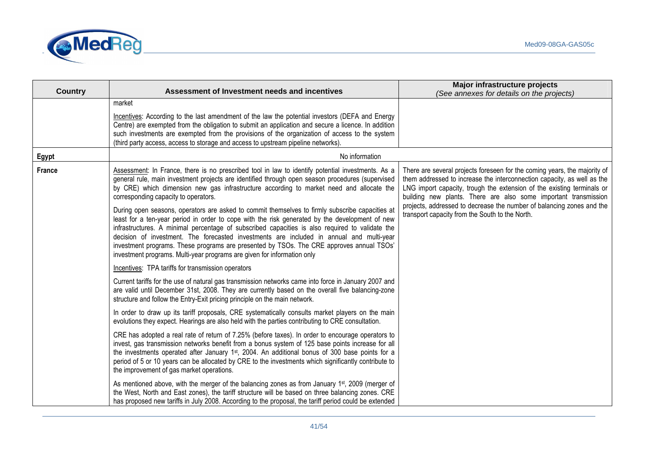

|                |                                                                                                                                                                                                                                                                                                                                                                                                                                                                                                                                                                                                                                                                                                                                                                                                                                                                                                                      | Major infrastructure projects                                                                                                                                                                                                                                                                                                                                                                                                 |
|----------------|----------------------------------------------------------------------------------------------------------------------------------------------------------------------------------------------------------------------------------------------------------------------------------------------------------------------------------------------------------------------------------------------------------------------------------------------------------------------------------------------------------------------------------------------------------------------------------------------------------------------------------------------------------------------------------------------------------------------------------------------------------------------------------------------------------------------------------------------------------------------------------------------------------------------|-------------------------------------------------------------------------------------------------------------------------------------------------------------------------------------------------------------------------------------------------------------------------------------------------------------------------------------------------------------------------------------------------------------------------------|
| <b>Country</b> | Assessment of Investment needs and incentives                                                                                                                                                                                                                                                                                                                                                                                                                                                                                                                                                                                                                                                                                                                                                                                                                                                                        | (See annexes for details on the projects)                                                                                                                                                                                                                                                                                                                                                                                     |
|                | market<br>Incentives: According to the last amendment of the law the potential investors (DEFA and Energy<br>Centre) are exempted from the obligation to submit an application and secure a licence. In addition<br>such investments are exempted from the provisions of the organization of access to the system<br>(third party access, access to storage and access to upstream pipeline networks).                                                                                                                                                                                                                                                                                                                                                                                                                                                                                                               |                                                                                                                                                                                                                                                                                                                                                                                                                               |
| Egypt          | No information                                                                                                                                                                                                                                                                                                                                                                                                                                                                                                                                                                                                                                                                                                                                                                                                                                                                                                       |                                                                                                                                                                                                                                                                                                                                                                                                                               |
| <b>France</b>  | Assessment: In France, there is no prescribed tool in law to identify potential investments. As a<br>general rule, main investment projects are identified through open season procedures (supervised<br>by CRE) which dimension new gas infrastructure according to market need and allocate the<br>corresponding capacity to operators.<br>During open seasons, operators are asked to commit themselves to firmly subscribe capacities at<br>least for a ten-year period in order to cope with the risk generated by the development of new<br>infrastructures. A minimal percentage of subscribed capacities is also required to validate the<br>decision of investment. The forecasted investments are included in annual and multi-year<br>investment programs. These programs are presented by TSOs. The CRE approves annual TSOs'<br>investment programs. Multi-year programs are given for information only | There are several projects foreseen for the coming years, the majority of<br>them addressed to increase the interconnection capacity, as well as the<br>LNG import capacity, trough the extension of the existing terminals or<br>building new plants. There are also some important transmission<br>projects, addressed to decrease the number of balancing zones and the<br>transport capacity from the South to the North. |
|                | Incentives: TPA tariffs for transmission operators                                                                                                                                                                                                                                                                                                                                                                                                                                                                                                                                                                                                                                                                                                                                                                                                                                                                   |                                                                                                                                                                                                                                                                                                                                                                                                                               |
|                | Current tariffs for the use of natural gas transmission networks came into force in January 2007 and<br>are valid until December 31st, 2008. They are currently based on the overall five balancing-zone<br>structure and follow the Entry-Exit pricing principle on the main network.                                                                                                                                                                                                                                                                                                                                                                                                                                                                                                                                                                                                                               |                                                                                                                                                                                                                                                                                                                                                                                                                               |
|                | In order to draw up its tariff proposals, CRE systematically consults market players on the main<br>evolutions they expect. Hearings are also held with the parties contributing to CRE consultation.                                                                                                                                                                                                                                                                                                                                                                                                                                                                                                                                                                                                                                                                                                                |                                                                                                                                                                                                                                                                                                                                                                                                                               |
|                | CRE has adopted a real rate of return of 7.25% (before taxes). In order to encourage operators to<br>invest, gas transmission networks benefit from a bonus system of 125 base points increase for all<br>the investments operated after January 1 <sup>st</sup> , 2004. An additional bonus of 300 base points for a<br>period of 5 or 10 years can be allocated by CRE to the investments which significantly contribute to<br>the improvement of gas market operations.                                                                                                                                                                                                                                                                                                                                                                                                                                           |                                                                                                                                                                                                                                                                                                                                                                                                                               |
|                | As mentioned above, with the merger of the balancing zones as from January 1 <sup>st</sup> , 2009 (merger of<br>the West, North and East zones), the tariff structure will be based on three balancing zones. CRE<br>has proposed new tariffs in July 2008. According to the proposal, the tariff period could be extended                                                                                                                                                                                                                                                                                                                                                                                                                                                                                                                                                                                           |                                                                                                                                                                                                                                                                                                                                                                                                                               |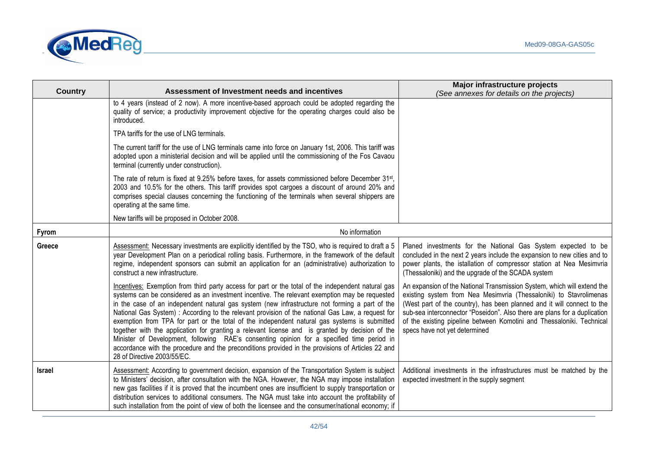

|                |                                                                                                                                                                                                                                                                                                                                                                                                                                                                                                                                                                                                                                                                                                                                                                                                                                                 | Major infrastructure projects                                                                                                                                                                                                                                                                                                                                                                                   |  |  |  |
|----------------|-------------------------------------------------------------------------------------------------------------------------------------------------------------------------------------------------------------------------------------------------------------------------------------------------------------------------------------------------------------------------------------------------------------------------------------------------------------------------------------------------------------------------------------------------------------------------------------------------------------------------------------------------------------------------------------------------------------------------------------------------------------------------------------------------------------------------------------------------|-----------------------------------------------------------------------------------------------------------------------------------------------------------------------------------------------------------------------------------------------------------------------------------------------------------------------------------------------------------------------------------------------------------------|--|--|--|
| <b>Country</b> | Assessment of Investment needs and incentives                                                                                                                                                                                                                                                                                                                                                                                                                                                                                                                                                                                                                                                                                                                                                                                                   | (See annexes for details on the projects)                                                                                                                                                                                                                                                                                                                                                                       |  |  |  |
|                | to 4 years (instead of 2 now). A more incentive-based approach could be adopted regarding the<br>quality of service; a productivity improvement objective for the operating charges could also be<br>introduced.                                                                                                                                                                                                                                                                                                                                                                                                                                                                                                                                                                                                                                |                                                                                                                                                                                                                                                                                                                                                                                                                 |  |  |  |
|                | TPA tariffs for the use of LNG terminals.                                                                                                                                                                                                                                                                                                                                                                                                                                                                                                                                                                                                                                                                                                                                                                                                       |                                                                                                                                                                                                                                                                                                                                                                                                                 |  |  |  |
|                | The current tariff for the use of LNG terminals came into force on January 1st, 2006. This tariff was<br>adopted upon a ministerial decision and will be applied until the commissioning of the Fos Cavaou<br>terminal (currently under construction).                                                                                                                                                                                                                                                                                                                                                                                                                                                                                                                                                                                          |                                                                                                                                                                                                                                                                                                                                                                                                                 |  |  |  |
|                | The rate of return is fixed at 9.25% before taxes, for assets commissioned before December 31st,<br>2003 and 10.5% for the others. This tariff provides spot cargoes a discount of around 20% and<br>comprises special clauses concerning the functioning of the terminals when several shippers are<br>operating at the same time.                                                                                                                                                                                                                                                                                                                                                                                                                                                                                                             |                                                                                                                                                                                                                                                                                                                                                                                                                 |  |  |  |
|                | New tariffs will be proposed in October 2008.                                                                                                                                                                                                                                                                                                                                                                                                                                                                                                                                                                                                                                                                                                                                                                                                   |                                                                                                                                                                                                                                                                                                                                                                                                                 |  |  |  |
| <b>Fyrom</b>   | No information                                                                                                                                                                                                                                                                                                                                                                                                                                                                                                                                                                                                                                                                                                                                                                                                                                  |                                                                                                                                                                                                                                                                                                                                                                                                                 |  |  |  |
| Greece         | Assessment: Necessary investments are explicitly identified by the TSO, who is required to draft a 5<br>year Development Plan on a periodical rolling basis. Furthermore, in the framework of the default<br>regime, independent sponsors can submit an application for an (administrative) authorization to<br>construct a new infrastructure.                                                                                                                                                                                                                                                                                                                                                                                                                                                                                                 | Planed investments for the National Gas System expected to be<br>concluded in the next 2 years include the expansion to new cities and to<br>power plants, the istallation of compressor station at Nea Mesimvria<br>(Thessaloniki) and the upgrade of the SCADA system                                                                                                                                         |  |  |  |
|                | Incentives: Exemption from third party access for part or the total of the independent natural gas<br>systems can be considered as an investment incentive. The relevant exemption may be requested<br>in the case of an independent natural gas system (new infrastructure not forming a part of the<br>National Gas System) : According to the relevant provision of the national Gas Law, a request for<br>exemption from TPA for part or the total of the independent natural gas systems is submitted<br>together with the application for granting a relevant license and is granted by decision of the<br>Minister of Development, following RAE's consenting opinion for a specified time period in<br>accordance with the procedure and the preconditions provided in the provisions of Articles 22 and<br>28 of Directive 2003/55/EC. | An expansion of the National Transmission System, which will extend the<br>existing system from Nea Mesimvria (Thessaloniki) to Stavrolimenas<br>(West part of the country), has been planned and it will connect to the<br>sub-sea interconnector "Poseidon". Also there are plans for a duplication<br>of the existing pipeline between Komotini and Thessaloniki. Technical<br>specs have not yet determined |  |  |  |
| Israel         | Assessment: According to government decision, expansion of the Transportation System is subject<br>to Ministers' decision, after consultation with the NGA. However, the NGA may impose installation<br>new gas facilities if it is proved that the incumbent ones are insufficient to supply transportation or<br>distribution services to additional consumers. The NGA must take into account the profitability of<br>such installation from the point of view of both the licensee and the consumer/national economy; if                                                                                                                                                                                                                                                                                                                    | Additional investments in the infrastructures must be matched by the<br>expected investment in the supply segment                                                                                                                                                                                                                                                                                               |  |  |  |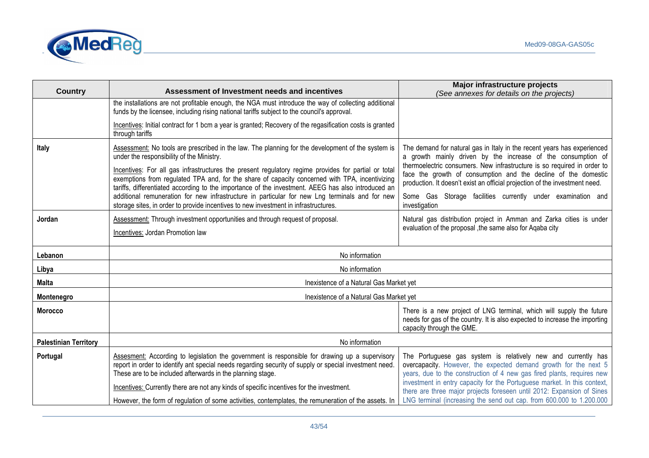

|                              |                                                                                                                                                                                                                                                                                                             | Major infrastructure projects                                                                                                                                                                                                                                                           |  |  |
|------------------------------|-------------------------------------------------------------------------------------------------------------------------------------------------------------------------------------------------------------------------------------------------------------------------------------------------------------|-----------------------------------------------------------------------------------------------------------------------------------------------------------------------------------------------------------------------------------------------------------------------------------------|--|--|
| <b>Country</b>               | Assessment of Investment needs and incentives                                                                                                                                                                                                                                                               | (See annexes for details on the projects)                                                                                                                                                                                                                                               |  |  |
|                              | the installations are not profitable enough, the NGA must introduce the way of collecting additional<br>funds by the licensee, including rising national tariffs subject to the council's approval.                                                                                                         |                                                                                                                                                                                                                                                                                         |  |  |
|                              | Incentives: Initial contract for 1 bcm a year is granted; Recovery of the regasification costs is granted<br>through tariffs                                                                                                                                                                                |                                                                                                                                                                                                                                                                                         |  |  |
| Italy                        | Assessment: No tools are prescribed in the law. The planning for the development of the system is<br>under the responsibility of the Ministry.                                                                                                                                                              | The demand for natural gas in Italy in the recent years has experienced<br>a growth mainly driven by the increase of the consumption of                                                                                                                                                 |  |  |
|                              | Incentives: For all gas infrastructures the present regulatory regime provides for partial or total<br>exemptions from regulated TPA and, for the share of capacity concerned with TPA, incentivizing<br>tariffs, differentiated according to the importance of the investment. AEEG has also introduced an | thermoelectric consumers. New infrastructure is so required in order to<br>face the growth of consumption and the decline of the domestic<br>production. It doesn't exist an official projection of the investment need.                                                                |  |  |
|                              | additional remuneration for new infrastructure in particular for new Lng terminals and for new<br>storage sites, in order to provide incentives to new investment in infrastructures.                                                                                                                       | Some Gas Storage facilities currently under examination and<br>investigation                                                                                                                                                                                                            |  |  |
| Jordan                       | Assessment: Through investment opportunities and through request of proposal.                                                                                                                                                                                                                               | Natural gas distribution project in Amman and Zarka cities is under                                                                                                                                                                                                                     |  |  |
|                              | Incentives: Jordan Promotion law                                                                                                                                                                                                                                                                            | evaluation of the proposal , the same also for Aqaba city                                                                                                                                                                                                                               |  |  |
|                              |                                                                                                                                                                                                                                                                                                             |                                                                                                                                                                                                                                                                                         |  |  |
| Lebanon                      | No information                                                                                                                                                                                                                                                                                              |                                                                                                                                                                                                                                                                                         |  |  |
| Libya                        | No information                                                                                                                                                                                                                                                                                              |                                                                                                                                                                                                                                                                                         |  |  |
| <b>Malta</b>                 | Inexistence of a Natural Gas Market yet                                                                                                                                                                                                                                                                     |                                                                                                                                                                                                                                                                                         |  |  |
| Montenegro                   | Inexistence of a Natural Gas Market yet                                                                                                                                                                                                                                                                     |                                                                                                                                                                                                                                                                                         |  |  |
| <b>Morocco</b>               |                                                                                                                                                                                                                                                                                                             | There is a new project of LNG terminal, which will supply the future<br>needs for gas of the country. It is also expected to increase the importing<br>capacity through the GME.                                                                                                        |  |  |
| <b>Palestinian Territory</b> | No information                                                                                                                                                                                                                                                                                              |                                                                                                                                                                                                                                                                                         |  |  |
| Portugal                     | Assesment: According to legislation the government is responsible for drawing up a supervisory<br>report in order to identify ant special needs regarding security of supply or special investment need.<br>These are to be included afterwards in the planning stage.                                      | The Portuguese gas system is relatively new and currently has<br>overcapacity. However, the expected demand growth for the next 5<br>years, due to the construction of 4 new gas fired plants, requires new<br>investment in entry capacity for the Portuguese market. In this context, |  |  |
|                              | Incentives: Currently there are not any kinds of specific incentives for the investment.                                                                                                                                                                                                                    | there are three major projects foreseen until 2012: Expansion of Sines                                                                                                                                                                                                                  |  |  |
|                              | However, the form of regulation of some activities, contemplates, the remuneration of the assets. In                                                                                                                                                                                                        | LNG terminal (increasing the send out cap. from 600.000 to 1.200.000                                                                                                                                                                                                                    |  |  |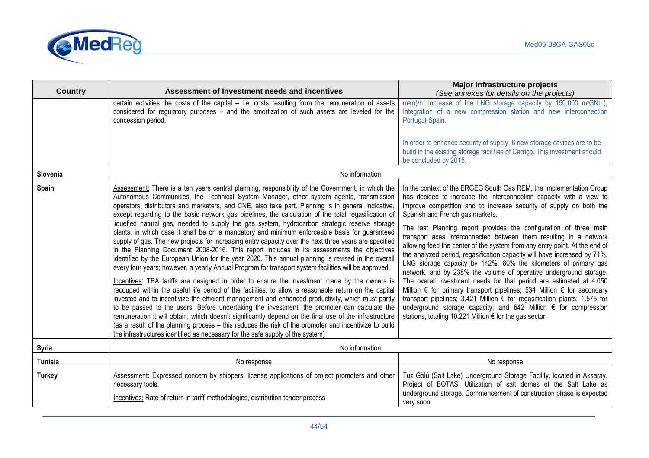

| <b>Country</b> | Assessment of Investment needs and incentives                                                                                                                                                                                                                                                                                                                                                                                                                                                                                                                                                                                                                                                                                                                                                                                                                                                                                                                                                                                                                                                                                                                                                                                                                                                                                                                                                                                                                                                                                                                                                                                                                                                                                                       | Major infrastructure projects<br>(See annexes for details on the projects)                                                                                                                                                                                                                                                                                                                                                                                                                                                                                                                                                                                                                                                                                                                                                                                                                                                                                                                                                                                 |  |
|----------------|-----------------------------------------------------------------------------------------------------------------------------------------------------------------------------------------------------------------------------------------------------------------------------------------------------------------------------------------------------------------------------------------------------------------------------------------------------------------------------------------------------------------------------------------------------------------------------------------------------------------------------------------------------------------------------------------------------------------------------------------------------------------------------------------------------------------------------------------------------------------------------------------------------------------------------------------------------------------------------------------------------------------------------------------------------------------------------------------------------------------------------------------------------------------------------------------------------------------------------------------------------------------------------------------------------------------------------------------------------------------------------------------------------------------------------------------------------------------------------------------------------------------------------------------------------------------------------------------------------------------------------------------------------------------------------------------------------------------------------------------------------|------------------------------------------------------------------------------------------------------------------------------------------------------------------------------------------------------------------------------------------------------------------------------------------------------------------------------------------------------------------------------------------------------------------------------------------------------------------------------------------------------------------------------------------------------------------------------------------------------------------------------------------------------------------------------------------------------------------------------------------------------------------------------------------------------------------------------------------------------------------------------------------------------------------------------------------------------------------------------------------------------------------------------------------------------------|--|
|                | certain activities the costs of the capital $-$ i.e. costs resulting from the remuneration of assets<br>considered for regulatory purposes - and the amortization of such assets are leveled for the<br>concession period.                                                                                                                                                                                                                                                                                                                                                                                                                                                                                                                                                                                                                                                                                                                                                                                                                                                                                                                                                                                                                                                                                                                                                                                                                                                                                                                                                                                                                                                                                                                          | m <sup>3</sup> (n)/h; increase of the LNG storage capacity by 150.000 m <sup>3</sup> GNL.),<br>Integration of a new compression station and new interconnection<br>Portugal-Spain.<br>In order to enhance security of supply, 6 new storage cavities are to be<br>build in the existing storage facilities of Carriço. This investment should<br>be concluded by 2015.                                                                                                                                                                                                                                                                                                                                                                                                                                                                                                                                                                                                                                                                                     |  |
| Slovenia       | No information                                                                                                                                                                                                                                                                                                                                                                                                                                                                                                                                                                                                                                                                                                                                                                                                                                                                                                                                                                                                                                                                                                                                                                                                                                                                                                                                                                                                                                                                                                                                                                                                                                                                                                                                      |                                                                                                                                                                                                                                                                                                                                                                                                                                                                                                                                                                                                                                                                                                                                                                                                                                                                                                                                                                                                                                                            |  |
| Spain          | Assessment: There is a ten years central planning, responsibility of the Government, in which the<br>Autonomous Communities, the Technical System Manager, other system agents, transmission<br>operators, distributors and marketers, and CNE, also take part. Planning is in general indicative,<br>except regarding to the basic network gas pipelines, the calculation of the total regasification of<br>liquefied natural gas, needed to supply the gas system, hydrocarbon strategic reserve storage<br>plants, in which case it shall be on a mandatory and minimum enforceable basis for guaranteed<br>supply of gas. The new projects for increasing entry capacity over the next three years are specified<br>in the Planning Document 2008-2016. This report includes in its assessments the objectives<br>identified by the European Union for the year 2020. This annual planning is revised in the overall<br>every four years; however, a yearly Annual Program for transport system facilities will be approved.<br>Incentives: TPA tariffs are designed in order to ensure the investment made by the owners is<br>recouped within the useful life period of the facilities, to allow a reasonable return on the capital<br>invested and to incentivize the efficient management and enhanced productivity, which must partly<br>to be passed to the users. Before undertaking the investment, the promoter can calculate the<br>remuneration it will obtain, which doesn't significantly depend on the final use of the infrastructure<br>(as a result of the planning process - this reduces the risk of the promoter and incentivize to build<br>the infrastructures identified as necessary for the safe supply of the system) | In the context of the ERGEG South Gas REM, the Implementation Group<br>has decided to increase the interconnection capacity with a view to<br>improve competition and to increase security of supply on both the<br>Spanish and French gas markets.<br>The last Planning report provides the configuration of three main<br>transport axes interconnected between them resulting in a network<br>allowing feed the center of the system from any entry point. At the end of<br>the analyzed period, regasification capacity will have increased by 71%,<br>LNG storage capacity by 142%, 80% the kilometers of primary gas<br>network, and by 238% the volume of operative underground storage.<br>The overall investment needs for that period are estimated at 4.050<br>Million € for primary transport pipelines; 534 Million € for secondary<br>transport pipelines; 3.421 Million € for regasification plants; 1.575 for<br>underground storage capacity; and 642 Million € for compression<br>stations, totaling 10.221 Million € for the gas sector |  |
| <b>Syria</b>   | No information                                                                                                                                                                                                                                                                                                                                                                                                                                                                                                                                                                                                                                                                                                                                                                                                                                                                                                                                                                                                                                                                                                                                                                                                                                                                                                                                                                                                                                                                                                                                                                                                                                                                                                                                      |                                                                                                                                                                                                                                                                                                                                                                                                                                                                                                                                                                                                                                                                                                                                                                                                                                                                                                                                                                                                                                                            |  |
| <b>Tunisia</b> | No response                                                                                                                                                                                                                                                                                                                                                                                                                                                                                                                                                                                                                                                                                                                                                                                                                                                                                                                                                                                                                                                                                                                                                                                                                                                                                                                                                                                                                                                                                                                                                                                                                                                                                                                                         | No response                                                                                                                                                                                                                                                                                                                                                                                                                                                                                                                                                                                                                                                                                                                                                                                                                                                                                                                                                                                                                                                |  |
| <b>Turkey</b>  | Assessment: Expressed concern by shippers, license applications of project promoters and other<br>necessary tools.<br>Incentives: Rate of return in tariff methodologies, distribution tender process                                                                                                                                                                                                                                                                                                                                                                                                                                                                                                                                                                                                                                                                                                                                                                                                                                                                                                                                                                                                                                                                                                                                                                                                                                                                                                                                                                                                                                                                                                                                               | Tuz Gölü (Salt Lake) Underground Storage Facility, located in Aksaray.<br>Project of BOTAŞ. Utilization of salt domes of the Salt Lake as<br>underground storage. Commencement of construction phase is expected<br>very soon                                                                                                                                                                                                                                                                                                                                                                                                                                                                                                                                                                                                                                                                                                                                                                                                                              |  |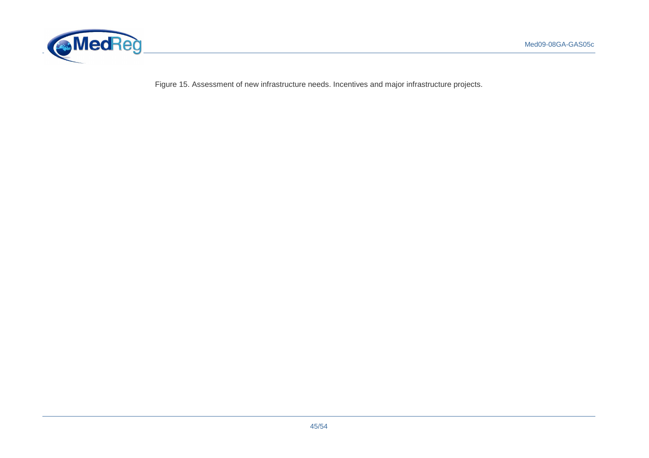

Figure 15. Assessment of new infrastructure needs. Incentives and major infrastructure projects.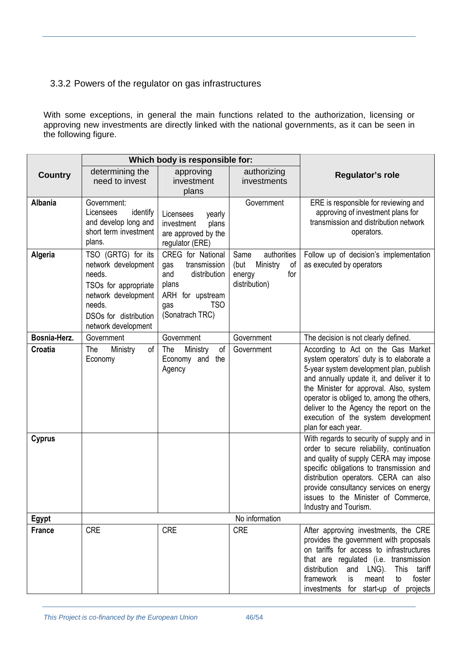# 3.3.2 Powers of the regulator on gas infrastructures

With some exceptions, in general the main functions related to the authorization, licensing or approving new investments are directly linked with the national governments, as it can be seen in the following figure.

|                | Which body is responsible for:                                                                                                                               |                                                                                                                                      |                                                                                 |                                                                                                                                                                                                                                                                                                                                                                         |
|----------------|--------------------------------------------------------------------------------------------------------------------------------------------------------------|--------------------------------------------------------------------------------------------------------------------------------------|---------------------------------------------------------------------------------|-------------------------------------------------------------------------------------------------------------------------------------------------------------------------------------------------------------------------------------------------------------------------------------------------------------------------------------------------------------------------|
| <b>Country</b> | determining the<br>need to invest                                                                                                                            | approving<br>investment<br>plans                                                                                                     | authorizing<br>investments                                                      | Regulator's role                                                                                                                                                                                                                                                                                                                                                        |
| <b>Albania</b> | Government:<br>Licensees<br>identify<br>and develop long and<br>short term investment<br>plans.                                                              | Licensees<br>yearly<br>investment<br>plans<br>are approved by the<br>regulator (ERE)                                                 | Government                                                                      | ERE is responsible for reviewing and<br>approving of investment plans for<br>transmission and distribution network<br>operators.                                                                                                                                                                                                                                        |
| Algeria        | TSO (GRTG) for its<br>network development<br>needs.<br>TSOs for appropriate<br>network development<br>needs.<br>DSOs for distribution<br>network development | CREG for National<br>transmission<br>gas<br>distribution<br>and<br>plans<br>ARH for upstream<br><b>TSO</b><br>gas<br>(Sonatrach TRC) | authorities<br>Same<br>(but<br>Ministry<br>of<br>for<br>energy<br>distribution) | Follow up of decision's implementation<br>as executed by operators                                                                                                                                                                                                                                                                                                      |
| Bosnia-Herz.   | Government                                                                                                                                                   | Government                                                                                                                           | Government                                                                      | The decision is not clearly defined.                                                                                                                                                                                                                                                                                                                                    |
| Croatia        | Ministry<br>The<br>οf<br>Economy                                                                                                                             | The<br>Ministry<br>οf<br>Economy and the<br>Agency                                                                                   | Government                                                                      | According to Act on the Gas Market<br>system operators' duty is to elaborate a<br>5-year system development plan, publish<br>and annually update it, and deliver it to<br>the Minister for approval. Also, system<br>operator is obliged to, among the others,<br>deliver to the Agency the report on the<br>execution of the system development<br>plan for each year. |
| <b>Cyprus</b>  |                                                                                                                                                              |                                                                                                                                      |                                                                                 | With regards to security of supply and in<br>order to secure reliability, continuation<br>and quality of supply CERA may impose<br>specific obligations to transmission and<br>distribution operators. CERA can also<br>provide consultancy services on energy<br>issues to the Minister of Commerce,<br>Industry and Tourism.                                          |
| Egypt          |                                                                                                                                                              |                                                                                                                                      | No information                                                                  |                                                                                                                                                                                                                                                                                                                                                                         |
| <b>France</b>  | <b>CRE</b>                                                                                                                                                   | <b>CRE</b>                                                                                                                           | <b>CRE</b>                                                                      | After approving investments, the CRE<br>provides the government with proposals<br>on tariffs for access to infrastructures<br>that are regulated (i.e. transmission<br>distribution<br>LNG).<br>and<br>This<br>tariff<br>framework<br>is<br>foster<br>meant<br>to<br>investments<br>for start-up<br>of projects                                                         |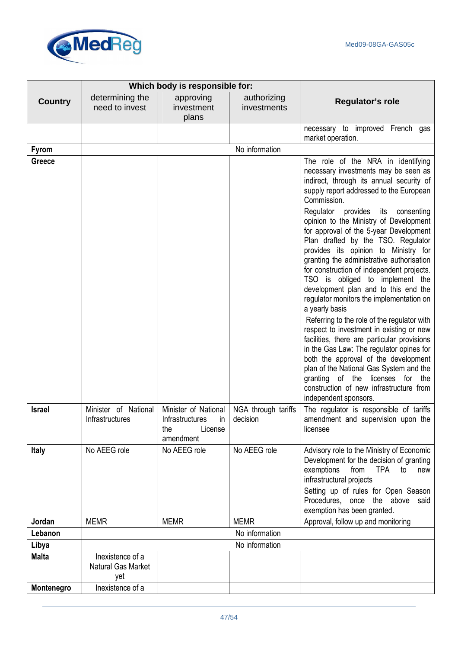

|                | Which body is responsible for:                |                                                                                     |                                 |                                                                                                                                                                                                                                                                                                                                                                                                             |
|----------------|-----------------------------------------------|-------------------------------------------------------------------------------------|---------------------------------|-------------------------------------------------------------------------------------------------------------------------------------------------------------------------------------------------------------------------------------------------------------------------------------------------------------------------------------------------------------------------------------------------------------|
| <b>Country</b> | determining the<br>need to invest             | approving<br>investment<br>plans                                                    | authorizing<br>investments      | Regulator's role                                                                                                                                                                                                                                                                                                                                                                                            |
|                |                                               |                                                                                     |                                 | necessary to improved French gas<br>market operation.                                                                                                                                                                                                                                                                                                                                                       |
| <b>Fyrom</b>   |                                               |                                                                                     | No information                  |                                                                                                                                                                                                                                                                                                                                                                                                             |
| Greece         |                                               |                                                                                     |                                 | The role of the NRA in identifying                                                                                                                                                                                                                                                                                                                                                                          |
|                |                                               |                                                                                     |                                 | necessary investments may be seen as<br>indirect, through its annual security of<br>supply report addressed to the European<br>Commission.<br>Regulator<br>provides its<br>consenting<br>opinion to the Ministry of Development                                                                                                                                                                             |
|                |                                               |                                                                                     |                                 | for approval of the 5-year Development<br>Plan drafted by the TSO. Regulator<br>provides its opinion to Ministry for<br>granting the administrative authorisation<br>for construction of independent projects.<br>TSO is obliged to implement the<br>development plan and to this end the<br>regulator monitors the implementation on                                                                       |
|                |                                               |                                                                                     |                                 | a yearly basis<br>Referring to the role of the regulator with<br>respect to investment in existing or new<br>facilities, there are particular provisions<br>in the Gas Law: The regulator opines for<br>both the approval of the development<br>plan of the National Gas System and the<br>licenses<br>of the<br>granting<br>for<br>the<br>construction of new infrastructure from<br>independent sponsors. |
| <b>Israel</b>  | Minister of National<br>Infrastructures       | Minister of National<br><b>Infrastructures</b><br>in<br>the<br>License<br>amendment | NGA through tariffs<br>decision | The regulator is responsible of tariffs<br>amendment and supervision upon the<br>licensee                                                                                                                                                                                                                                                                                                                   |
| <b>Italy</b>   | No AEEG role                                  | No AEEG role                                                                        | No AEEG role                    | Advisory role to the Ministry of Economic<br>Development for the decision of granting<br>exemptions<br>from<br>TPA<br>to<br>new<br>infrastructural projects<br>Setting up of rules for Open Season<br>Procedures, once the above said<br>exemption has been granted.                                                                                                                                        |
| Jordan         | <b>MEMR</b>                                   | <b>MEMR</b>                                                                         | <b>MEMR</b>                     | Approval, follow up and monitoring                                                                                                                                                                                                                                                                                                                                                                          |
| Lebanon        | No information                                |                                                                                     |                                 |                                                                                                                                                                                                                                                                                                                                                                                                             |
| Libya          |                                               |                                                                                     | No information                  |                                                                                                                                                                                                                                                                                                                                                                                                             |
| <b>Malta</b>   | Inexistence of a<br>Natural Gas Market<br>yet |                                                                                     |                                 |                                                                                                                                                                                                                                                                                                                                                                                                             |
| Montenegro     | Inexistence of a                              |                                                                                     |                                 |                                                                                                                                                                                                                                                                                                                                                                                                             |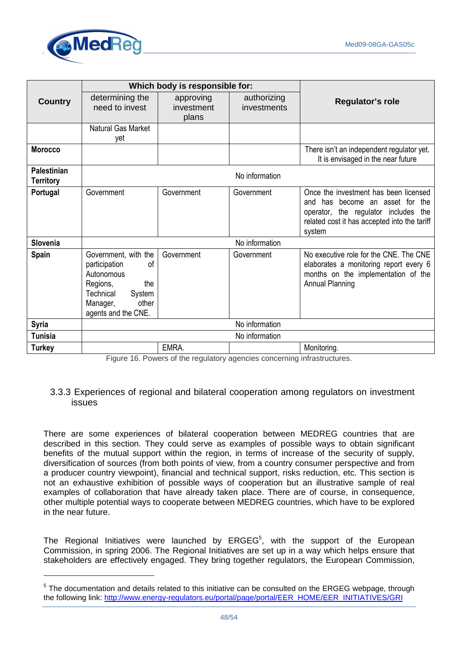

 $\overline{a}$ 

|                                 | Which body is responsible for:                                                                                                                  |                                  |                            |                                                                                                                                                                               |
|---------------------------------|-------------------------------------------------------------------------------------------------------------------------------------------------|----------------------------------|----------------------------|-------------------------------------------------------------------------------------------------------------------------------------------------------------------------------|
| <b>Country</b>                  | determining the<br>need to invest                                                                                                               | approving<br>investment<br>plans | authorizing<br>investments | Regulator's role                                                                                                                                                              |
|                                 | Natural Gas Market<br>yet                                                                                                                       |                                  |                            |                                                                                                                                                                               |
| <b>Morocco</b>                  |                                                                                                                                                 |                                  |                            | There isn't an independent regulator yet.<br>It is envisaged in the near future                                                                                               |
| Palestinian<br><b>Territory</b> | No information                                                                                                                                  |                                  |                            |                                                                                                                                                                               |
| Portugal                        | Government                                                                                                                                      | Government                       | Government                 | Once the investment has been licensed<br>and has become an asset for the<br>operator, the regulator includes<br>the<br>related cost it has accepted into the tariff<br>system |
| Slovenia                        | No information                                                                                                                                  |                                  |                            |                                                                                                                                                                               |
| Spain                           | Government, with the<br>participation<br>οf<br>Autonomous<br>Regions,<br>the<br>Technical<br>System<br>other<br>Manager,<br>agents and the CNE. | Government                       | Government                 | No executive role for the CNE. The CNE<br>elaborates a monitoring report every 6<br>months on the implementation of the<br><b>Annual Planning</b>                             |
| <b>Syria</b>                    | No information                                                                                                                                  |                                  |                            |                                                                                                                                                                               |
| <b>Tunisia</b>                  | No information                                                                                                                                  |                                  |                            |                                                                                                                                                                               |
| <b>Turkey</b>                   |                                                                                                                                                 | EMRA.                            |                            | Monitoring.                                                                                                                                                                   |

Figure 16. Powers of the regulatory agencies concerning infrastructures.

#### 3.3.3 Experiences of regional and bilateral cooperation among regulators on investment issues

There are some experiences of bilateral cooperation between MEDREG countries that are described in this section. They could serve as examples of possible ways to obtain significant benefits of the mutual support within the region, in terms of increase of the security of supply, diversification of sources (from both points of view, from a country consumer perspective and from a producer country viewpoint), financial and technical support, risks reduction, etc. This section is not an exhaustive exhibition of possible ways of cooperation but an illustrative sample of real examples of collaboration that have already taken place. There are of course, in consequence, other multiple potential ways to cooperate between MEDREG countries, which have to be explored in the near future.

The Regional Initiatives were launched by  $ERGEG<sup>5</sup>$ , with the support of the European Commission, in spring 2006. The Regional Initiatives are set up in a way which helps ensure that stakeholders are effectively engaged. They bring together regulators, the European Commission,

 $5$  The documentation and details related to this initiative can be consulted on the ERGEG webpage, through the following link: http://www.energy-regulators.eu/portal/page/portal/EER\_HOME/EER\_INITIATIVES/GRI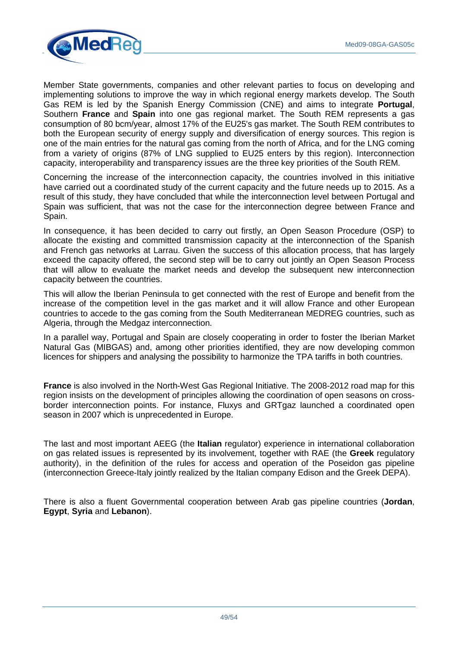

Member State governments, companies and other relevant parties to focus on developing and implementing solutions to improve the way in which regional energy markets develop. The South Gas REM is led by the Spanish Energy Commission (CNE) and aims to integrate **Portugal**, Southern **France** and **Spain** into one gas regional market. The South REM represents a gas consumption of 80 bcm/year, almost 17% of the EU25's gas market. The South REM contributes to both the European security of energy supply and diversification of energy sources. This region is one of the main entries for the natural gas coming from the north of Africa, and for the LNG coming from a variety of origins (87% of LNG supplied to EU25 enters by this region). Interconnection capacity, interoperability and transparency issues are the three key priorities of the South REM.

Concerning the increase of the interconnection capacity, the countries involved in this initiative have carried out a coordinated study of the current capacity and the future needs up to 2015. As a result of this study, they have concluded that while the interconnection level between Portugal and Spain was sufficient, that was not the case for the interconnection degree between France and Spain.

In consequence, it has been decided to carry out firstly, an Open Season Procedure (OSP) to allocate the existing and committed transmission capacity at the interconnection of the Spanish and French gas networks at Larrau. Given the success of this allocation process, that has largely exceed the capacity offered, the second step will be to carry out jointly an Open Season Process that will allow to evaluate the market needs and develop the subsequent new interconnection capacity between the countries.

This will allow the Iberian Peninsula to get connected with the rest of Europe and benefit from the increase of the competition level in the gas market and it will allow France and other European countries to accede to the gas coming from the South Mediterranean MEDREG countries, such as Algeria, through the Medgaz interconnection.

In a parallel way, Portugal and Spain are closely cooperating in order to foster the Iberian Market Natural Gas (MIBGAS) and, among other priorities identified, they are now developing common licences for shippers and analysing the possibility to harmonize the TPA tariffs in both countries.

**France** is also involved in the North-West Gas Regional Initiative. The 2008-2012 road map for this region insists on the development of principles allowing the coordination of open seasons on crossborder interconnection points. For instance, Fluxys and GRTgaz launched a coordinated open season in 2007 which is unprecedented in Europe.

The last and most important AEEG (the **Italian** regulator) experience in international collaboration on gas related issues is represented by its involvement, together with RAE (the **Greek** regulatory authority), in the definition of the rules for access and operation of the Poseidon gas pipeline (interconnection Greece-Italy jointly realized by the Italian company Edison and the Greek DEPA).

There is also a fluent Governmental cooperation between Arab gas pipeline countries (**Jordan**, **Egypt**, **Syria** and **Lebanon**).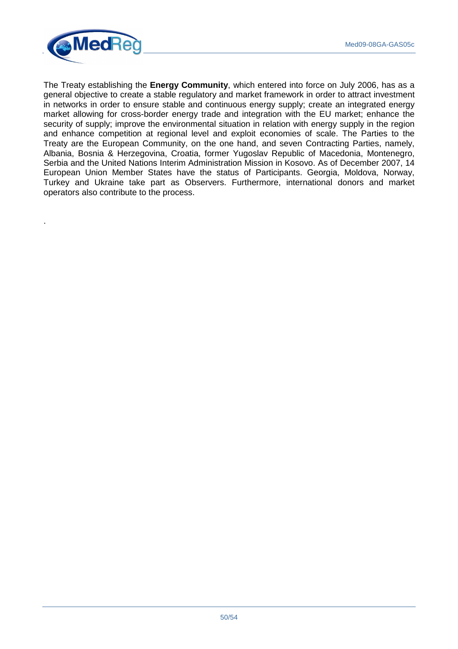

.

The Treaty establishing the **Energy Community**, which entered into force on July 2006, has as a general objective to create a stable regulatory and market framework in order to attract investment in networks in order to ensure stable and continuous energy supply; create an integrated energy market allowing for cross-border energy trade and integration with the EU market; enhance the security of supply; improve the environmental situation in relation with energy supply in the region and enhance competition at regional level and exploit economies of scale. The Parties to the Treaty are the European Community, on the one hand, and seven Contracting Parties, namely, Albania, Bosnia & Herzegovina, Croatia, former Yugoslav Republic of Macedonia, Montenegro, Serbia and the United Nations Interim Administration Mission in Kosovo. As of December 2007, 14 European Union Member States have the status of Participants. Georgia, Moldova, Norway, Turkey and Ukraine take part as Observers. Furthermore, international donors and market operators also contribute to the process.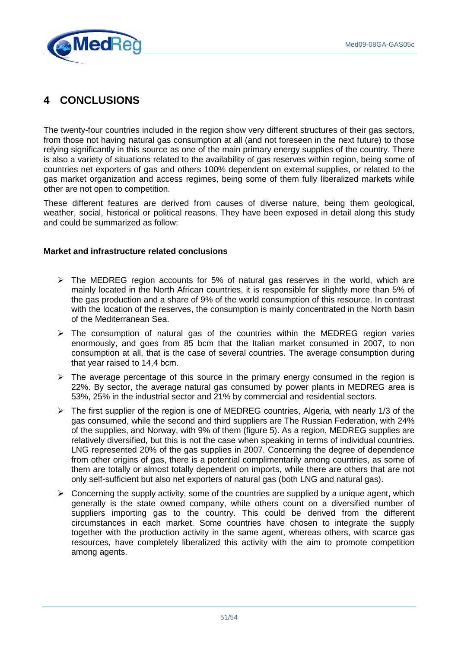

# **4 CONCLUSIONS**

The twenty-four countries included in the region show very different structures of their gas sectors, from those not having natural gas consumption at all (and not foreseen in the next future) to those relying significantly in this source as one of the main primary energy supplies of the country. There is also a variety of situations related to the availability of gas reserves within region, being some of countries net exporters of gas and others 100% dependent on external supplies, or related to the gas market organization and access regimes, being some of them fully liberalized markets while other are not open to competition.

These different features are derived from causes of diverse nature, being them geological, weather, social, historical or political reasons. They have been exposed in detail along this study and could be summarized as follow:

#### **Market and infrastructure related conclusions**

- $\triangleright$  The MEDREG region accounts for 5% of natural gas reserves in the world, which are mainly located in the North African countries, it is responsible for slightly more than 5% of the gas production and a share of 9% of the world consumption of this resource. In contrast with the location of the reserves, the consumption is mainly concentrated in the North basin of the Mediterranean Sea.
- $\triangleright$  The consumption of natural gas of the countries within the MEDREG region varies enormously, and goes from 85 bcm that the Italian market consumed in 2007, to non consumption at all, that is the case of several countries. The average consumption during that year raised to 14,4 bcm.
- $\triangleright$  The average percentage of this source in the primary energy consumed in the region is 22%. By sector, the average natural gas consumed by power plants in MEDREG area is 53%, 25% in the industrial sector and 21% by commercial and residential sectors.
- $\triangleright$  The first supplier of the region is one of MEDREG countries, Algeria, with nearly 1/3 of the gas consumed, while the second and third suppliers are The Russian Federation, with 24% of the supplies, and Norway, with 9% of them (figure 5). As a region, MEDREG supplies are relatively diversified, but this is not the case when speaking in terms of individual countries. LNG represented 20% of the gas supplies in 2007. Concerning the degree of dependence from other origins of gas, there is a potential complimentarily among countries, as some of them are totally or almost totally dependent on imports, while there are others that are not only self-sufficient but also net exporters of natural gas (both LNG and natural gas).
- $\triangleright$  Concerning the supply activity, some of the countries are supplied by a unique agent, which generally is the state owned company, while others count on a diversified number of suppliers importing gas to the country. This could be derived from the different circumstances in each market. Some countries have chosen to integrate the supply together with the production activity in the same agent, whereas others, with scarce gas resources, have completely liberalized this activity with the aim to promote competition among agents.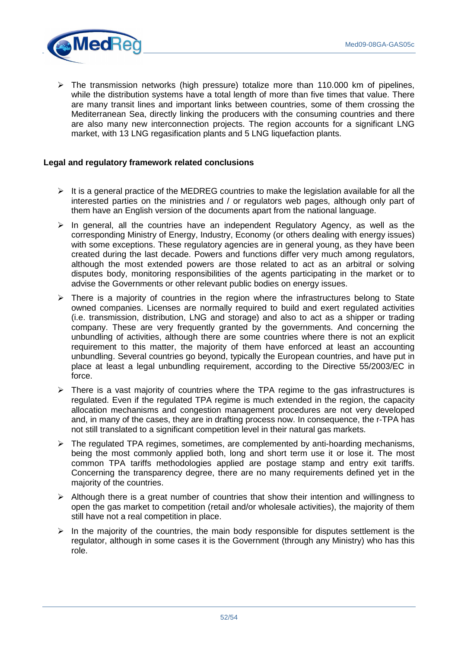

 $\triangleright$  The transmission networks (high pressure) totalize more than 110.000 km of pipelines, while the distribution systems have a total length of more than five times that value. There are many transit lines and important links between countries, some of them crossing the Mediterranean Sea, directly linking the producers with the consuming countries and there are also many new interconnection projects. The region accounts for a significant LNG market, with 13 LNG regasification plants and 5 LNG liquefaction plants.

#### **Legal and regulatory framework related conclusions**

- $\triangleright$  It is a general practice of the MEDREG countries to make the legislation available for all the interested parties on the ministries and / or regulators web pages, although only part of them have an English version of the documents apart from the national language.
- $\triangleright$  In general, all the countries have an independent Regulatory Agency, as well as the corresponding Ministry of Energy, Industry, Economy (or others dealing with energy issues) with some exceptions. These regulatory agencies are in general young, as they have been created during the last decade. Powers and functions differ very much among regulators, although the most extended powers are those related to act as an arbitral or solving disputes body, monitoring responsibilities of the agents participating in the market or to advise the Governments or other relevant public bodies on energy issues.
- $\triangleright$  There is a majority of countries in the region where the infrastructures belong to State owned companies. Licenses are normally required to build and exert regulated activities (i.e. transmission, distribution, LNG and storage) and also to act as a shipper or trading company. These are very frequently granted by the governments. And concerning the unbundling of activities, although there are some countries where there is not an explicit requirement to this matter, the majority of them have enforced at least an accounting unbundling. Several countries go beyond, typically the European countries, and have put in place at least a legal unbundling requirement, according to the Directive 55/2003/EC in force.
- $\triangleright$  There is a vast majority of countries where the TPA regime to the gas infrastructures is regulated. Even if the regulated TPA regime is much extended in the region, the capacity allocation mechanisms and congestion management procedures are not very developed and, in many of the cases, they are in drafting process now. In consequence, the r-TPA has not still translated to a significant competition level in their natural gas markets.
- $\triangleright$  The regulated TPA regimes, sometimes, are complemented by anti-hoarding mechanisms, being the most commonly applied both, long and short term use it or lose it. The most common TPA tariffs methodologies applied are postage stamp and entry exit tariffs. Concerning the transparency degree, there are no many requirements defined yet in the majority of the countries.
- $\triangleright$  Although there is a great number of countries that show their intention and willingness to open the gas market to competition (retail and/or wholesale activities), the majority of them still have not a real competition in place.
- $\triangleright$  In the majority of the countries, the main body responsible for disputes settlement is the regulator, although in some cases it is the Government (through any Ministry) who has this role.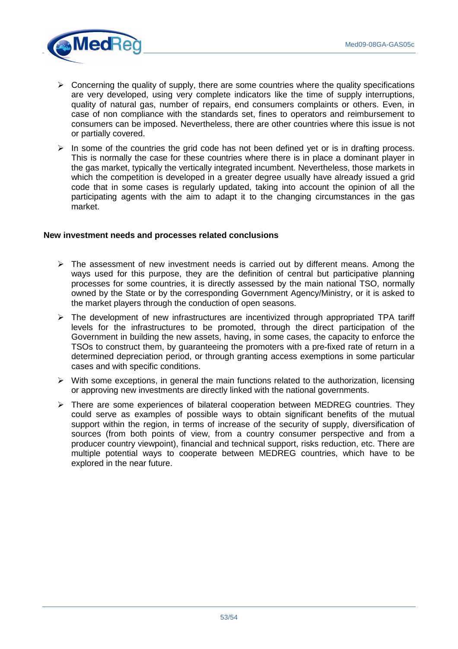

- $\triangleright$  Concerning the quality of supply, there are some countries where the quality specifications are very developed, using very complete indicators like the time of supply interruptions, quality of natural gas, number of repairs, end consumers complaints or others. Even, in case of non compliance with the standards set, fines to operators and reimbursement to consumers can be imposed. Nevertheless, there are other countries where this issue is not or partially covered.
- $\triangleright$  In some of the countries the grid code has not been defined yet or is in drafting process. This is normally the case for these countries where there is in place a dominant player in the gas market, typically the vertically integrated incumbent. Nevertheless, those markets in which the competition is developed in a greater degree usually have already issued a grid code that in some cases is regularly updated, taking into account the opinion of all the participating agents with the aim to adapt it to the changing circumstances in the gas market.

#### **New investment needs and processes related conclusions**

- $\triangleright$  The assessment of new investment needs is carried out by different means. Among the ways used for this purpose, they are the definition of central but participative planning processes for some countries, it is directly assessed by the main national TSO, normally owned by the State or by the corresponding Government Agency/Ministry, or it is asked to the market players through the conduction of open seasons.
- $\triangleright$  The development of new infrastructures are incentivized through appropriated TPA tariff levels for the infrastructures to be promoted, through the direct participation of the Government in building the new assets, having, in some cases, the capacity to enforce the TSOs to construct them, by guaranteeing the promoters with a pre-fixed rate of return in a determined depreciation period, or through granting access exemptions in some particular cases and with specific conditions.
- $\triangleright$  With some exceptions, in general the main functions related to the authorization, licensing or approving new investments are directly linked with the national governments.
- $\triangleright$  There are some experiences of bilateral cooperation between MEDREG countries. They could serve as examples of possible ways to obtain significant benefits of the mutual support within the region, in terms of increase of the security of supply, diversification of sources (from both points of view, from a country consumer perspective and from a producer country viewpoint), financial and technical support, risks reduction, etc. There are multiple potential ways to cooperate between MEDREG countries, which have to be explored in the near future.